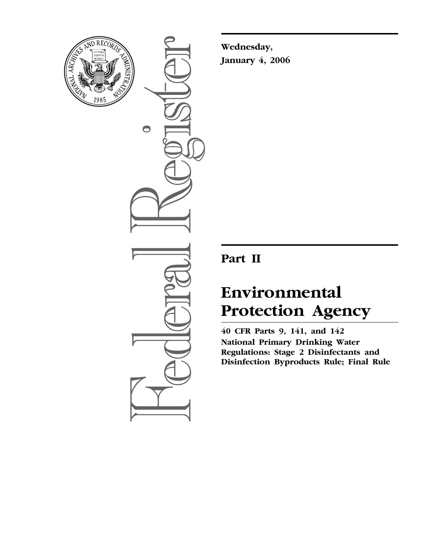

 $\bullet$ 

**Wednesday, January 4, 2006** 

# **Part II**

# **Environmental Protection Agency**

**40 CFR Parts 9, 141, and 142 National Primary Drinking Water Regulations: Stage 2 Disinfectants and Disinfection Byproducts Rule; Final Rule**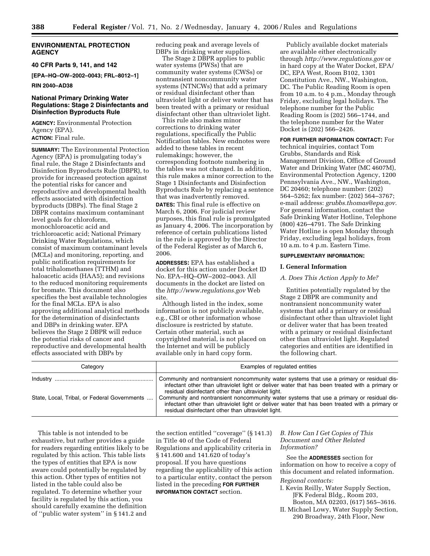# **ENVIRONMENTAL PROTECTION AGENCY**

**40 CFR Parts 9, 141, and 142** 

**[EPA–HQ–OW–2002–0043; FRL–8012–1]** 

**RIN 2040–AD38** 

# **National Primary Drinking Water Regulations: Stage 2 Disinfectants and Disinfection Byproducts Rule**

**AGENCY:** Environmental Protection Agency (EPA). **ACTION:** Final rule.

**SUMMARY:** The Environmental Protection Agency (EPA) is promulgating today's final rule, the Stage 2 Disinfectants and Disinfection Byproducts Rule (DBPR), to provide for increased protection against the potential risks for cancer and reproductive and developmental health effects associated with disinfection byproducts (DBPs). The final Stage 2 DBPR contains maximum contaminant level goals for chloroform, monochloroacetic acid and trichloroacetic acid; National Primary Drinking Water Regulations, which consist of maximum contaminant levels (MCLs) and monitoring, reporting, and public notification requirements for total trihalomethanes (TTHM) and haloacetic acids (HAA5); and revisions to the reduced monitoring requirements for bromate. This document also specifies the best available technologies for the final MCLs. EPA is also approving additional analytical methods for the determination of disinfectants and DBPs in drinking water. EPA believes the Stage 2 DBPR will reduce the potential risks of cancer and reproductive and developmental health effects associated with DBPs by

reducing peak and average levels of DBPs in drinking water supplies.

The Stage 2 DBPR applies to public water systems (PWSs) that are community water systems (CWSs) or nontransient noncommunity water systems (NTNCWs) that add a primary or residual disinfectant other than ultraviolet light or deliver water that has been treated with a primary or residual disinfectant other than ultraviolet light.

This rule also makes minor corrections to drinking water regulations, specifically the Public Notification tables. New endnotes were added to these tables in recent rulemakings; however, the corresponding footnote numbering in the tables was not changed. In addition, this rule makes a minor correction to the Stage 1 Disinfectants and Disinfection Byproducts Rule by replacing a sentence that was inadvertently removed.

**DATES:** This final rule is effective on March 6, 2006. For judicial review purposes, this final rule is promulgated as January 4, 2006. The incorporation by reference of certain publications listed in the rule is approved by the Director of the Federal Register as of March 6, 2006.

**ADDRESSES:** EPA has established a docket for this action under Docket ID No. EPA–HQ–OW–2002–0043. All documents in the docket are listed on the *http://www.regulations.gov* Web site.

Although listed in the index, some information is not publicly available, e.g., CBI or other information whose disclosure is restricted by statute. Certain other material, such as copyrighted material, is not placed on the Internet and will be publicly available only in hard copy form.

Publicly available docket materials are available either electronically through *http://www.regulations.gov* or in hard copy at the Water Docket, EPA/ DC, EPA West, Room B102, 1301 Constitution Ave., NW., Washington, DC. The Public Reading Room is open from 10 a.m. to 4 p.m., Monday through Friday, excluding legal holidays. The telephone number for the Public Reading Room is (202) 566–1744, and the telephone number for the Water Docket is (202) 566–2426.

**FOR FURTHER INFORMATION CONTACT:** For technical inquiries, contact Tom Grubbs, Standards and Risk Management Division, Office of Ground Water and Drinking Water (MC 4607M), Environmental Protection Agency, 1200 Pennsylvania Ave., NW., Washington, DC 20460; telephone number: (202) 564–5262; fax number: (202) 564–3767; e-mail address: *grubbs.thomas@epa.gov.*  For general information, contact the Safe Drinking Water Hotline, Telephone (800) 426–4791. The Safe Drinking Water Hotline is open Monday through Friday, excluding legal holidays, from 10 a.m. to 4 p.m. Eastern Time.

#### **SUPPLEMENTARY INFORMATION:**

#### **I. General Information**

# *A. Does This Action Apply to Me?*

Entities potentially regulated by the Stage 2 DBPR are community and nontransient noncommunity water systems that add a primary or residual disinfectant other than ultraviolet light or deliver water that has been treated with a primary or residual disinfectant other than ultraviolet light. Regulated categories and entities are identified in the following chart.

| Category                                     | Examples of regulated entities                                                                                                                                                                                                                      |
|----------------------------------------------|-----------------------------------------------------------------------------------------------------------------------------------------------------------------------------------------------------------------------------------------------------|
|                                              | Community and nontransient noncommunity water systems that use a primary or residual dis-<br>infectant other than ultraviolet light or deliver water that has been treated with a primary or<br>residual disinfectant other than ultraviolet light. |
| State, Local, Tribal, or Federal Governments | Community and nontransient noncommunity water systems that use a primary or residual dis-<br>infectant other than ultraviolet light or deliver water that has been treated with a primary or<br>residual disinfectant other than ultraviolet light. |

This table is not intended to be exhaustive, but rather provides a guide for readers regarding entities likely to be regulated by this action. This table lists the types of entities that EPA is now aware could potentially be regulated by this action. Other types of entities not listed in the table could also be regulated. To determine whether your facility is regulated by this action, you should carefully examine the definition of ''public water system'' in § 141.2 and

the section entitled ''coverage'' (§ 141.3) in Title 40 of the Code of Federal Regulations and applicability criteria in § 141.600 and 141.620 of today's proposal. If you have questions regarding the applicability of this action to a particular entity, contact the person listed in the preceding **FOR FURTHER INFORMATION CONTACT** section.

# *B. How Can I Get Copies of This Document and Other Related Information?*

See the **ADDRESSES** section for information on how to receive a copy of this document and related information.

#### *Regional contacts:*

- I. Kevin Reilly, Water Supply Section, JFK Federal Bldg., Room 203, Boston, MA 02203, (617) 565–3616.
- II. Michael Lowy, Water Supply Section,

290 Broadway, 24th Floor, New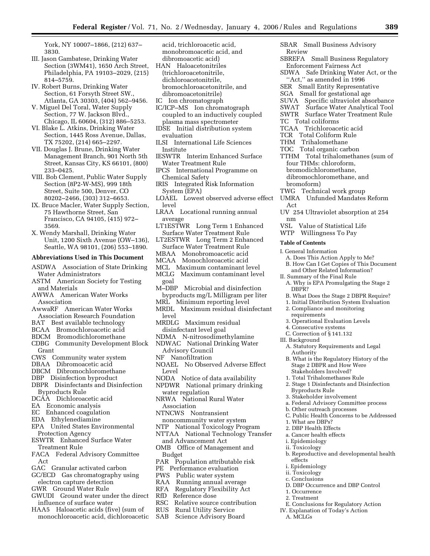York, NY 10007–1866, (212) 637– 3830.

- III. Jason Gambatese, Drinking Water Section (3WM41), 1650 Arch Street, Philadelphia, PA 19103–2029, (215) 814–5759.
- IV. Robert Burns, Drinking Water Section, 61 Forsyth Street SW., Atlanta, GA 30303, (404) 562–9456.
- V. Miguel Del Toral, Water Supply Section, 77 W. Jackson Blvd., Chicago, IL 60604, (312) 886–5253.
- VI. Blake L. Atkins, Drinking Water Section, 1445 Ross Avenue, Dallas, TX 75202, (214) 665–2297.
- VII. Douglas J. Brune, Drinking Water Management Branch, 901 North 5th Street, Kansas City, KS 66101, (800) 233–0425.
- VIII. Bob Clement, Public Water Supply Section (8P2-W-MS), 999 18th Street, Suite 500, Denver, CO 80202–2466, (303) 312–6653.
- IX. Bruce Macler, Water Supply Section, 75 Hawthorne Street, San Francisco, CA 94105, (415) 972– 3569.
- X. Wendy Marshall, Drinking Water Unit, 1200 Sixth Avenue (OW–136), Seattle, WA 98101, (206) 553–1890.

# **Abbreviations Used in This Document**

- ASDWA Association of State Drinking Water Administrators
- ASTM American Society for Testing and Materials
- AWWA American Water Works Association
- AwwaRF American Water Works Association Research Foundation
- BAT Best available technology
- BCAA Bromochloroacetic acid
- BDCM Bromodichloromethane
- CDBG Community Development Block **Grant**
- CWS Community water system
- DBAA Dibromoacetic acid
- DBCM Dibromochloromethane
- DBP Disinfection byproduct
- DBPR Disinfectants and Disinfection Byproducts Rule
- DCAA Dichloroacetic acid
- EA Economic analysis
- EC Enhanced coagulation
- EDA Ethylenediamine
- EPA United States Environmental Protection Agency
- ESWTR Enhanced Surface Water Treatment Rule
- FACA Federal Advisory Committee Act
- GAC Granular activated carbon
- GC/ECD Gas chromatography using electron capture detection
- GWR Ground Water Rule
- GWUDI Ground water under the direct influence of surface water
- HAA5 Haloacetic acids (five) (sum of monochloroacetic acid, dichloroacetic
- acid, trichloroacetic acid, monobromoacetic acid, and dibromoacetic acid)
- HAN Haloacetonitriles (trichloroacetonitrile, dichloroacetonitrile, bromochloroacetonitrile, and dibromoacetonitrile)
- IC Ion chromatograph
- 
- IC/ICP–MS Ion chromatograph coupled to an inductively coupled plasma mass spectrometer
- IDSE Initial distribution system evaluation
- ILSI International Life Sciences Institute
- IESWTR Interim Enhanced Surface Water Treatment Rule
- IPCS International Programme on Chemical Safety
- IRIS Integrated Risk Information System (EPA)
- LOAEL Lowest observed adverse effect level
- LRAA Locational running annual average
- LT1ESTWR Long Term 1 Enhanced Surface Water Treatment Rule
- LT2ESTWR Long Term 2 Enhanced Surface Water Treatment Rule
- MBAA Monobromoacetic acid
- MCAA Monochloroacetic acid
- MCL Maximum contaminant level MCLG Maximum contaminant level
- goal M–DBP Microbial and disinfection
- byproducts mg/L Milligram per liter
- MRL Minimum reporting level MRDL Maximum residual disinfectant
- level
- MRDLG Maximum residual disinfectant level goal
- NDMA N-nitrosodimethylamine
- NDWAC National Drinking Water Advisory Council
- NF Nanofiltration
- NOAEL No Observed Adverse Effect Level
- NODA Notice of data availability
- NPDWR National primary drinking water regulation
- NRWA National Rural Water Association
- NTNCWS Nontransient noncommunity water system
- NTP National Toxicology Program
- NTTAA National Technology Transfer and Advancement Act
- OMB Office of Management and Budget
- PAR Population attributable risk
- PE Performance evaluation
- PWS Public water system
- RAA Running annual average
- Regulatory Flexibility Act
- RfD Reference dose<br>RSC Relative source
- RSC Relative source contribution<br>RUS Rural Utility Service
- RUS Rural Utility Service
- Science Advisory Board
- SBAR Small Business Advisory Review
- SBREFA Small Business Regulatory Enforcement Fairness Act
- SDWA Safe Drinking Water Act, or the "Act," as amended in 1996
- SER Small Entity Representative
- SGA Small for gestational age
- SUVA Specific ultraviolet absorbance<br>SWAT Surface Water Analytical Tool
- Surface Water Analytical Tool
- SWTR Surface Water Treatment Rule
- TC Total coliforms
- TCAA Trichloroacetic acid
- TCR Total Coliform Rule
- THM Trihalomethane
- TOC Total organic carbon
- TTHM Total trihalomethanes (sum of four THMs: chloroform, bromodichloromethane,
- dibromochloromethane, and bromoform)
- TWG Technical work group
- UMRA Unfunded Mandates Reform Act
- UV 254 Ultraviolet absorption at 254 nm<br>VSL

A. Does This Action Apply to Me? B. How Can I Get Copies of This Document and Other Related Information?

A. Why is EPA Promulgating the Stage 2

B. What Does the Stage 2 DBPR Require? 1. Initial Distribution System Evaluation

- Value of Statistical Life
- WTP Willingness To Pay

II. Summary of the Final Rule

2. Compliance and monitoring

3. Operational Evaluation Levels

A. Statutory Requirements and Legal

B. What is the Regulatory History of the Stage 2 DBPR and How Were Stakeholders Involved? 1. Total Trihalomethanes Rule 2. Stage 1 Disinfectants and Disinfection

a. Federal Advisory Committee process

C. Public Health Concerns to be Addressed

b. Reproductive and developmental health

D. DBP Occurrence and DBP Control

E. Conclusions for Regulatory Action IV. Explanation of Today's Action

#### **Table of Contents**

DBPR?

III. Background

Authority

requirements

4. Consecutive systems C. Correction of § 141.132

Byproducts Rule 3. Stakeholder involvement

1. What are DBPs? 2. DBP Health Effects a. Cancer health effects i. Epidemiology ii. Toxicology

effects i. Epidemiology ii. Toxicology c. Conclusions

1. Occurrence 2. Treatment

A. MCLGs

b. Other outreach processes

I. General Information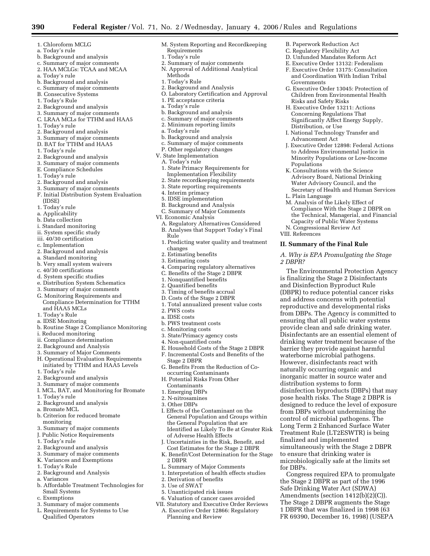- 1. Chloroform MCLG
- a. Today's rule
- b. Background and analysis
- c. Summary of major comments
- 2. HAA MCLGs: TCAA and MCAA
- a. Today's rule
- b. Background and analysis
- c. Summary of major comments
- B. Consecutive Systems
- 1. Today's Rule
- 2. Background and analysis
- 3. Summary of major comments C. LRAA MCLs for TTHM and HAA5
- 1. Today's rule
- 2. Background and analysis
- 3. Summary of major comments
- D. BAT for TTHM and HAA5
- 1. Today's rule
- 2. Background and analysis
- 3. Summary of major comments
- E. Compliance Schedules
- 1. Today's rule
- 2. Background and analysis
- 3. Summary of major comments
- F. Initial Distribution System Evaluation (IDSE)
- 1. Today's rule
- a. Applicability
- b. Data collection
- i. Standard monitoring
- ii. System specific study
- iii. 40/30 certification
- c. Implementation
- 2. Background and analysis
- a. Standard monitoring
- b. Very small system waivers
- c. 40/30 certifications
- d. System specific studies
- e. Distribution System Schematics
- 3. Summary of major comments
- G. Monitoring Requirements and
- Compliance Determination for TTHM and HAA5 MCLs
- 1. Today's Rule
- a. IDSE Monitoring
- b. Routine Stage 2 Compliance Monitoring
- i. Reduced monitoring
- ii. Compliance determination
- 2. Background and Analysis
- 3. Summary of Major Comments
- H. Operational Evaluation Requirements initiated by TTHM and HAA5 Levels
- 1. Today's rule
- 2. Background and analysis
- 3. Summary of major comments
- I. MCL, BAT, and Monitoring for Bromate
- 1. Today's rule
- 2. Background and analysis
- a. Bromate MCL b. Criterion for reduced bromate
- monitoring
- 3. Summary of major comments
- J. Public Notice Requirements
- 1. Today's rule
- 2. Background and analysis
- 3. Summary of major comments
- K. Variances and Exemptions
- 1. Today's Rule
- 2. Background and Analysis
- a. Variances
- b. Affordable Treatment Technologies for Small Systems
- c. Exemptions
- 3. Summary of major comments
- L. Requirements for Systems to Use Qualified Operators

M. System Reporting and Recordkeeping Requirements

B. Paperwork Reduction Act C. Regulatory Flexibility Act D. Unfunded Mandates Reform Act E. Executive Order 13132: Federalism F. Executive Order 13175: Consultation and Coordination With Indian Tribal

Risks and Safety Risks H. Executive Order 13211: Actions Concerning Regulations That Significantly Affect Energy Supply,

Distribution, or Use

Advancement Act

Populations

L. Plain Language

VIII. References

*2 DBPR?* 

G. Executive Order 13045: Protection of Children from Environmental Health

I. National Technology Transfer and

K. Consultations with the Science Advisory Board, National Drinking Water Advisory Council, and the Secretary of Health and Human Services

M. Analysis of the Likely Effect of Compliance With the Stage 2 DBPR on the Technical, Managerial, and Financial Capacity of Public Water Systems N. Congressional Review Act

**II. Summary of the Final Rule** 

distribution systems to form

finalized and implemented

for DBPs.

disinfection byproducts (DBPs) that may pose health risks. The Stage 2 DBPR is designed to reduce the level of exposure from DBPs without undermining the control of microbial pathogens. The Long Term 2 Enhanced Surface Water Treatment Rule (LT2ESWTR) is being

simultaneously with the Stage 2 DBPR to ensure that drinking water is microbiologically safe at the limits set

Congress required EPA to promulgate the Stage 2 DBPR as part of the 1996 Safe Drinking Water Act (SDWA) Amendments (section 1412(b)(2)(C)). The Stage 2 DBPR augments the Stage 1 DBPR that was finalized in 1998 (63 FR 69390, December 16, 1998) (USEPA

*A. Why is EPA Promulgating the Stage* 

The Environmental Protection Agency is finalizing the Stage 2 Disinfectants and Disinfection Byproduct Rule (DBPR) to reduce potential cancer risks and address concerns with potential reproductive and developmental risks from DBPs. The Agency is committed to ensuring that all public water systems provide clean and safe drinking water. Disinfectants are an essential element of drinking water treatment because of the barrier they provide against harmful waterborne microbial pathogens. However, disinfectants react with naturally occurring organic and inorganic matter in source water and

J. Executive Order 12898: Federal Actions to Address Environmental Justice in Minority Populations or Low-Income

Governments

- 1. Today's rule
- 2. Summary of major comments
- N. Approval of Additional Analytical Methods
- 1. Today's Rule
- 2. Background and Analysis
- O. Laboratory Certification and Approval
- 1. PE acceptance criteria
- a. Today's rule
- b. Background and analysis
- c. Summary of major comments
- 2. Minimum reporting limits
- a. Today's rule
- b. Background and analysis
- c. Summary of major comments
- P. Other regulatory changes
- V. State Implementation
	- A. Today's rule
	- 1. State Primacy Requirements for Implementation Flexibility
	- 2. State recordkeeping requirements
	- 3. State reporting requirements
	- 4. Interim primacy
	- 5. IDSE implementation
	- B. Background and Analysis
- C. Summary of Major Comments
- VI. Economic Analysis

3. Estimating costs

2. PWS costs a. IDSE costs

b. PWS treatment costs c. Monitoring costs

Stage 2 DBPR

Contaminants 1. Emerging DBPs 2. N-nitrosamines 3. Other DBPs

2 DBPR

3. State/Primacy agency costs 4. Non-quantified costs

occurring Contaminants H. Potential Risks From Other

A. Regulatory Alternatives Considered B. Analyses that Support Today's Final

4. Comparing regulatory alternatives C. Benefits of the Stage 2 DBPR 1. Nonquantified benefits 2. Quantified benefits 3. Timing of benefits accrual D. Costs of the Stage 2 DBPR

1. Total annualized present value costs

E. Household Costs of the Stage 2 DBPR F. Incremental Costs and Benefits of the

G. Benefits From the Reduction of Co-

I. Effects of the Contaminant on the General Population and Groups within the General Population that are

of Adverse Health Effects

L. Summary of Major Comments 1. Interpretation of health effects studies

2. Derivation of benefits 3. Use of SWAT

5. Unanticipated risk issues 6. Valuation of cancer cases avoided VII. Statutory and Executive Order Reviews A. Executive Order 12866: Regulatory

Planning and Review

Identified as Likely To Be at Greater Risk

J. Uncertainties in the Risk, Benefit, and Cost Estimates for the Stage 2 DBPR K. Benefit/Cost Determination for the Stage

- Rule
- 1. Predicting water quality and treatment changes 2. Estimating benefits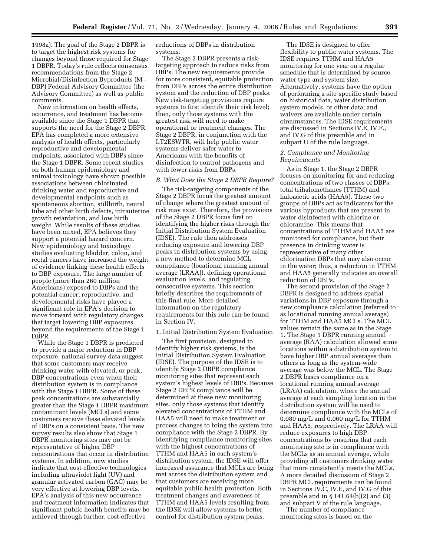1998a). The goal of the Stage 2 DBPR is to target the highest risk systems for changes beyond those required for Stage 1 DBPR. Today's rule reflects consensus recommendations from the Stage 2 Microbial/Disinfection Byproducts (M– DBP) Federal Advisory Committee (the Advisory Committee) as well as public comments.

New information on health effects, occurrence, and treatment has become available since the Stage 1 DBPR that supports the need for the Stage 2 DBPR. EPA has completed a more extensive analysis of health effects, particularly reproductive and developmental endpoints, associated with DBPs since the Stage 1 DBPR. Some recent studies on both human epidemiology and animal toxicology have shown possible associations between chlorinated drinking water and reproductive and developmental endpoints such as spontaneous abortion, stillbirth, neural tube and other birth defects, intrauterine growth retardation, and low birth weight. While results of these studies have been mixed, EPA believes they support a potential hazard concern. New epidemiology and toxicology studies evaluating bladder, colon, and rectal cancers have increased the weight of evidence linking these health effects to DBP exposure. The large number of people (more than 260 million Americans) exposed to DBPs and the potential cancer, reproductive, and developmental risks have played a significant role in EPA's decision to move forward with regulatory changes that target lowering DBP exposures beyond the requirements of the Stage 1 DBPR.

While the Stage 1 DBPR is predicted to provide a major reduction in DBP exposure, national survey data suggest that some customers may receive drinking water with elevated, or peak, DBP concentrations even when their distribution system is in compliance with the Stage 1 DBPR. Some of these peak concentrations are substantially greater than the Stage 1 DBPR maximum contaminant levels (MCLs) and some customers receive these elevated levels of DBPs on a consistent basis. The new survey results also show that Stage 1 DBPR monitoring sites may not be representative of higher DBP concentrations that occur in distribution systems. In addition, new studies indicate that cost-effective technologies including ultraviolet light (UV) and granular activated carbon (GAC) may be very effective at lowering DBP levels. EPA's analysis of this new occurrence and treatment information indicates that significant public health benefits may be achieved through further, cost-effective

reductions of DBPs in distribution systems.

The Stage 2 DBPR presents a risktargeting approach to reduce risks from DBPs. The new requirements provide for more consistent, equitable protection from DBPs across the entire distribution system and the reduction of DBP peaks. New risk-targeting provisions require systems to first identify their risk level; then, only those systems with the greatest risk will need to make operational or treatment changes. The Stage 2 DBPR, in conjunction with the LT2ESWTR, will help public water systems deliver safer water to Americans with the benefits of disinfection to control pathogens and with fewer risks from DBPs.

#### *B. What Does the Stage 2 DBPR Require?*

The risk-targeting components of the Stage 2 DBPR focus the greatest amount of change where the greatest amount of risk may exist. Therefore, the provisions of the Stage 2 DBPR focus first on identifying the higher risks through the Initial Distribution System Evaluation (IDSE). The rule then addresses reducing exposure and lowering DBP peaks in distribution systems by using a new method to determine MCL compliance (locational running annual average (LRAA)), defining operational evaluation levels, and regulating consecutive systems. This section briefly describes the requirements of this final rule. More detailed information on the regulatory requirements for this rule can be found in Section IV.

#### 1. Initial Distribution System Evaluation

The first provision, designed to identify higher risk systems, is the Initial Distribution System Evaluation (IDSE). The purpose of the IDSE is to identify Stage 2 DBPR compliance monitoring sites that represent each system's highest levels of DBPs. Because Stage 2 DBPR compliance will be determined at these new monitoring sites, only those systems that identify elevated concentrations of TTHM and HAA5 will need to make treatment or process changes to bring the system into compliance with the Stage 2 DBPR. By identifying compliance monitoring sites with the highest concentrations of TTHM and HAA5 in each system's distribution system, the IDSE will offer increased assurance that MCLs are being met across the distribution system and that customers are receiving more equitable public health protection. Both treatment changes and awareness of TTHM and HAA5 levels resulting from the IDSE will allow systems to better control for distribution system peaks.

The IDSE is designed to offer flexibility to public water systems. The IDSE requires TTHM and HAA5 monitoring for one year on a regular schedule that is determined by source water type and system size. Alternatively, systems have the option of performing a site-specific study based on historical data, water distribution system models, or other data; and waivers are available under certain circumstances. The IDSE requirements are discussed in Sections IV.E, IV.F., and IV.G of this preamble and in subpart U of the rule language.

#### *2. Compliance and Monitoring Requirements*

As in Stage 1, the Stage 2 DBPR focuses on monitoring for and reducing concentrations of two classes of DBPs: total trihalomethanes (TTHM) and haloacetic acids (HAA5). These two groups of DBPs act as indicators for the various byproducts that are present in water disinfected with chlorine or chloramine. This means that concentrations of TTHM and HAA5 are monitored for compliance, but their presence in drinking water is representative of many other chlorination DBPs that may also occur in the water; thus, a reduction in TTHM and HAA5 generally indicates an overall reduction of DBPs.

The second provision of the Stage 2 DBPR is designed to address spatial variations in DBP exposure through a new compliance calculation (referred to as locational running annual average) for TTHM and HAA5 MCLs. The MCL values remain the same as in the Stage 1. The Stage 1 DBPR running annual average (RAA) calculation allowed some locations within a distribution system to have higher DBP annual averages than others as long as the system-wide average was below the MCL. The Stage 2 DBPR bases compliance on a locational running annual average (LRAA) calculation, where the annual average at each sampling location in the distribution system will be used to determine compliance with the MCLs of 0.080 mg/L and 0.060 mg/L for TTHM and HAA5, respectively. The LRAA will reduce exposures to high DBP concentrations by ensuring that each monitoring site is in compliance with the MCLs as an annual average, while providing all customers drinking water that more consistently meets the MCLs. A more detailed discussion of Stage 2 DBPR MCL requirements can be found in Sections IV.C, IV.E, and IV.G of this preamble and in § 141.64(b)(2) and (3) and subpart V of the rule language.

The number of compliance monitoring sites is based on the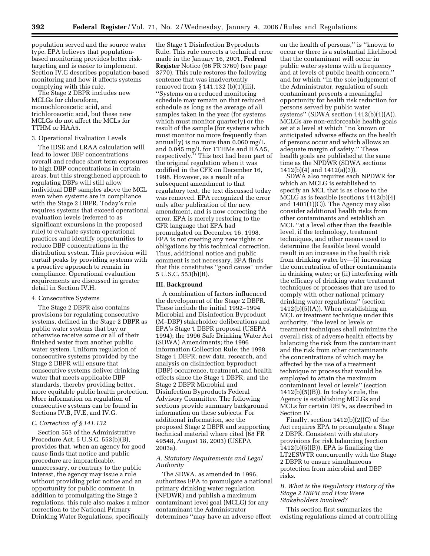population served and the source water type. EPA believes that populationbased monitoring provides better risktargeting and is easier to implement. Section IV.G describes population-based monitoring and how it affects systems complying with this rule.

The Stage 2 DBPR includes new MCLGs for chloroform, monochloroacetic acid, and trichloroacetic acid, but these new MCLGs do not affect the MCLs for TTHM or HAA5.

#### 3. Operational Evaluation Levels

The IDSE and LRAA calculation will lead to lower DBP concentrations overall and reduce short term exposures to high DBP concentrations in certain areas, but this strengthened approach to regulating DBPs will still allow individual DBP samples above the MCL even when systems are in compliance with the Stage 2 DBPR. Today's rule requires systems that exceed operational evaluation levels (referred to as significant excursions in the proposed rule) to evaluate system operational practices and identify opportunities to reduce DBP concentrations in the distribution system. This provision will curtail peaks by providing systems with a proactive approach to remain in compliance. Operational evaluation requirements are discussed in greater detail in Section IV.H.

# 4. Consecutive Systems

The Stage 2 DBPR also contains provisions for regulating consecutive systems, defined in the Stage 2 DBPR as public water systems that buy or otherwise receive some or all of their finished water from another public water system. Uniform regulation of consecutive systems provided by the Stage 2 DBPR will ensure that consecutive systems deliver drinking water that meets applicable DBP standards, thereby providing better, more equitable public health protection. More information on regulation of consecutive systems can be found in Sections IV.B, IV.E, and IV.G.

# *C. Correction of § 141.132*

Section 553 of the Administrative Procedure Act, 5 U.S.C. 553(b)(B), provides that, when an agency for good cause finds that notice and public procedure are impracticable, unnecessary, or contrary to the public interest, the agency may issue a rule without providing prior notice and an opportunity for public comment. In addition to promulgating the Stage 2 regulations, this rule also makes a minor correction to the National Primary Drinking Water Regulations, specifically

the Stage 1 Disinfection Byproducts Rule. This rule corrects a technical error made in the January 16, 2001, **Federal Register** Notice (66 FR 3769) (see page 3770). This rule restores the following sentence that was inadvertently removed from § 141.132 (b)(1)(iii), ''Systems on a reduced monitoring schedule may remain on that reduced schedule as long as the average of all samples taken in the year (for systems which must monitor quarterly) or the result of the sample (for systems which must monitor no more frequently than annually) is no more than 0.060 mg/L and 0.045 mg/L for TTHMs and HAA5, respectively.'' This text had been part of the original regulation when it was codified in the CFR on December 16, 1998. However, as a result of a subsequent amendment to that regulatory text, the text discussed today was removed. EPA recognized the error only after publication of the new amendment, and is now correcting the error. EPA is merely restoring to the CFR language that EPA had promulgated on December 16, 1998. EPA is not creating any new rights or obligations by this technical correction. Thus, additional notice and public comment is not necessary. EPA finds that this constitutes ''good cause'' under 5 U.S.C. 553(b)(B).

#### **III. Background**

A combination of factors influenced the development of the Stage 2 DBPR. These include the initial 1992–1994 Microbial and Disinfection Byproduct (M–DBP) stakeholder deliberations and EPA's Stage 1 DBPR proposal (USEPA 1994); the 1996 Safe Drinking Water Act (SDWA) Amendments; the 1996 Information Collection Rule; the 1998 Stage 1 DBPR; new data, research, and analysis on disinfection byproduct (DBP) occurrence, treatment, and health effects since the Stage 1 DBPR; and the Stage 2 DBPR Microbial and Disinfection Byproducts Federal Advisory Committee. The following sections provide summary background information on these subjects. For additional information, see the proposed Stage 2 DBPR and supporting technical material where cited (68 FR 49548, August 18, 2003) (USEPA 2003a).

# *A. Statutory Requirements and Legal Authority*

The SDWA, as amended in 1996, authorizes EPA to promulgate a national primary drinking water regulation (NPDWR) and publish a maximum contaminant level goal (MCLG) for any contaminant the Administrator determines ''may have an adverse effect

on the health of persons,'' is ''known to occur or there is a substantial likelihood that the contaminant will occur in public water systems with a frequency and at levels of public health concern,'' and for which ''in the sole judgement of the Administrator, regulation of such contaminant presents a meaningful opportunity for health risk reduction for persons served by public water systems" (SDWA section  $1412(b)(1)(A)$ ). MCLGs are non-enforceable health goals set at a level at which ''no known or anticipated adverse effects on the health of persons occur and which allows an adequate margin of safety.'' These health goals are published at the same time as the NPDWR (SDWA sections 1412(b)(4) and 1412(a)(3)).

SDWA also requires each NPDWR for which an MCLG is established to specify an MCL that is as close to the MCLG as is feasible (sections 1412(b)(4) and 1401(1)(C)). The Agency may also consider additional health risks from other contaminants and establish an MCL ''at a level other than the feasible level, if the technology, treatment techniques, and other means used to determine the feasible level would result in an increase in the health risk from drinking water by—(i) increasing the concentration of other contaminants in drinking water; or (ii) interfering with the efficacy of drinking water treatment techniques or processes that are used to comply with other national primary drinking water regulations'' (section 1412(b)(5)(A)). When establishing an MCL or treatment technique under this authority, ''the level or levels or treatment techniques shall minimize the overall risk of adverse health effects by balancing the risk from the contaminant and the risk from other contaminants the concentrations of which may be affected by the use of a treatment technique or process that would be employed to attain the maximum contaminant level or levels'' (section 1412(b)(5)(B)). In today's rule, the Agency is establishing MCLGs and MCLs for certain DBPs, as described in Section IV.

Finally, section 1412(b)(2)(C) of the Act requires EPA to promulgate a Stage 2 DBPR. Consistent with statutory provisions for risk balancing (section 1412(b)(5)(B)), EPA is finalizing the LT2ESWTR concurrently with the Stage 2 DBPR to ensure simultaneous protection from microbial and DBP risks.

# *B. What is the Regulatory History of the Stage 2 DBPR and How Were Stakeholders Involved?*

This section first summarizes the existing regulations aimed at controlling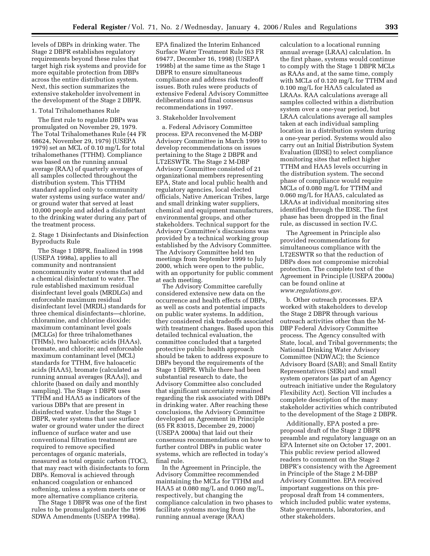levels of DBPs in drinking water. The Stage 2 DBPR establishes regulatory requirements beyond these rules that target high risk systems and provide for more equitable protection from DBPs across the entire distribution system. Next, this section summarizes the extensive stakeholder involvement in the development of the Stage 2 DBPR.

#### 1. Total Trihalomethanes Rule

The first rule to regulate DBPs was promulgated on November 29, 1979. The Total Trihalomethanes Rule (44 FR 68624, November 29, 1979) (USEPA 1979) set an MCL of 0.10 mg/L for total trihalomethanes (TTHM). Compliance was based on the running annual average (RAA) of quarterly averages of all samples collected throughout the distribution system. This TTHM standard applied only to community water systems using surface water and/ or ground water that served at least 10,000 people and added a disinfectant to the drinking water during any part of the treatment process.

2. Stage 1 Disinfectants and Disinfection Byproducts Rule

The Stage 1 DBPR, finalized in 1998 (USEPA 1998a), applies to all community and nontransient noncommunity water systems that add a chemical disinfectant to water. The rule established maximum residual disinfectant level goals (MRDLGs) and enforceable maximum residual disinfectant level (MRDL) standards for three chemical disinfectants—chlorine, chloramine, and chlorine dioxide; maximum contaminant level goals (MCLGs) for three trihalomethanes (THMs), two haloacetic acids (HAAs), bromate, and chlorite; and enforceable maximum contaminant level (MCL) standards for TTHM, five haloacetic acids (HAA5), bromate (calculated as running annual averages (RAAs)), and chlorite (based on daily and monthly sampling). The Stage 1 DBPR uses TTHM and HAA5 as indicators of the various DBPs that are present in disinfected water. Under the Stage 1 DBPR, water systems that use surface water or ground water under the direct influence of surface water and use conventional filtration treatment are required to remove specified percentages of organic materials, measured as total organic carbon (TOC), that may react with disinfectants to form DBPs. Removal is achieved through enhanced coagulation or enhanced softening, unless a system meets one or more alternative compliance criteria.

The Stage 1 DBPR was one of the first rules to be promulgated under the 1996 SDWA Amendments (USEPA 1998a).

EPA finalized the Interim Enhanced Surface Water Treatment Rule (63 FR 69477, December 16, 1998) (USEPA 1998b) at the same time as the Stage 1 DBPR to ensure simultaneous compliance and address risk tradeoff issues. Both rules were products of extensive Federal Advisory Committee deliberations and final consensus recommendations in 1997.

#### 3. Stakeholder Involvement

a. Federal Advisory Committee process. EPA reconvened the M-DBP Advisory Committee in March 1999 to develop recommendations on issues pertaining to the Stage 2 DBPR and LT2ESWTR. The Stage 2 M-DBP Advisory Committee consisted of 21 organizational members representing EPA, State and local public health and regulatory agencies, local elected officials, Native American Tribes, large and small drinking water suppliers, chemical and equipment manufacturers, environmental groups, and other stakeholders. Technical support for the Advisory Committee's discussions was provided by a technical working group established by the Advisory Committee. The Advisory Committee held ten meetings from September 1999 to July 2000, which were open to the public, with an opportunity for public comment at each meeting.

The Advisory Committee carefully considered extensive new data on the occurrence and health effects of DBPs, as well as costs and potential impacts on public water systems. In addition, they considered risk tradeoffs associated with treatment changes. Based upon this detailed technical evaluation, the committee concluded that a targeted protective public health approach should be taken to address exposure to DBPs beyond the requirements of the Stage 1 DBPR. While there had been substantial research to date, the Advisory Committee also concluded that significant uncertainty remained regarding the risk associated with DBPs in drinking water. After reaching these conclusions, the Advisory Committee developed an Agreement in Principle (65 FR 83015, December 29, 2000) (USEPA 2000a) that laid out their consensus recommendations on how to further control DBPs in public water systems, which are reflected in today's final rule.

In the Agreement in Principle, the Advisory Committee recommended maintaining the MCLs for TTHM and HAA5 at 0.080 mg/L and 0.060 mg/L, respectively, but changing the compliance calculation in two phases to facilitate systems moving from the running annual average (RAA)

calculation to a locational running annual average (LRAA) calculation. In the first phase, systems would continue to comply with the Stage 1 DBPR MCLs as RAAs and, at the same time, comply with MCLs of 0.120 mg/L for TTHM and 0.100 mg/L for HAA5 calculated as LRAAs. RAA calculations average all samples collected within a distribution system over a one-year period, but LRAA calculations average all samples taken at each individual sampling location in a distribution system during a one-year period. Systems would also carry out an Initial Distribution System Evaluation (IDSE) to select compliance monitoring sites that reflect higher TTHM and HAA5 levels occurring in the distribution system. The second phase of compliance would require MCLs of 0.080 mg/L for TTHM and 0.060 mg/L for HAA5, calculated as LRAAs at individual monitoring sites identified through the IDSE. The first phase has been dropped in the final rule, as discussed in section IV.C.

The Agreement in Principle also provided recommendations for simultaneous compliance with the LT2ESWTR so that the reduction of DBPs does not compromise microbial protection. The complete text of the Agreement in Principle (USEPA 2000a) can be found online at *www.regulations.gov*.

b. Other outreach processes. EPA worked with stakeholders to develop the Stage 2 DBPR through various outreach activities other than the M-DBP Federal Advisory Committee process. The Agency consulted with State, local, and Tribal governments; the National Drinking Water Advisory Committee (NDWAC); the Science Advisory Board (SAB); and Small Entity Representatives (SERs) and small system operators (as part of an Agency outreach initiative under the Regulatory Flexibility Act). Section VII includes a complete description of the many stakeholder activities which contributed to the development of the Stage 2 DBPR.

Additionally, EPA posted a preproposal draft of the Stage 2 DBPR preamble and regulatory language on an EPA Internet site on October 17, 2001. This public review period allowed readers to comment on the Stage 2 DBPR's consistency with the Agreement in Principle of the Stage 2 M-DBP Advisory Committee. EPA received important suggestions on this preproposal draft from 14 commenters, which included public water systems, State governments, laboratories, and other stakeholders.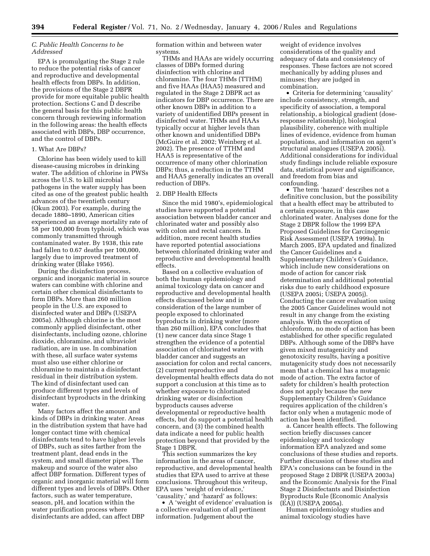# *C. Public Health Concerns to be Addressed*

EPA is promulgating the Stage 2 rule to reduce the potential risks of cancer and reproductive and developmental health effects from DBPs. In addition, the provisions of the Stage 2 DBPR provide for more equitable public health protection. Sections C and D describe the general basis for this public health concern through reviewing information in the following areas: the health effects associated with DBPs, DBP occurrence, and the control of DBPs.

# 1. What Are DBPs?

Chlorine has been widely used to kill disease-causing microbes in drinking water. The addition of chlorine in PWSs across the U.S. to kill microbial pathogens in the water supply has been cited as one of the greatest public health advances of the twentieth century (Okun 2003). For example, during the decade 1880–1890, American cities experienced an average mortality rate of 58 per 100,000 from typhoid, which was commonly transmitted through contaminated water. By 1938, this rate had fallen to 0.67 deaths per 100,000, largely due to improved treatment of drinking water (Blake 1956).

During the disinfection process, organic and inorganic material in source waters can combine with chlorine and certain other chemical disinfectants to form DBPs. More than 260 million people in the U.S. are exposed to disinfected water and DBPs (USEPA 2005a). Although chlorine is the most commonly applied disinfectant, other disinfectants, including ozone, chlorine dioxide, chloramine, and ultraviolet radiation, are in use. In combination with these, all surface water systems must also use either chlorine or chloramine to maintain a disinfectant residual in their distribution system. The kind of disinfectant used can produce different types and levels of disinfectant byproducts in the drinking water.

Many factors affect the amount and kinds of DBPs in drinking water. Areas in the distribution system that have had longer contact time with chemical disinfectants tend to have higher levels of DBPs, such as sites farther from the treatment plant, dead ends in the system, and small diameter pipes. The makeup and source of the water also affect DBP formation. Different types of organic and inorganic material will form different types and levels of DBPs. Other factors, such as water temperature, season, pH, and location within the water purification process where disinfectants are added, can affect DBP

formation within and between water systems.

THMs and HAAs are widely occurring classes of DBPs formed during disinfection with chlorine and chloramine. The four THMs (TTHM) and five HAAs (HAA5) measured and regulated in the Stage 2 DBPR act as indicators for DBP occurrence. There are other known DBPs in addition to a variety of unidentified DBPs present in disinfected water. THMs and HAAs typically occur at higher levels than other known and unidentified DBPs (McGuire et al. 2002; Weinberg et al. 2002). The presence of TTHM and HAA5 is representative of the occurrence of many other chlorination DBPs; thus, a reduction in the TTHM and HAA5 generally indicates an overall reduction of DBPs.

#### 2. DBP Health Effects

Since the mid 1980's, epidemiological studies have supported a potential association between bladder cancer and chlorinated water and possibly also with colon and rectal cancers. In addition, more recent health studies have reported potential associations between chlorinated drinking water and reproductive and developmental health effects.

Based on a collective evaluation of both the human epidemiology and animal toxicology data on cancer and reproductive and developmental health effects discussed below and in consideration of the large number of people exposed to chlorinated byproducts in drinking water (more than 260 million), EPA concludes that (1) new cancer data since Stage 1 strengthen the evidence of a potential association of chlorinated water with bladder cancer and suggests an association for colon and rectal cancers, (2) current reproductive and developmental health effects data do not support a conclusion at this time as to whether exposure to chlorinated drinking water or disinfection byproducts causes adverse developmental or reproductive health effects, but do support a potential health concern, and (3) the combined health data indicate a need for public health protection beyond that provided by the Stage 1 DBPR.

This section summarizes the key information in the areas of cancer, reproductive, and developmental health studies that EPA used to arrive at these conclusions. Throughout this writeup, EPA uses 'weight of evidence,' 'causality,' and 'hazard' as follows:

• A 'weight of evidence' evaluation is a collective evaluation of all pertinent information. Judgement about the

weight of evidence involves considerations of the quality and adequacy of data and consistency of responses. These factors are not scored mechanically by adding pluses and minuses; they are judged in combination.

• Criteria for determining 'causality' include consistency, strength, and specificity of association, a temporal relationship, a biological gradient (doseresponse relationship), biological plausibility, coherence with multiple lines of evidence, evidence from human populations, and information on agent's structural analogues (USEPA 2005i). Additional considerations for individual study findings include reliable exposure data, statistical power and significance, and freedom from bias and confounding.

• The term 'hazard' describes not a definitive conclusion, but the possibility that a health effect may be attributed to a certain exposure, in this case chlorinated water. Analyses done for the Stage 2 DBPR follow the 1999 EPA Proposed Guidelines for Carcinogenic Risk Assessment (USEPA 1999a). In March 2005, EPA updated and finalized the Cancer Guidelines and a Supplementary Children's Guidance, which include new considerations on mode of action for cancer risk determination and additional potential risks due to early childhood exposure (USEPA 2005i; USEPA 2005j). Conducting the cancer evaluation using the 2005 Cancer Guidelines would not result in any change from the existing analysis. With the exception of chloroform, no mode of action has been established for other specific regulated DBPs. Although some of the DBPs have given mixed mutagenicity and genotoxicity results, having a positive mutagenicity study does not necessarily mean that a chemical has a mutagenic mode of action. The extra factor of safety for children's health protection does not apply because the new Supplementary Children's Guidance requires application of the children's factor only when a mutagenic mode of action has been identified.

a. Cancer health effects. The following section briefly discusses cancer epidemiology and toxicology information EPA analyzed and some conclusions of these studies and reports. Further discussion of these studies and EPA's conclusions can be found in the proposed Stage 2 DBPR (USEPA 2003a) and the Economic Analysis for the Final Stage 2 Disinfectants and Disinfection Byproducts Rule (Economic Analysis (EA)) (USEPA 2005a).

Human epidemiology studies and animal toxicology studies have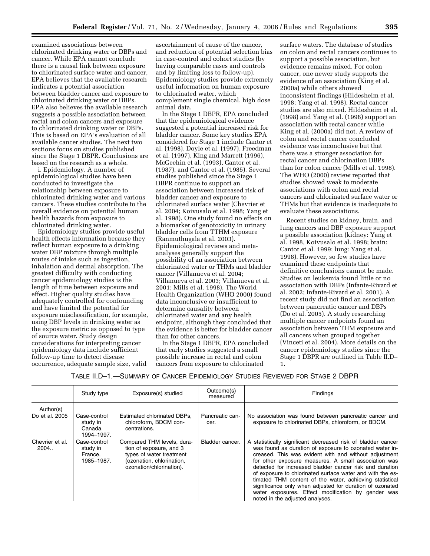examined associations between chlorinated drinking water or DBPs and cancer. While EPA cannot conclude there is a causal link between exposure to chlorinated surface water and cancer, EPA believes that the available research indicates a potential association between bladder cancer and exposure to chlorinated drinking water or DBPs. EPA also believes the available research suggests a possible association between rectal and colon cancers and exposure to chlorinated drinking water or DBPs. This is based on EPA's evaluation of all available cancer studies. The next two sections focus on studies published since the Stage 1 DBPR. Conclusions are based on the research as a whole.

i. Epidemiology. A number of epidemiological studies have been conducted to investigate the relationship between exposure to chlorinated drinking water and various cancers. These studies contribute to the overall evidence on potential human health hazards from exposure to chlorinated drinking water.

Epidemiology studies provide useful health effects information because they reflect human exposure to a drinking water DBP mixture through multiple routes of intake such as ingestion, inhalation and dermal absorption. The greatest difficulty with conducting cancer epidemiology studies is the length of time between exposure and effect. Higher quality studies have adequately controlled for confounding and have limited the potential for exposure misclassification, for example, using DBP levels in drinking water as the exposure metric as opposed to type of source water. Study design considerations for interpreting cancer epidemiology data include sufficient follow-up time to detect disease occurrence, adequate sample size, valid

ascertainment of cause of the cancer, and reduction of potential selection bias in case-control and cohort studies (by having comparable cases and controls and by limiting loss to follow-up). Epidemiology studies provide extremely useful information on human exposure to chlorinated water, which complement single chemical, high dose animal data.

In the Stage 1 DBPR, EPA concluded that the epidemiological evidence suggested a potential increased risk for bladder cancer. Some key studies EPA considered for Stage 1 include Cantor et al. (1998), Doyle et al. (1997), Freedman et al. (1997), King and Marrett (1996), McGeehin et al. (1993), Cantor et al. (1987), and Cantor et al. (1985). Several studies published since the Stage 1 DBPR continue to support an association between increased risk of bladder cancer and exposure to chlorinated surface water (Chevrier et al. 2004; Koivusalo et al. 1998; Yang et al. 1998). One study found no effects on a biomarker of genotoxicity in urinary bladder cells from TTHM exposure (Ranmuthugala et al. 2003). Epidemiological reviews and metaanalyses generally support the possibility of an association between chlorinated water or THMs and bladder cancer (Villanueva et al. 2004; Villanueva et al. 2003; Villanueva et al. 2001; Mills et al. 1998). The World Health Organization (WHO 2000) found data inconclusive or insufficient to determine causality between chlorinated water and any health endpoint, although they concluded that the evidence is better for bladder cancer than for other cancers.

In the Stage 1 DBPR, EPA concluded that early studies suggested a small possible increase in rectal and colon cancers from exposure to chlorinated

surface waters. The database of studies on colon and rectal cancers continues to support a possible association, but evidence remains mixed. For colon cancer, one newer study supports the evidence of an association (King et al. 2000a) while others showed inconsistent findings (Hildesheim et al. 1998; Yang et al. 1998). Rectal cancer studies are also mixed. Hildesheim et al. (1998) and Yang et al. (1998) support an association with rectal cancer while King et al. (2000a) did not. A review of colon and rectal cancer concluded evidence was inconclusive but that there was a stronger association for rectal cancer and chlorination DBPs than for colon cancer (Mills et al. 1998). The WHO (2000) review reported that studies showed weak to moderate associations with colon and rectal cancers and chlorinated surface water or THMs but that evidence is inadequate to evaluate these associations.

Recent studies on kidney, brain, and lung cancers and DBP exposure support a possible association (kidney: Yang et al. 1998, Koivusalo et al. 1998; brain: Cantor et al. 1999; lung: Yang et al. 1998). However, so few studies have examined these endpoints that definitive conclusions cannot be made. Studies on leukemia found little or no association with DBPs (Infante-Rivard et al. 2002; Infante-Rivard et al. 2001). A recent study did not find an association between pancreatic cancer and DBPs (Do et al. 2005). A study researching multiple cancer endpoints found an association between THM exposure and all cancers when grouped together (Vinceti et al. 2004). More details on the cancer epidemiology studies since the Stage 1 DBPR are outlined in Table II.D– 1.

|                         | Study type                                        | Exposure(s) studied                                                                                                                        | Outcome(s)<br>measured  | Findings                                                                                                                                                                                                                                                                                                                                                                                                                                                                                                                                                                         |
|-------------------------|---------------------------------------------------|--------------------------------------------------------------------------------------------------------------------------------------------|-------------------------|----------------------------------------------------------------------------------------------------------------------------------------------------------------------------------------------------------------------------------------------------------------------------------------------------------------------------------------------------------------------------------------------------------------------------------------------------------------------------------------------------------------------------------------------------------------------------------|
| Author(s)               |                                                   |                                                                                                                                            |                         |                                                                                                                                                                                                                                                                                                                                                                                                                                                                                                                                                                                  |
| Do et al. 2005          | Case-control<br>study in<br>Canada,<br>1994-1997. | Estimated chlorinated DBPs.<br>chloroform, BDCM con-<br>centrations.                                                                       | Pancreatic can-<br>cer. | No association was found between pancreatic cancer and<br>exposure to chlorinated DBPs, chloroform, or BDCM.                                                                                                                                                                                                                                                                                                                                                                                                                                                                     |
| Chevrier et al.<br>2004 | Case-control<br>study in<br>France.<br>1985–1987. | Compared THM levels, dura-<br>tion of exposure, and 3<br>types of water treatment<br>(ozonation, chlorination,<br>ozonation/chlorination). | Bladder cancer.         | A statistically significant decreased risk of bladder cancer<br>was found as duration of exposure to ozonated water in-<br>creased. This was evident with and without adjustment<br>for other exposure measures. A small association was<br>detected for increased bladder cancer risk and duration<br>of exposure to chlorinated surface water and with the es-<br>timated THM content of the water, achieving statistical<br>significance only when adjusted for duration of ozonated<br>water exposures. Effect modification by gender was<br>noted in the adjusted analyses. |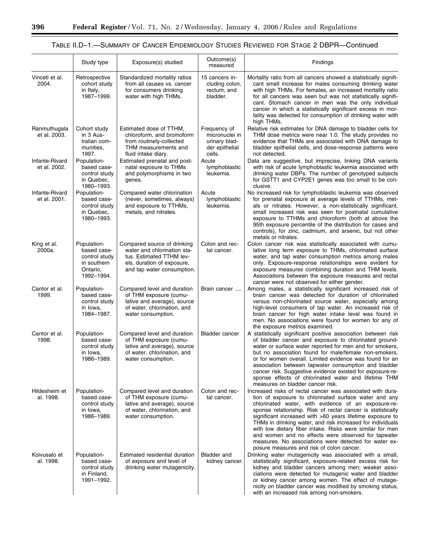$\equiv$ 

# TABLE II.D–1.—SUMMARY OF CANCER EPIDEMIOLOGY STUDIES REVIEWED FOR STAGE 2 DBPR—Continued

|                                | Study type                                                                           | Exposure(s) studied                                                                                                                                | Outcome(s)<br>measured                                                      | Findings                                                                                                                                                                                                                                                                                                                                                                                                                                                                                                                                                                                       |
|--------------------------------|--------------------------------------------------------------------------------------|----------------------------------------------------------------------------------------------------------------------------------------------------|-----------------------------------------------------------------------------|------------------------------------------------------------------------------------------------------------------------------------------------------------------------------------------------------------------------------------------------------------------------------------------------------------------------------------------------------------------------------------------------------------------------------------------------------------------------------------------------------------------------------------------------------------------------------------------------|
| Vinceti et al.<br>2004.        | Retrospective<br>cohort study<br>in Italy,<br>1987-1999.                             | Standardized mortality ratios<br>from all causes vs. cancer<br>for consumers drinking<br>water with high THMs.                                     | 15 cancers in-<br>cluding colon,<br>rectum, and<br>bladder.                 | Mortality ratio from all cancers showed a statistically signifi-<br>cant small increase for males consuming drinking water<br>with high THMs. For females, an increased mortality ratio<br>for all cancers was seen but was not statistically signifi-<br>cant. Stomach cancer in men was the only individual<br>cancer in which a statistically significant excess in mor-<br>tality was detected for consumption of drinking water with<br>high THMs.                                                                                                                                        |
| Ranmuthugala<br>et al. 2003.   | Cohort study<br>in 3 Aus-<br>tralian com-<br>munities,<br>1997.                      | Estimated dose of TTHM,<br>chloroform, and bromoform<br>from routinely-collected<br>THM measurements and<br>fluid intake diary.                    | Frequency of<br>micronuclei in<br>urinary blad-<br>der epithelial<br>cells. | Relative risk estimates for DNA damage to bladder cells for<br>THM dose metrics were near 1.0. The study provides no<br>evidence that THMs are associated with DNA damage to<br>bladder epithelial cells, and dose-response patterns were<br>not detected.                                                                                                                                                                                                                                                                                                                                     |
| Infante-Rivard<br>et al. 2002. | Population-<br>based case-<br>control study<br>in Quebec,<br>1980-1993.              | Estimated prenatal and post-<br>natal exposure to THMs<br>and polymorphisms in two<br>genes.                                                       | Acute<br>lymphoblastic<br>leukemia.                                         | Data are suggestive, but imprecise, linking DNA variants<br>with risk of acute lymphoblastic leukemia associated with<br>drinking water DBPs. The number of genotyped subjects<br>for GSTT1 and CYP2E1 genes was too small to be con-<br>clusive.                                                                                                                                                                                                                                                                                                                                              |
| Infante-Rivard<br>et al. 2001. | Population-<br>based case-<br>control study<br>in Quebec,<br>1980-1993.              | Compared water chlorination<br>(never, sometimes, always)<br>and exposure to TTHMs,<br>metals, and nitrates.                                       | Acute<br>lymphoblastic<br>leukemia.                                         | No increased risk for lymphoblastic leukemia was observed<br>for prenatal exposure at average levels of TTHMs, met-<br>als or nitrates. However, a non-statistically significant,<br>small increased risk was seen for postnatal cumulative<br>exposure to TTHMs and chloroform (both at above the<br>95th exposure percentile of the distribution for cases and<br>controls), for zinc, cadmium, and arsenic, but not other<br>metals or nitrates.                                                                                                                                            |
| King et al.<br>2000a.          | Population-<br>based case-<br>control study<br>in southern<br>Ontario,<br>1992-1994. | Compared source of drinking<br>water and chlorination sta-<br>tus. Estimated TTHM lev-<br>els, duration of exposure,<br>and tap water consumption. | Colon and rec-<br>tal cancer.                                               | Colon cancer risk was statistically associated with cumu-<br>lative long term exposure to THMs, chlorinated surface<br>water, and tap water consumption metrics among males<br>only. Exposure-response relationships were evident for<br>exposure measures combining duration and THM levels.<br>Associations between the exposure measures and rectal<br>cancer were not observed for either gender.                                                                                                                                                                                          |
| Cantor et al.<br>1999.         | Population-<br>based case-<br>control study<br>in Iowa,<br>1984-1987.                | Compared level and duration<br>of THM exposure (cumu-<br>lative and average), source<br>of water, chlorination, and<br>water consumption.          | Brain cancer                                                                | Among males, a statistically significant increased risk of<br>brain cancer was detected for duration of chlorinated<br>versus non-chlorinated source water, especially among<br>high-level consumers of tap water. An increased risk of<br>brain cancer for high water intake level was found in<br>men. No associations were found for women for any of<br>the exposure metrics examined.                                                                                                                                                                                                     |
| Cantor et al.<br>1998.         | Population-<br>based case-<br>control study<br>in Iowa,<br>1986-1989.                | Compared level and duration<br>of THM exposure (cumu-<br>lative and average), source<br>of water, chlorination, and<br>water consumption.          | <b>Bladder cancer</b>                                                       | A statistically significant positive association between risk<br>of bladder cancer and exposure to chlorinated ground-<br>water or surface water reported for men and for smokers,<br>but no association found for male/female non-smokers,<br>or for women overall. Limited evidence was found for an<br>association between tapwater consumption and bladder<br>cancer risk. Suggestive evidence existed for exposure-re-<br>sponse effects of chlorinated water and lifetime THM<br>measures on bladder cancer risk.                                                                        |
| Hildesheim et<br>al. 1998.     | Population-<br>based case-<br>control study<br>in Iowa,<br>1986-1989.                | Compared level and duration<br>of THM exposure (cumu-<br>lative and average), source<br>of water, chlorination, and<br>water consumption.          | Colon and rec-<br>tal cancer.                                               | Increased risks of rectal cancer was associated with dura-<br>tion of exposure to chlorinated surface water and any<br>chlorinated water, with evidence of an exposure-re-<br>sponse relationship. Risk of rectal cancer is statistically<br>significant increased with >60 years lifetime exposure to<br>THMs in drinking water, and risk increased for individuals<br>with low dietary fiber intake. Risks were similar for men<br>and women and no effects were observed for tapwater<br>measures. No associations were detected for water ex-<br>posure measures and risk of colon cancer. |
| Koivusalo et<br>al. 1998.      | Population-<br>based case-<br>control study<br>in Finland,<br>1991-1992.             | Estimated residential duration<br>of exposure and level of<br>drinking water mutagenicity.                                                         | Bladder and<br>kidney cancer.                                               | Drinking water mutagenicity was associated with a small,<br>statistically significant, exposure-related excess risk for<br>kidney and bladder cancers among men; weaker asso-<br>ciations were detected for mutagenic water and bladder<br>or kidney cancer among women. The effect of mutage-<br>nicity on bladder cancer was modified by smoking status,<br>with an increased risk among non-smokers.                                                                                                                                                                                        |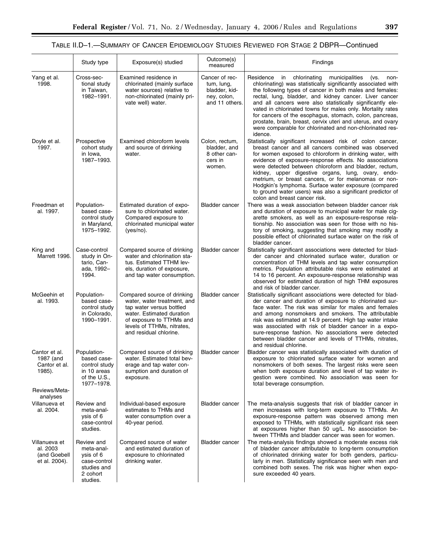|                                                            | Study type                                                                                   | Exposure(s) studied                                                                                                                                                                                     | Outcome(s)<br>measured                                                         | Findings                                                                                                                                                                                                                                                                                                                                                                                                                                                                                                                                                                     |
|------------------------------------------------------------|----------------------------------------------------------------------------------------------|---------------------------------------------------------------------------------------------------------------------------------------------------------------------------------------------------------|--------------------------------------------------------------------------------|------------------------------------------------------------------------------------------------------------------------------------------------------------------------------------------------------------------------------------------------------------------------------------------------------------------------------------------------------------------------------------------------------------------------------------------------------------------------------------------------------------------------------------------------------------------------------|
| Yang et al.<br>1998.                                       | Cross-sec-<br>tional study<br>in Taiwan,<br>1982-1991.                                       | Examined residence in<br>chlorinated (mainly surface<br>water sources) relative to<br>non-chlorinated (mainly pri-<br>vate well) water.                                                                 | Cancer of rec-<br>tum, lung,<br>bladder, kid-<br>ney, colon,<br>and 11 others. | Residence in chlorinating municipalities<br>(vs.<br>non-<br>chlorinating) was statistically significantly associated with<br>the following types of cancer in both males and females:<br>rectal, lung, bladder, and kidney cancer. Liver cancer<br>and all cancers were also statistically significantly ele-<br>vated in chlorinated towns for males only. Mortality rates<br>for cancers of the esophagus, stomach, colon, pancreas,<br>prostate, brain, breast, cervix uteri and uterus, and ovary<br>were comparable for chlorinated and non-chlorinated res-<br>idence. |
| Doyle et al.<br>1997.                                      | Prospective<br>cohort study<br>in Iowa,<br>1987-1993.                                        | Examined chloroform levels<br>and source of drinking<br>water.                                                                                                                                          | Colon, rectum,<br>bladder, and<br>8 other can-<br>cers in<br>women.            | Statistically significant increased risk of colon cancer,<br>breast cancer and all cancers combined was observed<br>for women exposed to chloroform in drinking water, with<br>evidence of exposure-response effects. No associations<br>were detected between chloroform and bladder, rectum,<br>kidney, upper digestive organs, lung, ovary, endo-<br>metrium, or breast cancers, or for melanomas or non-<br>Hodgkin's lymphoma. Surface water exposure (compared<br>to ground water users) was also a significant predictor of<br>colon and breast cancer risk.          |
| Freedman et<br>al. 1997.                                   | Population-<br>based case-<br>control study<br>in Maryland,<br>1975-1992.                    | Estimated duration of expo-<br>sure to chlorinated water.<br>Compared exposure to<br>chlorinated municipal water<br>(yes/no).                                                                           | <b>Bladder cancer</b>                                                          | There was a weak association between bladder cancer risk<br>and duration of exposure to municipal water for male cig-<br>arette smokers, as well as an exposure-response rela-<br>tionship. No association was seen for those with no his-<br>tory of smoking, suggesting that smoking may modify a<br>possible effect of chlorinated surface water on the risk of<br>bladder cancer.                                                                                                                                                                                        |
| King and<br>Marrett 1996.                                  | Case-control<br>study in On-<br>tario, Can-<br>ada, 1992-<br>1994.                           | Compared source of drinking<br>water and chlorination sta-<br>tus. Estimated TTHM lev-<br>els, duration of exposure,<br>and tap water consumption.                                                      | <b>Bladder cancer</b>                                                          | Statistically significant associations were detected for blad-<br>der cancer and chlorinated surface water, duration or<br>concentration of THM levels and tap water consumption<br>metrics. Population attributable risks were estimated at<br>14 to 16 percent. An exposure-response relationship was<br>observed for estimated duration of high THM exposures<br>and risk of bladder cancer.                                                                                                                                                                              |
| McGeehin et<br>al. 1993.                                   | Population-<br>based case-<br>control study<br>in Colorado,<br>1990-1991.                    | Compared source of drinking<br>water, water treatment, and<br>tap water versus bottled<br>water. Estimated duration<br>of exposure to TTHMs and<br>levels of TTHMs, nitrates,<br>and residual chlorine. | <b>Bladder cancer</b>                                                          | Statistically significant associations were detected for blad-<br>der cancer and duration of exposure to chlorinated sur-<br>face water. The risk was similar for males and females<br>and among nonsmokers and smokers. The attributable<br>risk was estimated at 14.9 percent. High tap water intake<br>was associated with risk of bladder cancer in a expo-<br>sure-response fashion. No associations were detected<br>between bladder cancer and levels of TTHMs, nitrates,<br>and residual chlorine.                                                                   |
| Cantor et al.<br>1987 (and<br>Cantor et al.<br>1985).      | Population-<br>based case-<br>control study<br>in 10 areas<br>of the U.S.,<br>1977-1978.     | Compared source of drinking<br>water. Estimated total bev-<br>erage and tap water con-<br>sumption and duration of<br>exposure.                                                                         | <b>Bladder cancer</b>                                                          | Bladder cancer was statistically associated with duration of<br>exposure to chlorinated surface water for women and<br>nonsmokers of both sexes. The largest risks were seen<br>when both exposure duration and level of tap water in-<br>gestion were combined. No association was seen for<br>total beverage consumption.                                                                                                                                                                                                                                                  |
| Reviews/Meta-<br>analyses                                  |                                                                                              |                                                                                                                                                                                                         |                                                                                |                                                                                                                                                                                                                                                                                                                                                                                                                                                                                                                                                                              |
| Villanueva et<br>al. 2004.                                 | Review and<br>meta-anal-<br>ysis of 6<br>case-control<br>studies.                            | Individual-based exposure<br>estimates to THMs and<br>water consumption over a<br>40-year period.                                                                                                       | <b>Bladder cancer</b>                                                          | The meta-analysis suggests that risk of bladder cancer in<br>men increases with long-term exposure to TTHMs. An<br>exposure-response pattern was observed among men<br>exposed to TTHMs, with statistically significant risk seen<br>at exposures higher than 50 ug/L. No association be-<br>tween TTHMs and bladder cancer was seen for women.                                                                                                                                                                                                                              |
| Villanueva et<br>al. 2003<br>(and Goebell<br>et al. 2004). | Review and<br>meta-anal-<br>ysis of 6<br>case-control<br>studies and<br>2 cohort<br>studies. | Compared source of water<br>and estimated duration of<br>exposure to chlorinated<br>drinking water.                                                                                                     | <b>Bladder cancer</b>                                                          | The meta-analysis findings showed a moderate excess risk<br>of bladder cancer attributable to long-term consumption<br>of chlorinated drinking water for both genders, particu-<br>larly in men. Statistically significance seen with men and<br>combined both sexes. The risk was higher when expo-<br>sure exceeded 40 years.                                                                                                                                                                                                                                              |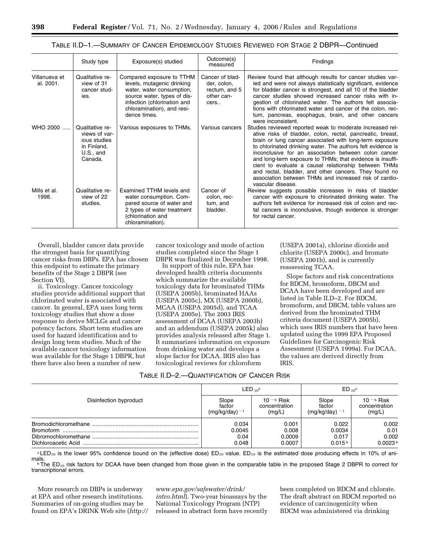|                            | Study type                                                                                | Exposure(s) studied                                                                                                                                                                              | Outcome(s)<br>measured                                                | Findings                                                                                                                                                                                                                                                                                                                                                                                                                                                                                                                                                               |
|----------------------------|-------------------------------------------------------------------------------------------|--------------------------------------------------------------------------------------------------------------------------------------------------------------------------------------------------|-----------------------------------------------------------------------|------------------------------------------------------------------------------------------------------------------------------------------------------------------------------------------------------------------------------------------------------------------------------------------------------------------------------------------------------------------------------------------------------------------------------------------------------------------------------------------------------------------------------------------------------------------------|
| Villanueva et<br>al. 2001. | Qualitative re-<br>view of 31<br>cancer stud-<br>ies.                                     | Compared exposure to TTHM<br>levels, mutagenic drinking<br>water, water consumption,<br>source water, types of dis-<br>infection (chlorination and<br>chloramination), and resi-<br>dence times. | Cancer of blad-<br>der, colon,<br>rectum, and 5<br>other can-<br>cers | Review found that although results for cancer studies var-<br>ied and were not always statistically significant, evidence<br>for bladder cancer is strongest, and all 10 of the bladder<br>cancer studies showed increased cancer risks with in-<br>gestion of chlorinated water. The authors felt associa-<br>tions with chlorinated water and cancer of the colon, rec-<br>tum, pancreas, esophagus, brain, and other cancers<br>were inconsistent.                                                                                                                  |
| $WHO 2000$                 | Qualitative re-<br>views of var-<br>ious studies<br>in Finland,<br>$U.S.,$ and<br>Canada. | Various exposures to THMs.                                                                                                                                                                       | Various cancers                                                       | Studies reviewed reported weak to moderate increased rel-<br>ative risks of bladder, colon, rectal, pancreatic, breast,<br>brain or lung cancer associated with long-term exposure<br>to chlorinated drinking water. The authors felt evidence is<br>inconclusive for an association between colon cancer<br>and long-term exposure to THMs; that evidence is insuffi-<br>cient to evaluate a causal relationship between THMs<br>and rectal, bladder, and other cancers. They found no<br>association between THMs and increased risk of cardio-<br>vascular disease. |
| Mills et al.<br>1998.      | Qualitative re-<br>view of 22<br>studies.                                                 | Examined TTHM levels and<br>water consumption. Com-<br>pared source of water and<br>2 types of water treatment<br>(chlorination and<br>chloramination).                                          | Cancer of<br>colon, rec-<br>tum, and<br>bladder.                      | Review suggests possible increases in risks of bladder<br>cancer with exposure to chlorinated drinking water. The<br>authors felt evidence for increased risk of colon and rec-<br>tal cancers is inconclusive, though evidence is stronger<br>for rectal cancer.                                                                                                                                                                                                                                                                                                      |

TABLE II.D–1.—SUMMARY OF CANCER EPIDEMIOLOGY STUDIES REVIEWED FOR STAGE 2 DBPR—Continued

Overall, bladder cancer data provide the strongest basis for quantifying cancer risks from DBPs. EPA has chosen this endpoint to estimate the primary benefits of the Stage 2 DBPR (see Section VI).

ii. Toxicology. Cancer toxicology studies provide additional support that chlorinated water is associated with cancer. In general, EPA uses long term toxicology studies that show a dose response to derive MCLGs and cancer potency factors. Short term studies are used for hazard identification and to design long term studies. Much of the available cancer toxicology information was available for the Stage 1 DBPR, but there have also been a number of new

cancer toxicology and mode of action studies completed since the Stage 1 DBPR was finalized in December 1998.

In support of this rule, EPA has developed health criteria documents which summarize the available toxicology data for brominated THMs (USEPA 2005b), brominated HAAs (USEPA 2005c), MX (USEPA 2000b), MCAA (USEPA 2005d), and TCAA (USEPA 2005e). The 2003 IRIS assessment of DCAA (USEPA 2003b) and an addendum (USEPA 2005k) also provides analysis released after Stage 1. It summarizes information on exposure from drinking water and develops a slope factor for DCAA. IRIS also has toxicological reviews for chloroform

| TABLE II.D-2.—QUANTIFICATION OF CANCER RISK |
|---------------------------------------------|
|---------------------------------------------|

(USEPA 2001a), chlorine dioxide and chlorite (USEPA 2000c), and bromate (USEPA 2001b), and is currently reassessing TCAA.

Slope factors and risk concentrations for BDCM, bromoform, DBCM and DCAA have been developed and are listed in Table II.D–2. For BDCM, bromoform, and DBCM, table values are derived from the brominated THM criteria document (USEPA 2005b), which uses IRIS numbers that have been updated using the 1999 EPA Proposed Guidelines for Carcinogenic Risk Assessment (USEPA 1999a). For DCAA, the values are derived directly from IRIS.

|                        | $LED_{10}^{\mathrm{a}}$ |               | $ED_{10}^{\text{a}}$ |                     |
|------------------------|-------------------------|---------------|----------------------|---------------------|
| Disinfection byproduct | Slope                   | $10 - 6$ Risk | Slope                | 10 $-6$ Risk        |
|                        | factor                  | concentration | factor               | concentration       |
|                        | $(mq/kg/day)^{-1}$      | (mg/L)        | (mg/kg/day) = 1      | (mg/L)              |
|                        | 0.034                   | 0.001         | 0.022                | 0.002               |
|                        | 0.0045                  | 0.008         | 0.0034               | 0.01                |
|                        | 0.04                    | 0.0009        | 0.017                | 0.002               |
|                        | 0.048                   | 0.0007        | 0.015 <sup>b</sup>   | 0.0023 <sup>b</sup> |

<sup>a</sup> LED<sub>10</sub> is the lower 95% confidence bound on the (effective dose) ED<sub>10</sub> value. ED<sub>10</sub> is the estimated dose producing effects in 10% of ani-<br>mals.

 $b$  The ED<sub>10</sub> risk factors for DCAA have been changed from those given in the comparable table in the proposed Stage 2 DBPR to correct for transcriptional errors.

More research on DBPs is underway at EPA and other research institutions. Summaries of on-going studies may be found on EPA's DRINK Web site (*http://* 

*www.epa.gov/safewater/drink/ intro.html*). Two-year bioassays by the National Toxicology Program (NTP) released in abstract form have recently been completed on BDCM and chlorate. The draft abstract on BDCM reported no evidence of carcinogenicity when BDCM was administered via drinking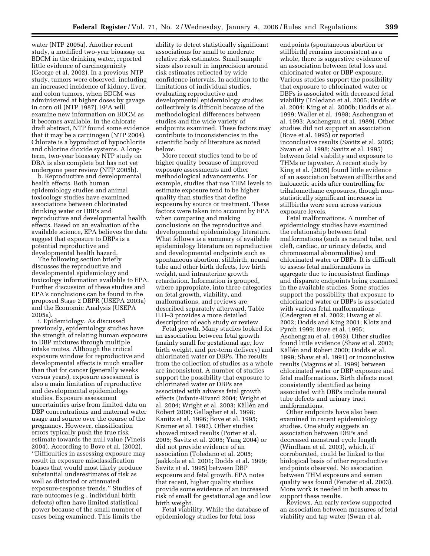water (NTP 2005a). Another recent study, a modified two-year bioassay on BDCM in the drinking water, reported little evidence of carcinogenicity (George et al. 2002). In a previous NTP study, tumors were observed, including an increased incidence of kidney, liver, and colon tumors, when BDCM was administered at higher doses by gavage in corn oil (NTP 1987). EPA will examine new information on BDCM as it becomes available. In the chlorate draft abstract, NTP found some evidence that it may be a carcinogen (NTP 2004). Chlorate is a byproduct of hypochlorite and chlorine dioxide systems. A longterm, two-year bioassay NTP study on DBA is also complete but has not yet undergone peer review (NTP 2005b).

b. Reproductive and developmental health effects. Both human epidemiology studies and animal toxicology studies have examined associations between chlorinated drinking water or DBPs and reproductive and developmental health effects. Based on an evaluation of the available science, EPA believes the data suggest that exposure to DBPs is a potential reproductive and developmental health hazard.

The following section briefly discusses the reproductive and developmental epidemiology and toxicology information available to EPA. Further discussion of these studies and EPA's conclusions can be found in the proposed Stage 2 DBPR (USEPA 2003a) and the Economic Analysis (USEPA 2005a).

i. Epidemiology. As discussed previously, epidemiology studies have the strength of relating human exposure to DBP mixtures through multiple intake routes. Although the critical exposure window for reproductive and developmental effects is much smaller than that for cancer (generally weeks versus years), exposure assessment is also a main limitation of reproductive and developmental epidemiology studies. Exposure assessment uncertainties arise from limited data on DBP concentrations and maternal water usage and source over the course of the pregnancy. However, classification errors typically push the true risk estimate towards the null value (Vineis 2004). According to Bove et al. (2002), ''Difficulties in assessing exposure may result in exposure misclassification biases that would most likely produce substantial underestimates of risk as well as distorted or attenuated exposure-response trends.'' Studies of rare outcomes (e.g., individual birth defects) often have limited statistical power because of the small number of cases being examined. This limits the

ability to detect statistically significant associations for small to moderate relative risk estimates. Small sample sizes also result in imprecision around risk estimates reflected by wide confidence intervals. In addition to the limitations of individual studies, evaluating reproductive and developmental epidemiology studies collectively is difficult because of the methodological differences between studies and the wide variety of endpoints examined. These factors may contribute to inconsistencies in the scientific body of literature as noted below.

More recent studies tend to be of higher quality because of improved exposure assessments and other methodological advancements. For example, studies that use THM levels to estimate exposure tend to be higher quality than studies that define exposure by source or treatment. These factors were taken into account by EPA when comparing and making conclusions on the reproductive and developmental epidemiology literature. What follows is a summary of available epidemiology literature on reproductive and developmental endpoints such as spontaneous abortion, stillbirth, neural tube and other birth defects, low birth weight, and intrauterine growth retardation. Information is grouped, where appropriate, into three categories on fetal growth, viability, and malformations, and reviews are described separately afterward. Table II.D–3 provides a more detailed description of each study or review.

Fetal growth. Many studies looked for an association between fetal growth (mainly small for gestational age, low birth weight, and pre-term delivery) and chlorinated water or DBPs. The results from the collection of studies as a whole are inconsistent. A number of studies support the possibility that exposure to chlorinated water or DBPs are associated with adverse fetal growth effects (Infante-Rivard 2004; Wright et al. 2004; Wright et al. 2003; Källén and Robert 2000; Gallagher et al. 1998; Kanitz et al. 1996; Bove et al. 1995; Kramer et al. 1992). Other studies showed mixed results (Porter et al. 2005; Savitz et al. 2005; Yang 2004) or did not provide evidence of an association (Toledano et al. 2005; Jaakkola et al. 2001; Dodds et al. 1999; Savitz et al. 1995) between DBP exposure and fetal growth. EPA notes that recent, higher quality studies provide some evidence of an increased risk of small for gestational age and low birth weight.

Fetal viability. While the database of epidemiology studies for fetal loss

endpoints (spontaneous abortion or stillbirth) remains inconsistent as a whole, there is suggestive evidence of an association between fetal loss and chlorinated water or DBP exposure. Various studies support the possibility that exposure to chlorinated water or DBPs is associated with decreased fetal viability (Toledano et al. 2005; Dodds et al. 2004; King et al. 2000b; Dodds et al. 1999; Waller et al. 1998; Aschengrau et al. 1993; Aschengrau et al. 1989). Other studies did not support an association (Bove et al. 1995) or reported inconclusive results (Savitz et al. 2005; Swan et al. 1998; Savitz et al. 1995) between fetal viability and exposure to THMs or tapwater. A recent study by King et al. (2005) found little evidence of an association between stillbirths and haloacetic acids after controlling for trihalomethane exposures, though nonstatistically significant increases in stillbirths were seen across various exposure levels.

Fetal malformations. A number of epidemiology studies have examined the relationship between fetal malformations (such as neural tube, oral cleft, cardiac, or urinary defects, and chromosomal abnormalities) and chlorinated water or DBPs. It is difficult to assess fetal malformations in aggregate due to inconsistent findings and disparate endpoints being examined in the available studies. Some studies support the possibility that exposure to chlorinated water or DBPs is associated with various fetal malformations (Cedergren et al. 2002; Hwang et al. 2002; Dodds and King 2001; Klotz and Pyrch 1999; Bove et al. 1995; Aschengrau et al. 1993). Other studies found little evidence (Shaw et al. 2003; Källén and Robert 2000; Dodds et al. 1999; Shaw et al. 1991) or inconclusive results (Magnus et al. 1999) between chlorinated water or DBP exposure and fetal malformations. Birth defects most consistently identified as being associated with DBPs include neural tube defects and urinary tract malformations.

Other endpoints have also been examined in recent epidemiology studies. One study suggests an association between DBPs and decreased menstrual cycle length (Windham et al. 2003), which, if corroborated, could be linked to the biological basis of other reproductive endpoints observed. No association between THM exposure and semen quality was found (Fenster et al. 2003). More work is needed in both areas to support these results.

Reviews. An early review supported an association between measures of fetal viability and tap water (Swan et al.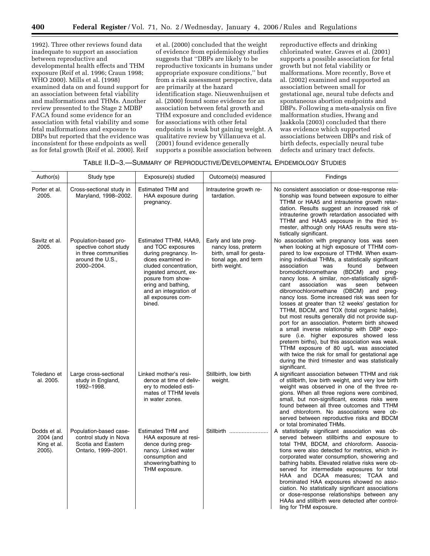1992). Three other reviews found data inadequate to support an association between reproductive and developmental health effects and THM exposure (Reif et al. 1996; Craun 1998; WHO 2000). Mills et al. (1998) examined data on and found support for an association between fetal viability and malformations and THMs. Another review presented to the Stage 2 MDBP FACA found some evidence for an association with fetal viability and some fetal malformations and exposure to DBPs but reported that the evidence was inconsistent for these endpoints as well as for fetal growth (Reif et al. 2000). Reif

et al. (2000) concluded that the weight of evidence from epidemiology studies suggests that ''DBPs are likely to be reproductive toxicants in humans under appropriate exposure conditions,'' but from a risk assessment perspective, data are primarily at the hazard identification stage. Nieuwenhuijsen et al. (2000) found some evidence for an association between fetal growth and THM exposure and concluded evidence for associations with other fetal endpoints is weak but gaining weight. A qualitative review by Villanueva et al. (2001) found evidence generally supports a possible association between

reproductive effects and drinking chlorinated water. Graves et al. (2001) supports a possible association for fetal growth but not fetal viability or malformations. More recently, Bove et al. (2002) examined and supported an association between small for gestational age, neural tube defects and spontaneous abortion endpoints and DBPs. Following a meta-analysis on five malformation studies, Hwang and Jaakkola (2003) concluded that there was evidence which supported associations between DBPs and risk of birth defects, especially neural tube defects and urinary tract defects.

|  | TABLE II.D-3.-SUMMARY OF REPRODUCTIVE/DEVELOPMENTAL EPIDEMIOLOGY STUDIES |  |
|--|--------------------------------------------------------------------------|--|
|--|--------------------------------------------------------------------------|--|

| Author(s)                                          | Study type                                                                                               | Exposure(s) studied                                                                                                                                                                                                                            | Outcome(s) measured                                                                                             | Findings                                                                                                                                                                                                                                                                                                                                                                                                                                                                                                                                                                                                                                                                                                                                                                                                                                                                                                                                                                                             |
|----------------------------------------------------|----------------------------------------------------------------------------------------------------------|------------------------------------------------------------------------------------------------------------------------------------------------------------------------------------------------------------------------------------------------|-----------------------------------------------------------------------------------------------------------------|------------------------------------------------------------------------------------------------------------------------------------------------------------------------------------------------------------------------------------------------------------------------------------------------------------------------------------------------------------------------------------------------------------------------------------------------------------------------------------------------------------------------------------------------------------------------------------------------------------------------------------------------------------------------------------------------------------------------------------------------------------------------------------------------------------------------------------------------------------------------------------------------------------------------------------------------------------------------------------------------------|
| Porter et al.<br>2005.                             | Cross-sectional study in<br>Maryland, 1998-2002.                                                         | <b>Estimated THM and</b><br>HAA exposure during<br>pregnancy.                                                                                                                                                                                  | Intrauterine growth re-<br>tardation.                                                                           | No consistent association or dose-response rela-<br>tionship was found between exposure to either<br>TTHM or HAA5 and intrauterine growth retar-<br>dation. Results suggest an increased risk of<br>intrauterine growth retardation associated with<br>TTHM and HAA5 exposure in the third tri-<br>mester, although only HAA5 results were sta-<br>tistically significant.                                                                                                                                                                                                                                                                                                                                                                                                                                                                                                                                                                                                                           |
| Savitz et al.<br>2005.                             | Population-based pro-<br>spective cohort study<br>in three communities<br>around the U.S.,<br>2000-2004. | Estimated TTHM, HAA9,<br>and TOC exposures<br>during pregnancy. In-<br>dices examined in-<br>cluded concentration.<br>ingested amount, ex-<br>posure from show-<br>ering and bathing,<br>and an integration of<br>all exposures com-<br>bined. | Early and late preg-<br>nancy loss, preterm<br>birth, small for gesta-<br>tional age, and term<br>birth weight. | No association with pregnancy loss was seen<br>when looking at high exposure of TTHM com-<br>pared to low exposure of TTHM. When exam-<br>ining individual THMs, a statistically significant<br>association<br>found<br>was<br>between<br>bromodichloromethane (BDCM) and preg-<br>nancy loss. A similar, non-statistically signifi-<br>was<br>cant<br>association<br>seen<br>between<br>dibromochloromethane (DBCM) and preg-<br>nancy loss. Some increased risk was seen for<br>losses at greater than 12 weeks' gestation for<br>TTHM, BDCM, and TOX (total organic halide),<br>but most results generally did not provide sup-<br>port for an association. Preterm birth showed<br>a small inverse relationship with DBP expo-<br>sure (i.e. higher exposures showed less<br>preterm births), but this association was weak.<br>TTHM exposure of 80 ug/L was associated<br>with twice the risk for small for gestational age<br>during the third trimester and was statistically<br>significant. |
| Toledano et<br>al. 2005.                           | Large cross-sectional<br>study in England,<br>1992-1998.                                                 | Linked mother's resi-<br>dence at time of deliv-<br>ery to modeled esti-<br>mates of TTHM levels<br>in water zones.                                                                                                                            | Stillbirth, low birth<br>weight.                                                                                | A significant association between TTHM and risk<br>of stillbirth, low birth weight, and very low birth<br>weight was observed in one of the three re-<br>gions. When all three regions were combined,<br>small, but non-significant, excess risks were<br>found between all three outcomes and TTHM<br>and chloroform. No associations were ob-<br>served between reproductive risks and BDCM<br>or total brominated THMs.                                                                                                                                                                                                                                                                                                                                                                                                                                                                                                                                                                           |
| Dodds et al.<br>2004 (and<br>King et al.<br>2005). | Population-based case-<br>control study in Nova<br>Scotia and Eastern<br>Ontario, 1999-2001.             | <b>Estimated THM and</b><br>HAA exposure at resi-<br>dence during preg-<br>nancy. Linked water<br>consumption and<br>showering/bathing to<br>THM exposure.                                                                                     | Stillbirth                                                                                                      | A statistically significant association was ob-<br>served between stillbirths and exposure to<br>total THM, BDCM, and chloroform. Associa-<br>tions were also detected for metrics, which in-<br>corporated water consumption, showering and<br>bathing habits. Elevated relative risks were ob-<br>served for intermediate exposures for total<br>HAA and DCAA measures; TCAA and<br>brominated HAA exposures showed no asso-<br>ciation. No statistically significant associations<br>or dose-response relationships between any<br>HAAs and stillbirth were detected after control-<br>ling for THM exposure.                                                                                                                                                                                                                                                                                                                                                                                     |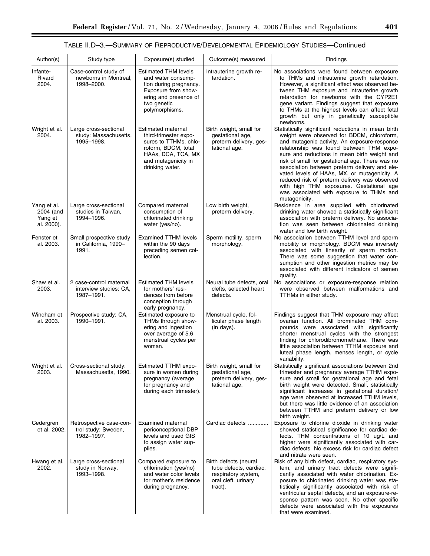# TABLE II.D–3.—SUMMARY OF REPRODUCTIVE/DEVELOPMENTAL EPIDEMIOLOGY STUDIES—Continued

| Author(s)                                         | Study type                                                      | Exposure(s) studied                                                                                                                                          | Outcome(s) measured                                                                                      | Findings                                                                                                                                                                                                                                                                                                                                                                                                                                                                                                                                                   |
|---------------------------------------------------|-----------------------------------------------------------------|--------------------------------------------------------------------------------------------------------------------------------------------------------------|----------------------------------------------------------------------------------------------------------|------------------------------------------------------------------------------------------------------------------------------------------------------------------------------------------------------------------------------------------------------------------------------------------------------------------------------------------------------------------------------------------------------------------------------------------------------------------------------------------------------------------------------------------------------------|
| Infante-<br>Rivard<br>2004.                       | Case-control study of<br>newborns in Montreal,<br>1998-2000.    | <b>Estimated THM levels</b><br>and water consump-<br>tion during pregnancy.<br>Exposure from show-<br>ering and presence of<br>two genetic<br>polymorphisms. | Intrauterine growth re-<br>tardation.                                                                    | No associations were found between exposure<br>to THMs and intrauterine growth retardation.<br>However, a significant effect was observed be-<br>tween THM exposure and intrauterine growth<br>retardation for newborns with the CYP2E1<br>gene variant. Findings suggest that exposure<br>to THMs at the highest levels can affect fetal<br>growth but only in genetically susceptible<br>newborns.                                                                                                                                                       |
| Wright et al.<br>2004.                            | Large cross-sectional<br>study: Massachusetts,<br>1995-1998.    | Estimated maternal<br>third-trimester expo-<br>sures to TTHMs, chlo-<br>roform, BDCM, total<br>HAAs, DCA, TCA, MX<br>and mutagenicity in<br>drinking water.  | Birth weight, small for<br>gestational age,<br>preterm delivery, ges-<br>tational age.                   | Statistically significant reductions in mean birth<br>weight were observed for BDCM, chloroform,<br>and mutagenic activity. An exposure-response<br>relationship was found between THM expo-<br>sure and reductions in mean birth weight and<br>risk of small for gestational age. There was no<br>association between preterm delivery and ele-<br>vated levels of HAAs, MX, or mutagenicity. A<br>reduced risk of preterm delivery was observed<br>with high THM exposures. Gestational age<br>was associated with exposure to THMs and<br>mutagenicity. |
| Yang et al.<br>2004 (and<br>Yang et<br>al. 2000). | Large cross-sectional<br>studies in Taiwan,<br>1994-1996.       | Compared maternal<br>consumption of<br>chlorinated drinking<br>water (yes/no).                                                                               | Low birth weight,<br>preterm delivery.                                                                   | Residence in area supplied with chlorinated<br>drinking water showed a statistically significant<br>association with preterm delivery. No associa-<br>tion was seen between chlorinated drinking<br>water and low birth weight.                                                                                                                                                                                                                                                                                                                            |
| Fenster et<br>al. 2003.                           | Small prospective study<br>in California, 1990-<br>1991.        | <b>Examined TTHM levels</b><br>within the 90 days<br>preceding semen col-<br>lection.                                                                        | Sperm motility, sperm<br>morphology.                                                                     | No association between TTHM level and sperm<br>mobility or morphology. BDCM was inversely<br>associated with linearity of sperm motion.<br>There was some suggestion that water con-<br>sumption and other ingestion metrics may be<br>associated with different indicators of semen<br>quality.                                                                                                                                                                                                                                                           |
| Shaw et al.<br>2003.                              | 2 case-control maternal<br>interview studies: CA,<br>1987-1991. | <b>Estimated THM levels</b><br>for mothers' resi-<br>dences from before<br>conception through<br>early pregnancy.                                            | Neural tube defects, oral<br>clefts, selected heart<br>defects.                                          | No associations or exposure-response relation<br>were observed between malformations and<br>TTHMs in either study.                                                                                                                                                                                                                                                                                                                                                                                                                                         |
| Windham et<br>al. 2003.                           | Prospective study: CA,<br>1990-1991.                            | Estimated exposure to<br>THMs through show-<br>ering and ingestion<br>over average of 5.6<br>menstrual cycles per<br>woman.                                  | Menstrual cycle, fol-<br>licular phase length<br>(in days).                                              | Findings suggest that THM exposure may affect<br>ovarian function. All brominated THM com-<br>pounds were associated with significantly<br>shorter menstrual cycles with the strongest<br>finding for chlorodibromomethane. There was<br>little association between TTHM exposure and<br>luteal phase length, menses length, or cycle<br>variability.                                                                                                                                                                                                      |
| Wright et al.<br>2003.                            | Cross-sectional study:<br>Massachusetts, 1990.                  | Estimated TTHM expo-<br>sure in women during<br>pregnancy (average<br>for pregnancy and<br>during each trimester).                                           | Birth weight, small for<br>gestational age,<br>preterm delivery, ges-<br>tational age.                   | Statistically significant associations between 2nd<br>trimester and pregnancy average TTHM expo-<br>sure and small for gestational age and fetal<br>birth weight were detected. Small, statistically<br>significant increases in gestational duration/<br>age were observed at increased TTHM levels,<br>but there was little evidence of an association<br>between TTHM and preterm delivery or low<br>birth weight.                                                                                                                                      |
| Cedergren<br>et al. 2002.                         | Retrospective case-con-<br>trol study: Sweden,<br>1982-1997.    | Examined maternal<br>periconceptional DBP<br>levels and used GIS<br>to assign water sup-<br>plies.                                                           | Cardiac defects                                                                                          | Exposure to chlorine dioxide in drinking water<br>showed statistical significance for cardiac de-<br>fects. THM concentrations of 10 ug/L and<br>higher were significantly associated with car-<br>diac defects. No excess risk for cardiac defect<br>and nitrate were seen.                                                                                                                                                                                                                                                                               |
| Hwang et al.<br>2002.                             | Large cross-sectional<br>study in Norway,<br>1993-1998.         | Compared exposure to<br>chlorination (yes/no)<br>and water color levels<br>for mother's residence<br>during pregnancy.                                       | Birth defects (neural<br>tube defects, cardiac,<br>respiratory system,<br>oral cleft, urinary<br>tract). | Risk of any birth defect, cardiac, respiratory sys-<br>tem, and urinary tract defects were signifi-<br>cantly associated with water chlorination. Ex-<br>posure to chlorinated drinking water was sta-<br>tistically significantly associated with risk of<br>ventricular septal defects, and an exposure-re-<br>sponse pattern was seen. No other specific<br>defects were associated with the exposures<br>that were examined.                                                                                                                           |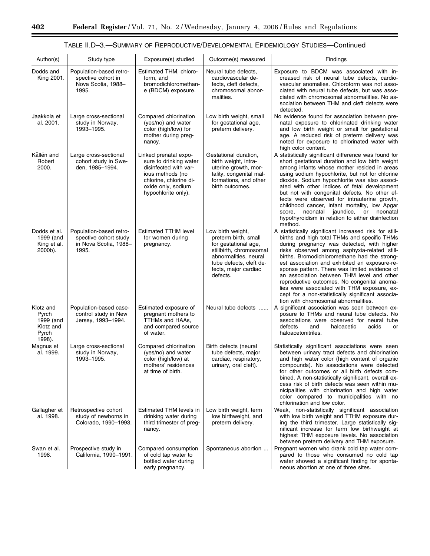۲

| Author(s)                                                       | Study type                                                                         | Exposure(s) studied                                                                                                                                                 | Outcome(s) measured                                                                                                                                                                  | Findings                                                                                                                                                                                                                                                                                                                                                                                                                                                                                                                                                                                       |
|-----------------------------------------------------------------|------------------------------------------------------------------------------------|---------------------------------------------------------------------------------------------------------------------------------------------------------------------|--------------------------------------------------------------------------------------------------------------------------------------------------------------------------------------|------------------------------------------------------------------------------------------------------------------------------------------------------------------------------------------------------------------------------------------------------------------------------------------------------------------------------------------------------------------------------------------------------------------------------------------------------------------------------------------------------------------------------------------------------------------------------------------------|
| Dodds and<br>King 2001.                                         | Population-based retro-<br>spective cohort in<br>Nova Scotia, 1988-<br>1995.       | Estimated THM, chloro-<br>form, and<br>bromodichloromethan-<br>e (BDCM) exposure.                                                                                   | Neural tube defects,<br>cardiovascular de-<br>fects, cleft defects,<br>chromosomal abnor-<br>malities.                                                                               | Exposure to BDCM was associated with in-<br>creased risk of neural tube defects, cardio-<br>vascular anomalies. Chloroform was not asso-<br>ciated with neural tube defects, but was asso-<br>ciated with chromosomal abnormalities. No as-<br>sociation between THM and cleft defects were<br>detected.                                                                                                                                                                                                                                                                                       |
| Jaakkola et<br>al. 2001.                                        | Large cross-sectional<br>study in Norway.<br>1993-1995.                            | Compared chlorination<br>(yes/no) and water<br>color (high/low) for<br>mother during preg-<br>nancy.                                                                | Low birth weight, small<br>for gestational age,<br>preterm delivery.                                                                                                                 | No evidence found for association between pre-<br>natal exposure to chlorinated drinking water<br>and low birth weight or small for gestational<br>age. A reduced risk of preterm delivery was<br>noted for exposure to chlorinated water with<br>high color content.                                                                                                                                                                                                                                                                                                                          |
| Källén and<br>Robert<br>2000.                                   | Large cross-sectional<br>cohort study in Swe-<br>den, 1985–1994.                   | Linked prenatal expo-<br>sure to drinking water<br>disinfected with var-<br>ious methods (no<br>chlorine, chlorine di-<br>oxide only, sodium<br>hypochlorite only). | Gestational duration,<br>birth weight, intra-<br>uterine growth, mor-<br>tality, congenital mal-<br>formations, and other<br>birth outcomes.                                         | A statistically significant difference was found for<br>short gestational duration and low birth weight<br>among infants whose mother resided in areas<br>using sodium hypochlorite, but not for chlorine<br>dioxide. Sodium hypochlorite was also associ-<br>ated with other indices of fetal development<br>but not with congenital defects. No other ef-<br>fects were observed for intrauterine growth,<br>childhood cancer, infant mortality, low Apgar<br>neonatal<br>jaundice,<br>or neonatal<br>score.<br>hypothyroidism in relation to either disinfection<br>method.                 |
| Dodds et al.<br>1999 (and<br>King et al.<br>2000b).             | Population-based retro-<br>spective cohort study<br>in Nova Scotia, 1988-<br>1995. | <b>Estimated TTHM level</b><br>for women during<br>pregnancy.                                                                                                       | Low birth weight,<br>preterm birth, small<br>for gestational age,<br>stillbirth, chromosomal<br>abnormalities, neural<br>tube defects, cleft de-<br>fects, major cardiac<br>defects. | A statistically significant increased risk for still-<br>births and high total THMs and specific THMs<br>during pregnancy was detected, with higher<br>risks observed among asphyxia-related still-<br>births. Bromodichloromethane had the strong-<br>est association and exhibited an exposure-re-<br>sponse pattern. There was limited evidence of<br>an association between THM level and other<br>reproductive outcomes. No congenital anoma-<br>lies were associated with THM exposure, ex-<br>cept for a non-statistically significant associa-<br>tion with chromosomal abnormalities. |
| Klotz and<br>Pyrch<br>1999 (and<br>Klotz and<br>Pyrch<br>1998). | Population-based case-<br>control study in New<br>Jersey, 1993–1994.               | Estimated exposure of<br>pregnant mothers to<br>TTHMs and HAAs,<br>and compared source<br>of water.                                                                 | Neural tube defects                                                                                                                                                                  | A significant association was seen between ex-<br>posure to THMs and neural tube defects. No<br>associations were observed for neural tube<br>defects<br>and<br>acids<br>haloacetic<br>or<br>haloacetonitriles.                                                                                                                                                                                                                                                                                                                                                                                |
| Magnus et<br>al. 1999.                                          | Large cross-sectional<br>study in Norway,<br>1993-1995.                            | Compared chlorination<br>(yes/no) and water<br>color (high/low) at<br>mothers' residences<br>at time of birth.                                                      | Birth defects (neural<br>tube defects, major<br>cardiac, respiratory,<br>urinary, oral cleft).                                                                                       | Statistically significant associations were seen<br>between urinary tract defects and chlorination<br>and high water color (high content of organic<br>compounds). No associations were detected<br>for other outcomes or all birth defects com-<br>bined. A non-statistically significant, overall ex-<br>cess risk of birth defects was seen within mu-<br>nicipalities with chlorination and high water<br>color compared to municipalities with no<br>chlorination and low color.                                                                                                          |
| Gallagher et<br>al. 1998.                                       | Retrospective cohort<br>study of newborns in<br>Colorado, 1990-1993.               | Estimated THM levels in<br>drinking water during<br>third trimester of preg-<br>nancy.                                                                              | Low birth weight, term<br>low birthweight, and<br>preterm delivery.                                                                                                                  | Weak, non-statistically significant association<br>with low birth weight and TTHM exposure dur-<br>ing the third trimester. Large statistically sig-<br>nificant increase for term low birthweight at<br>highest THM exposure levels. No association<br>between preterm delivery and THM exposure.                                                                                                                                                                                                                                                                                             |
| Swan et al.<br>1998.                                            | Prospective study in<br>California, 1990-1991.                                     | Compared consumption<br>of cold tap water to<br>bottled water during<br>early pregnancy.                                                                            | Spontaneous abortion                                                                                                                                                                 | Pregnant women who drank cold tap water com-<br>pared to those who consumed no cold tap<br>water showed a significant finding for sponta-<br>neous abortion at one of three sites.                                                                                                                                                                                                                                                                                                                                                                                                             |

# TABLE II.D–3.—SUMMARY OF REPRODUCTIVE/DEVELOPMENTAL EPIDEMIOLOGY STUDIES—Continued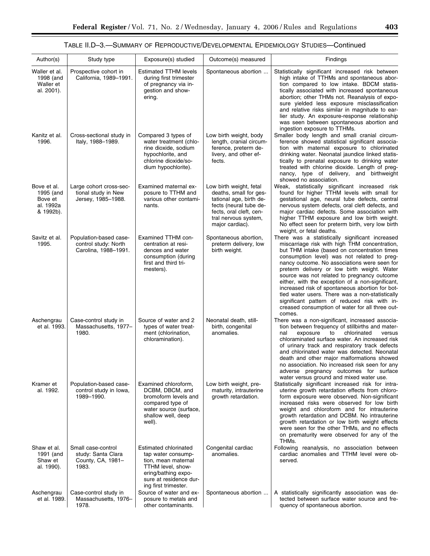# TABLE II.D–3.—SUMMARY OF REPRODUCTIVE/DEVELOPMENTAL EPIDEMIOLOGY STUDIES—Continued

| Author(s)                                                     | Study type                                                             | Exposure(s) studied                                                                                                                                                     | Outcome(s) measured                                                                                                                                                          | Findings                                                                                                                                                                                                                                                                                                                                                                                                                                                                                                                                                                                                             |
|---------------------------------------------------------------|------------------------------------------------------------------------|-------------------------------------------------------------------------------------------------------------------------------------------------------------------------|------------------------------------------------------------------------------------------------------------------------------------------------------------------------------|----------------------------------------------------------------------------------------------------------------------------------------------------------------------------------------------------------------------------------------------------------------------------------------------------------------------------------------------------------------------------------------------------------------------------------------------------------------------------------------------------------------------------------------------------------------------------------------------------------------------|
| Waller et al.<br>1998 (and<br>Waller et<br>al. 2001).         | Prospective cohort in<br>California, 1989-1991.                        | <b>Estimated TTHM levels</b><br>during first trimester<br>of pregnancy via in-<br>gestion and show-<br>ering.                                                           | Spontaneous abortion                                                                                                                                                         | Statistically significant increased risk between<br>high intake of TTHMs and spontaneous abor-<br>tion compared to low intake. BDCM statis-<br>tically associated with increased spontaneous<br>abortion; other THMs not. Reanalysis of expo-<br>sure yielded less exposure misclassification<br>and relative risks similar in magnitude to ear-<br>lier study. An exposure-response relationship<br>was seen between spontaneous abortion and<br>ingestion exposure to TTHMs.                                                                                                                                       |
| Kanitz et al.<br>1996.                                        | Cross-sectional study in<br>Italy, 1988-1989.                          | Compared 3 types of<br>water treatment (chlo-<br>rine dioxide, sodium<br>hypochlorite, and<br>chlorine dioxide/so-<br>dium hypochlorite).                               | Low birth weight, body<br>length, cranial circum-<br>ference, preterm de-<br>livery, and other ef-<br>fects.                                                                 | Smaller body length and small cranial circum-<br>ference showed statistical significant associa-<br>tion with maternal exposure to chlorinated<br>drinking water. Neonatal jaundice linked statis-<br>tically to prenatal exposure to drinking water<br>treated with chlorine dioxide. Length of preg-<br>nancy, type of delivery, and birthweight<br>showed no association.                                                                                                                                                                                                                                         |
| Bove et al.<br>1995 (and<br>Bove et<br>al. 1992a<br>& 1992b). | Large cohort cross-sec-<br>tional study in New<br>Jersey, 1985-1988.   | Examined maternal ex-<br>posure to TTHM and<br>various other contami-<br>nants.                                                                                         | Low birth weight, fetal<br>deaths, small for ges-<br>tational age, birth de-<br>fects (neural tube de-<br>fects, oral cleft, cen-<br>tral nervous system,<br>major cardiac). | Weak, statistically significant increased risk<br>found for higher TTHM levels with small for<br>gestational age, neural tube defects, central<br>nervous system defects, oral cleft defects, and<br>major cardiac defects. Some association with<br>higher TTHM exposure and low birth weight.<br>No effect seen for preterm birth, very low birth<br>weight, or fetal deaths.                                                                                                                                                                                                                                      |
| Savitz et al.<br>1995.                                        | Population-based case-<br>control study: North<br>Carolina, 1988-1991. | Examined TTHM con-<br>centration at resi-<br>dences and water<br>consumption (during<br>first and third tri-<br>mesters).                                               | Spontaneous abortion,<br>preterm delivery, low<br>birth weight.                                                                                                              | There was a statistically significant increased<br>miscarriage risk with high THM concentration,<br>but THM intake (based on concentration times<br>consumption level) was not related to preg-<br>nancy outcome. No associations were seen for<br>preterm delivery or low birth weight. Water<br>source was not related to pregnancy outcome<br>either, with the exception of a non-significant,<br>increased risk of spontaneous abortion for bot-<br>tled water users. There was a non-statistically<br>significant pattern of reduced risk with in-<br>creased consumption of water for all three out-<br>comes. |
| Aschengrau<br>et al. 1993.                                    | Case-control study in<br>Massachusetts, 1977-<br>1980.                 | Source of water and 2<br>types of water treat-<br>ment (chlorination,<br>chloramination).                                                                               | Neonatal death, still-<br>birth, congenital<br>anomalies.                                                                                                                    | There was a non-significant, increased associa-<br>tion between frequency of stillbirths and mater-<br>chlorinated<br>exposure<br>to<br>nal<br>versus<br>chloraminated surface water. An increased risk<br>of urinary track and respiratory track defects<br>and chlorinated water was detected. Neonatal<br>death and other major malformations showed<br>no association. No increased risk seen for any<br>adverse pregnancy outcomes for surface<br>water versus ground and mixed water use.                                                                                                                      |
| Kramer et<br>al. 1992.                                        | Population-based case-<br>control study in Iowa,<br>1989-1990.         | Examined chloroform,<br>DCBM, DBCM, and<br>bromoform levels and<br>compared type of<br>water source (surface,<br>shallow well, deep<br>well).                           | Low birth weight, pre-<br>maturity, intrauterine<br>growth retardation.                                                                                                      | Statistically significant increased risk for intra-<br>uterine growth retardation effects from chloro-<br>form exposure were observed. Non-significant<br>increased risks were observed for low birth<br>weight and chloroform and for intrauterine<br>growth retardation and DCBM. No intrauterine<br>growth retardation or low birth weight effects<br>were seen for the other THMs, and no effects<br>on prematurity were observed for any of the<br>THMs.                                                                                                                                                        |
| Shaw et al.<br>1991 (and<br>Shaw et<br>al. 1990).             | Small case-control<br>study: Santa Clara<br>County, CA, 1981-<br>1983. | <b>Estimated chlorinated</b><br>tap water consump-<br>tion, mean maternal<br>TTHM level, show-<br>ering/bathing expo-<br>sure at residence dur-<br>ing first trimester. | Congenital cardiac<br>anomalies.                                                                                                                                             | Following reanalysis, no association between<br>cardiac anomalies and TTHM level were ob-<br>served.                                                                                                                                                                                                                                                                                                                                                                                                                                                                                                                 |
| Aschengrau<br>et al. 1989.                                    | Case-control study in<br>Massachusetts, 1976-<br>1978.                 | Source of water and ex-<br>posure to metals and<br>other contaminants.                                                                                                  | Spontaneous abortion                                                                                                                                                         | A statistically significantly association was de-<br>tected between surface water source and fre-<br>quency of spontaneous abortion.                                                                                                                                                                                                                                                                                                                                                                                                                                                                                 |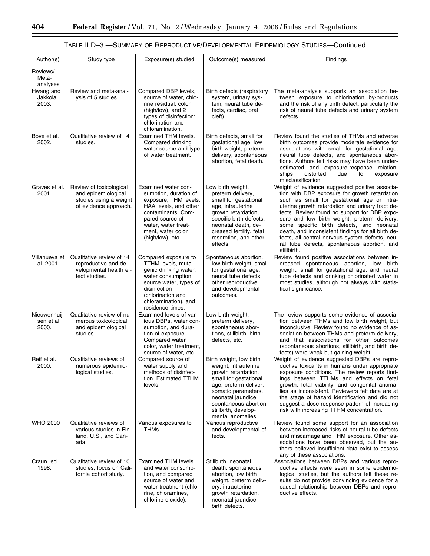۲

# TABLE II.D–3.—SUMMARY OF REPRODUCTIVE/DEVELOPMENTAL EPIDEMIOLOGY STUDIES—Continued

| Author(s)                           | Study type                                                                                        | Exposure(s) studied                                                                                                                                                                                     | Outcome(s) measured                                                                                                                                                                                                                         | Findings                                                                                                                                                                                                                                                                                                                                                                                                                                                                                                               |
|-------------------------------------|---------------------------------------------------------------------------------------------------|---------------------------------------------------------------------------------------------------------------------------------------------------------------------------------------------------------|---------------------------------------------------------------------------------------------------------------------------------------------------------------------------------------------------------------------------------------------|------------------------------------------------------------------------------------------------------------------------------------------------------------------------------------------------------------------------------------------------------------------------------------------------------------------------------------------------------------------------------------------------------------------------------------------------------------------------------------------------------------------------|
| Reviews/<br>Meta-<br>analyses       |                                                                                                   |                                                                                                                                                                                                         |                                                                                                                                                                                                                                             |                                                                                                                                                                                                                                                                                                                                                                                                                                                                                                                        |
| Hwang and<br>Jakkola<br>2003.       | Review and meta-anal-<br>ysis of 5 studies.                                                       | Compared DBP levels,<br>source of water, chlo-<br>rine residual, color<br>(high/low), and 2<br>types of disinfection:<br>chlorination and<br>chloramination.                                            | Birth defects (respiratory<br>system, urinary sys-<br>tem, neural tube de-<br>fects, cardiac, oral<br>cleft).                                                                                                                               | The meta-analysis supports an association be-<br>tween exposure to chlorination by-products<br>and the risk of any birth defect, particularly the<br>risk of neural tube defects and urinary system<br>defects.                                                                                                                                                                                                                                                                                                        |
| Bove et al.<br>2002.                | Qualitative review of 14<br>studies.                                                              | Examined THM levels.<br>Compared drinking<br>water source and type<br>of water treatment.                                                                                                               | Birth defects, small for<br>gestational age, low<br>birth weight, preterm<br>delivery, spontaneous<br>abortion, fetal death.                                                                                                                | Review found the studies of THMs and adverse<br>birth outcomes provide moderate evidence for<br>associations with small for gestational age,<br>neural tube defects, and spontaneous abor-<br>tions. Authors felt risks may have been under-<br>estimated and exposure-response relation-<br>ships<br>distorted<br>due<br>exposure<br>to<br>misclassification.                                                                                                                                                         |
| Graves et al.<br>2001.              | Review of toxicological<br>and epidemiological<br>studies using a weight<br>of evidence approach. | Examined water con-<br>sumption, duration of<br>exposure, THM levels,<br>HAA levels, and other<br>contaminants. Com-<br>pared source of<br>water, water treat-<br>ment, water color<br>(high/low), etc. | Low birth weight,<br>preterm delivery,<br>small for gestational<br>age, intrauterine<br>growth retardation,<br>specific birth defects,<br>neonatal death, de-<br>creased fertility, fetal<br>resorption, and other<br>effects.              | Weight of evidence suggested positive associa-<br>tion with DBP exposure for growth retardation<br>such as small for gestational age or intra-<br>uterine growth retardation and urinary tract de-<br>fects. Review found no support for DBP expo-<br>sure and low birth weight, preterm delivery,<br>some specific birth defects, and neonatal<br>death, and inconsistent findings for all birth de-<br>fects, all central nervous system defects, neu-<br>ral tube defects, spontaneous abortion, and<br>stillbirth. |
| Villanueva et<br>al. 2001.          | Qualitative review of 14<br>reproductive and de-<br>velopmental health ef-<br>fect studies.       | Compared exposure to<br>TTHM levels, muta-<br>genic drinking water,<br>water consumption,<br>source water, types of<br>disinfection<br>(chlorination and<br>chloramination), and<br>residence times.    | Spontaneous abortion,<br>low birth weight, small<br>for gestational age,<br>neural tube defects,<br>other reproductive<br>and developmental<br>outcomes.                                                                                    | Review found positive associations between in-<br>creased spontaneous abortion, low birth<br>weight, small for gestational age, and neural<br>tube defects and drinking chlorinated water in<br>most studies, although not always with statis-<br>tical significance.                                                                                                                                                                                                                                                  |
| Nieuwenhuij-<br>sen et al.<br>2000. | Qualitative review of nu-<br>merous toxicological<br>and epidemiological<br>studies.              | Examined levels of var-<br>ious DBPs, water con-<br>sumption, and dura-<br>tion of exposure.<br>Compared water<br>color, water treatment,<br>source of water, etc.                                      | Low birth weight,<br>preterm delivery,<br>spontaneous abor-<br>tions, stillbirth, birth<br>defects, etc.                                                                                                                                    | The review supports some evidence of associa-<br>tion between THMs and low birth weight, but<br>inconclusive. Review found no evidence of as-<br>sociation between THMs and preterm delivery,<br>and that associations for other outcomes<br>(spontaneous abortions, stillbirth, and birth de-<br>fects) were weak but gaining weight.                                                                                                                                                                                 |
| Reif et al.<br>2000.                | Qualitative reviews of<br>numerous epidemio-<br>logical studies.                                  | Compared source of<br>water supply and<br>methods of disinfec-<br>tion. Estimated TTHM<br>levels.                                                                                                       | Birth weight, low birth<br>weight, intrauterine<br>growth retardation,<br>small for gestational<br>age, preterm deliver,<br>somatic parameters,<br>neonatal jaundice,<br>spontaneous abortion,<br>stillbirth, develop-<br>mental anomalies. | Weight of evidence suggested DBPs are repro-<br>ductive toxicants in humans under appropriate<br>exposure conditions. The review reports find-<br>ings between TTHMs and effects on fetal<br>growth, fetal viability, and congenital anoma-<br>lies as inconsistent. Reviewers felt data are at<br>the stage of hazard identification and did not<br>suggest a dose-response pattern of increasing<br>risk with increasing TTHM concentration.                                                                         |
| <b>WHO 2000</b>                     | Qualitative reviews of<br>various studies in Fin-<br>land, U.S., and Can-<br>ada.                 | Various exposures to<br>THMs.                                                                                                                                                                           | Various reproductive<br>and developmental ef-<br>fects.                                                                                                                                                                                     | Review found some support for an association<br>between increased risks of neural tube defects<br>and miscarriage and THM exposure. Other as-<br>sociations have been observed, but the au-<br>thors believed insufficient data exist to assess<br>any of these associations.                                                                                                                                                                                                                                          |
| Craun, ed.<br>1998.                 | Qualitative review of 10<br>studies, focus on Cali-<br>fornia cohort study.                       | <b>Examined THM levels</b><br>and water consump-<br>tion, and compared<br>source of water and<br>water treatment (chlo-<br>rine, chloramines,<br>chlorine dioxide).                                     | Stillbirth, neonatal<br>death, spontaneous<br>abortion, low birth<br>weight, preterm deliv-<br>ery, intrauterine<br>growth retardation,<br>neonatal jaundice,<br>birth defects.                                                             | Associations between DBPs and various repro-<br>ductive effects were seen in some epidemio-<br>logical studies, but the authors felt these re-<br>sults do not provide convincing evidence for a<br>causal relationship between DBPs and repro-<br>ductive effects.                                                                                                                                                                                                                                                    |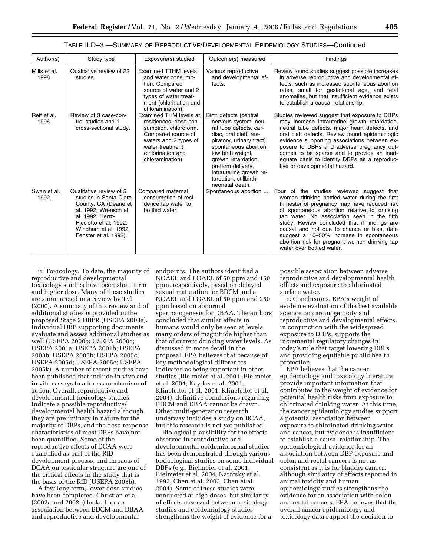| Author(s)             | Study type                                                                                                                                                                                       | Exposure(s) studied                                                                                                                                                                 | Outcome(s) measured                                                                                                                                                                                                                                                                               | Findings                                                                                                                                                                                                                                                                                                                                                                                                                                                          |
|-----------------------|--------------------------------------------------------------------------------------------------------------------------------------------------------------------------------------------------|-------------------------------------------------------------------------------------------------------------------------------------------------------------------------------------|---------------------------------------------------------------------------------------------------------------------------------------------------------------------------------------------------------------------------------------------------------------------------------------------------|-------------------------------------------------------------------------------------------------------------------------------------------------------------------------------------------------------------------------------------------------------------------------------------------------------------------------------------------------------------------------------------------------------------------------------------------------------------------|
| Mills et al.<br>1998. | Qualitative review of 22<br>studies.                                                                                                                                                             | <b>Examined TTHM levels</b><br>and water consump-<br>tion. Compared<br>source of water and 2<br>types of water treat-<br>ment (chlorination and<br>chloramination).                 | Various reproductive<br>and developmental ef-<br>fects.                                                                                                                                                                                                                                           | Review found studies suggest possible increases<br>in adverse reproductive and developmental ef-<br>fects, such as increased spontaneous abortion<br>rates, small for gestational age, and fetal<br>anomalies, but that insufficient evidence exists<br>to establish a causal relationship.                                                                                                                                                                       |
| Reif et al.<br>1996.  | Review of 3 case-con-<br>trol studies and 1<br>cross-sectional study.                                                                                                                            | Examined THM levels at<br>residences, dose con-<br>sumption, chloroform.<br>Compared source of<br>waters and 2 types of<br>water treatment<br>(chlorination and<br>chloramination). | Birth defects (central<br>nervous system, neu-<br>ral tube defects, car-<br>diac, oral cleft, res-<br>piratory, urinary tract),<br>spontaneous abortion,<br>low birth weight,<br>growth retardation,<br>preterm delivery,<br>intrauterine growth re-<br>tardation, stillbirth,<br>neonatal death. | Studies reviewed suggest that exposure to DBPs<br>may increase intrauterine growth retardation,<br>neural tube defects, major heart defects, and<br>oral cleft defects. Review found epidemiologic<br>evidence supporting associations between ex-<br>posure to DBPs and adverse pregnancy out-<br>comes to be sparse and to provide an inad-<br>equate basis to identify DBPs as a reproduc-<br>tive or developmental hazard.                                    |
| Swan et al.<br>1992.  | Qualitative review of 5<br>studies in Santa Clara<br>County, CA (Deane et<br>al. 1992, Wrensch et<br>al. 1992, Hertz-<br>Picciotto et al. 1992,<br>Windham et al. 1992.<br>Fenster et al. 1992). | Compared maternal<br>consumption of resi-<br>dence tap water to<br>bottled water.                                                                                                   | Spontaneous abortion                                                                                                                                                                                                                                                                              | Four of the studies reviewed suggest that<br>women drinking bottled water during the first<br>trimester of pregnancy may have reduced risk<br>of spontaneous abortion relative to drinking<br>tap water. No association seen in the fifth<br>study. Review concluded that if findings are<br>causal and not due to chance or bias, data<br>suggest a 10-50% increase in spontaneous<br>abortion risk for pregnant women drinking tap<br>water over bottled water. |

TABLE II.D–3.—SUMMARY OF REPRODUCTIVE/DEVELOPMENTAL EPIDEMIOLOGY STUDIES—Continued

ii. Toxicology. To date, the majority of reproductive and developmental toxicology studies have been short term and higher dose. Many of these studies are summarized in a review by Tyl (2000). A summary of this review and of additional studies is provided in the proposed Stage 2 DBPR (USEPA 2003a). Individual DBP supporting documents evaluate and assess additional studies as well (USEPA 2000b; USEPA 2000c; USEPA 2001a; USEPA 2001b; USEPA 2003b; USEPA 2005b; USEPA 2005c; USEPA 2005d; USEPA 2005e; USEPA 2005k). A number of recent studies have been published that include in vivo and in vitro assays to address mechanism of action. Overall, reproductive and developmental toxicology studies indicate a possible reproductive/ developmental health hazard although they are preliminary in nature for the majority of DBPs, and the dose-response characteristics of most DBPs have not been quantified. Some of the reproductive effects of DCAA were quantified as part of the RfD development process, and impacts of DCAA on testicular structure are one of the critical effects in the study that is the basis of the RfD (USEPA 2003b).

A few long term, lower dose studies have been completed. Christian et al. (2002a and 2002b) looked for an association between BDCM and DBAA and reproductive and developmental

endpoints. The authors identified a NOAEL and LOAEL of 50 ppm and 150 ppm, respectively, based on delayed sexual maturation for BDCM and a NOAEL and LOAEL of 50 ppm and 250 ppm based on abnormal spermatogenesis for DBAA. The authors concluded that similar effects in humans would only be seen at levels many orders of magnitude higher than that of current drinking water levels. As discussed in more detail in the proposal, EPA believes that because of key methodological differences indicated as being important in other studies (Bielmeier et al. 2001; Bielmeier et al. 2004; Kaydos et al. 2004; Klinefelter et al. 2001; Klinefelter et al. 2004), definitive conclusions regarding BDCM and DBAA cannot be drawn. Other multi-generation research underway includes a study on BCAA, but this research is not yet published.

Biological plausibility for the effects observed in reproductive and developmental epidemiological studies has been demonstrated through various toxicological studies on some individual DBPs (e.g., Bielmeier et al. 2001; Bielmeier et al. 2004; Narotsky et al. 1992; Chen et al. 2003; Chen et al. 2004). Some of these studies were conducted at high doses, but similarity of effects observed between toxicology studies and epidemiology studies strengthens the weight of evidence for a

possible association between adverse reproductive and developmental health effects and exposure to chlorinated surface water.

c. Conclusions. EPA's weight of evidence evaluation of the best available science on carcinogenicity and reproductive and developmental effects, in conjunction with the widespread exposure to DBPs, supports the incremental regulatory changes in today's rule that target lowering DBPs and providing equitable public health protection.

EPA believes that the cancer epidemiology and toxicology literature provide important information that contributes to the weight of evidence for potential health risks from exposure to chlorinated drinking water. At this time, the cancer epidemiology studies support a potential association between exposure to chlorinated drinking water and cancer, but evidence is insufficient to establish a causal relationship. The epidemiological evidence for an association between DBP exposure and colon and rectal cancers is not as consistent as it is for bladder cancer, although similarity of effects reported in animal toxicity and human epidemiology studies strengthens the evidence for an association with colon and rectal cancers. EPA believes that the overall cancer epidemiology and toxicology data support the decision to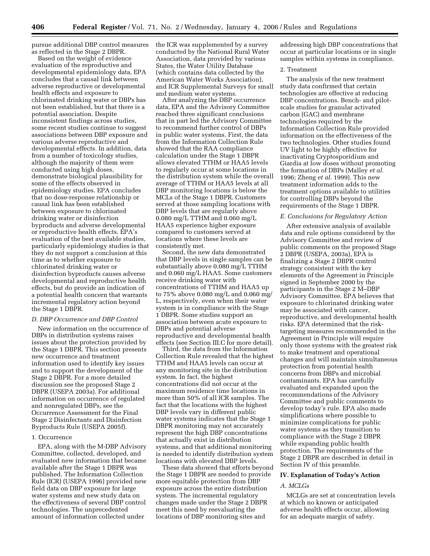pursue additional DBP control measures as reflected in the Stage 2 DBPR.

Based on the weight of evidence evaluation of the reproductive and developmental epidemiology data, EPA concludes that a causal link between adverse reproductive or developmental health effects and exposure to chlorinated drinking water or DBPs has not been established, but that there is a potential association. Despite inconsistent findings across studies, some recent studies continue to suggest associations between DBP exposure and various adverse reproductive and developmental effects. In addition, data from a number of toxicology studies, although the majority of them were conducted using high doses, demonstrate biological plausibility for some of the effects observed in epidemiology studies. EPA concludes that no dose-response relationship or causal link has been established between exposure to chlorinated drinking water or disinfection byproducts and adverse developmental or reproductive health effects. EPA's evaluation of the best available studies, particularly epidemiology studies is that they do not support a conclusion at this time as to whether exposure to chlorinated drinking water or disinfection byproducts causes adverse developmental and reproductive health effects, but do provide an indication of a potential health concern that warrants incremental regulatory action beyond the Stage 1 DBPR.

# *D. DBP Occurrence and DBP Control*

New information on the occurrence of DBPs in distribution systems raises issues about the protection provided by the Stage 1 DBPR. This section presents new occurrence and treatment information used to identify key issues and to support the development of the Stage 2 DBPR. For a more detailed discussion see the proposed Stage 2 DBPR (USEPA 2003a). For additional information on occurrence of regulated and nonregulated DBPs, see the Occurrence Assessment for the Final Stage 2 Disinfectants and Disinfection Byproducts Rule (USEPA 2005f).

### 1. Occurrence

EPA, along with the M-DBP Advisory Committee, collected, developed, and evaluated new information that became available after the Stage 1 DBPR was published. The Information Collection Rule (ICR) (USEPA 1996) provided new field data on DBP exposure for large water systems and new study data on the effectiveness of several DBP control technologies. The unprecedented amount of information collected under

the ICR was supplemented by a survey conducted by the National Rural Water Association, data provided by various States, the Water Utility Database (which contains data collected by the American Water Works Association), and ICR Supplemental Surveys for small and medium water systems.

After analyzing the DBP occurrence data, EPA and the Advisory Committee reached three significant conclusions that in part led the Advisory Committee to recommend further control of DBPs in public water systems. First, the data from the Information Collection Rule showed that the RAA compliance calculation under the Stage 1 DBPR allows elevated TTHM or HAA5 levels to regularly occur at some locations in the distribution system while the overall average of TTHM or HAA5 levels at all DBP monitoring locations is below the MCLs of the Stage 1 DBPR. Customers served at those sampling locations with DBP levels that are regularly above 0.080 mg/L TTHM and 0.060 mg/L HAA5 experience higher exposure compared to customers served at locations where these levels are consistently met.

Second, the new data demonstrated that DBP levels in single samples can be substantially above 0.080 mg/L TTHM and 0.060 mg/L HAA5. Some customers receive drinking water with concentrations of TTHM and HAA5 up to 75% above 0.080 mg/L and 0.060 mg/ L, respectively, even when their water system is in compliance with the Stage 1 DBPR. Some studies support an association between acute exposure to DBPs and potential adverse reproductive and developmental health effects (see Section III.C for more detail).

Third, the data from the Information Collection Rule revealed that the highest TTHM and HAA5 levels can occur at any monitoring site in the distribution system. In fact, the highest concentrations did not occur at the maximum residence time locations in more than 50% of all ICR samples. The fact that the locations with the highest DBP levels vary in different public water systems indicates that the Stage 1 DBPR monitoring may not accurately represent the high DBP concentrations that actually exist in distribution systems, and that additional monitoring is needed to identify distribution system locations with elevated DBP levels.

These data showed that efforts beyond the Stage 1 DBPR are needed to provide more equitable protection from DBP exposure across the entire distribution system. The incremental regulatory changes made under the Stage 2 DBPR meet this need by reevaluating the locations of DBP monitoring sites and

addressing high DBP concentrations that occur at particular locations or in single samples within systems in compliance.

# 2. Treatment

The analysis of the new treatment study data confirmed that certain technologies are effective at reducing DBP concentrations. Bench- and pilotscale studies for granular activated carbon (GAC) and membrane technologies required by the Information Collection Rule provided information on the effectiveness of the two technologies. Other studies found UV light to be highly effective for inactivating Cryptosporidium and Giardia at low doses without promoting the formation of DBPs (Malley *et al.*  1996; Zheng *et al.* 1999). This new treatment information adds to the treatment options available to utilities for controlling DBPs beyond the requirements of the Stage 1 DBPR.

#### *E. Conclusions for Regulatory Action*

After extensive analysis of available data and rule options considered by the Advisory Committee and review of public comments on the proposed Stage 2 DBPR (USEPA, 2003a), EPA is finalizing a Stage 2 DBPR control strategy consistent with the key elements of the Agreement in Principle signed in September 2000 by the participants in the Stage 2 M–DBP Advisory Committee. EPA believes that exposure to chlorinated drinking water may be associated with cancer, reproductive, and developmental health risks. EPA determined that the risktargeting measures recommended in the Agreement in Principle will require only those systems with the greatest risk to make treatment and operational changes and will maintain simultaneous protection from potential health concerns from DBPs and microbial contaminants. EPA has carefully evaluated and expanded upon the recommendations of the Advisory Committee and public comments to develop today's rule. EPA also made simplifications where possible to minimize complications for public water systems as they transition to compliance with the Stage 2 DBPR while expanding public health protection. The requirements of the Stage 2 DBPR are described in detail in Section IV of this preamble.

#### **IV. Explanation of Today's Action**

#### *A. MCLGs*

MCLGs are set at concentration levels at which no known or anticipated adverse health effects occur, allowing for an adequate margin of safety.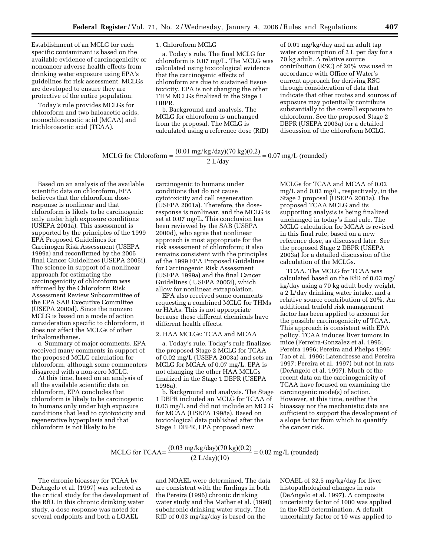Establishment of an MCLG for each specific contaminant is based on the available evidence of carcinogenicity or noncancer adverse health effects from drinking water exposure using EPA's guidelines for risk assessment. MCLGs are developed to ensure they are protective of the entire population.

Today's rule provides MCLGs for chloroform and two haloacetic acids, monochloroacetic acid (MCAA) and trichloroacetic acid (TCAA).

1. Chloroform MCLG

a. Today's rule. The final MCLG for chloroform is 0.07 mg/L. The MCLG was calculated using toxicological evidence that the carcinogenic effects of chloroform are due to sustained tissue toxicity. EPA is not changing the other THM MCLGs finalized in the Stage 1 DBPR.

b. Background and analysis. The MCLG for chloroform is unchanged from the proposal. The MCLG is calculated using a reference dose (RfD)

of 0.01 mg/kg/day and an adult tap water consumption of 2 L per day for a 70 kg adult. A relative source contribution (RSC) of 20% was used in accordance with Office of Water's current approach for deriving RSC through consideration of data that indicate that other routes and sources of exposure may potentially contribute substantially to the overall exposure to chloroform. See the proposed Stage 2 DBPR (USEPA 2003a) for a detailed discussion of the chloroform MCLG.

# MCLG for Chloroform =  $\frac{(0.01 \text{ mg/kg/day})(70 \text{ kg})(0.2)}{2 \text{ L/day}}$  = 0.07 mg/L (rounded)

Based on an analysis of the available scientific data on chloroform, EPA believes that the chloroform doseresponse is nonlinear and that chloroform is likely to be carcinogenic only under high exposure conditions (USEPA 2001a). This assessment is supported by the principles of the 1999 EPA Proposed Guidelines for Carcinogen Risk Assessment (USEPA 1999a) and reconfirmed by the 2005 final Cancer Guidelines (USEPA 2005i). The science in support of a nonlinear approach for estimating the carcinogenicity of chloroform was affirmed by the Chloroform Risk Assessment Review Subcommittee of the EPA SAB Executive Committee (USEPA 2000d). Since the nonzero MCLG is based on a mode of action consideration specific to chloroform, it does not affect the MCLGs of other trihalomethanes.

c. Summary of major comments. EPA received many comments in support of the proposed MCLG calculation for chloroform, although some commenters disagreed with a non-zero MCLG.

At this time, based on an analysis of all the available scientific data on chloroform, EPA concludes that chloroform is likely to be carcinogenic to humans only under high exposure conditions that lead to cytotoxicity and regenerative hyperplasia and that chloroform is not likely to be

carcinogenic to humans under conditions that do not cause cytotoxicity and cell regeneration (USEPA 2001a). Therefore, the doseresponse is nonlinear, and the MCLG is set at 0.07 mg/L. This conclusion has been reviewed by the SAB (USEPA 2000d), who agree that nonlinear approach is most appropriate for the risk assessment of chloroform; it also remains consistent with the principles of the 1999 EPA Proposed Guidelines for Carcinogenic Risk Assessment (USEPA 1999a) and the final Cancer Guidelines ( USEPA 2005i), which allow for nonlinear extrapolation.

EPA also received some comments requesting a combined MCLG for THMs or HAAs. This is not appropriate because these different chemicals have different health effects.

## 2. HAA MCLGs: TCAA and MCAA

a. Today's rule. Today's rule finalizes the proposed Stage 2 MCLG for TCAA of 0.02 mg/L (USEPA 2003a) and sets an MCLG for MCAA of 0.07 mg/L. EPA is not changing the other HAA MCLGs finalized in the Stage 1 DBPR (USEPA 1998a).

b. Background and analysis. The Stage 1 DBPR included an MCLG for TCAA of 0.03 mg/L and did not include an MCLG for MCAA (USEPA 1998a). Based on toxicological data published after the Stage 1 DBPR, EPA proposed new

MCLGs for TCAA and MCAA of 0.02 mg/L and 0.03 mg/L, respectively, in the Stage 2 proposal (USEPA 2003a). The proposed TCAA MCLG and its supporting analysis is being finalized unchanged in today's final rule. The MCLG calculation for MCAA is revised in this final rule, based on a new reference dose, as discussed later. See the proposed Stage 2 DBPR (USEPA 2003a) for a detailed discussion of the calculation of the MCLGs.

TCAA. The MCLG for TCAA was calculated based on the RfD of 0.03 mg/ kg/day using a 70 kg adult body weight, a 2 L/day drinking water intake, and a relative source contribution of 20%. An additional tenfold risk management factor has been applied to account for the possible carcinogenicity of TCAA. This approach is consistent with EPA policy. TCAA induces liver tumors in mice (Ferreira-Gonzalez et al. 1995; Pereira 1996; Pereira and Phelps 1996; Tao et al. 1996; Latendresse and Pereira 1997; Pereira et al. 1997) but not in rats (DeAngelo et al. 1997). Much of the recent data on the carcinogenicity of TCAA have focused on examining the carcinogenic mode(s) of action. However, at this time, neither the bioassay nor the mechanistic data are sufficient to support the development of a slope factor from which to quantify the cancer risk.

MCLG for TCAA=
$$
\frac{(0.03 \text{ mg/kg/day})(70 \text{ kg})(0.2)}{(2 \text{ L/day})(10)} = 0.02 \text{ mg/L (rounded)}
$$

The chronic bioassay for TCAA by DeAngelo et al. (1997) was selected as the critical study for the development of the RfD. In this chronic drinking water study, a dose-response was noted for several endpoints and both a LOAEL

and NOAEL were determined. The data are consistent with the findings in both the Pereira (1996) chronic drinking water study and the Mather et al. (1990) subchronic drinking water study. The RfD of 0.03 mg/kg/day is based on the

NOAEL of 32.5 mg/kg/day for liver histopathological changes in rats (DeAngelo et al. 1997). A composite uncertainty factor of 1000 was applied in the RfD determination. A default uncertainty factor of 10 was applied to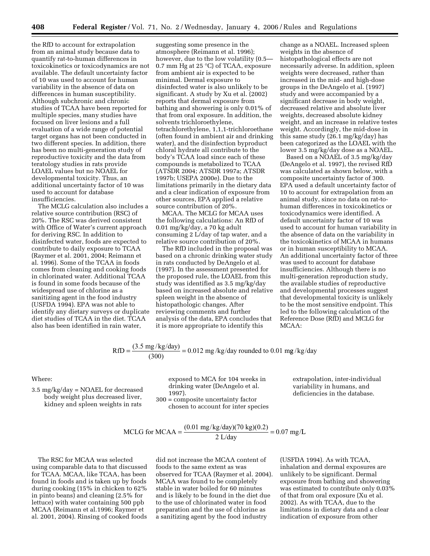the RfD to account for extrapolation from an animal study because data to quantify rat-to-human differences in toxicokinetics or toxicodynamics are not available. The default uncertainty factor of 10 was used to account for human variability in the absence of data on differences in human susceptibility. Although subchronic and chronic studies of TCAA have been reported for multiple species, many studies have focused on liver lesions and a full evaluation of a wide range of potential target organs has not been conducted in two different species. In addition, there has been no multi-generation study of reproductive toxicity and the data from teratology studies in rats provide LOAEL values but no NOAEL for developmental toxicity. Thus, an additional uncertainty factor of 10 was used to account for database insufficiencies.

The MCLG calculation also includes a relative source contribution (RSC) of 20%. The RSC was derived consistent with Office of Water's current approach for deriving RSC. In addition to disinfected water, foods are expected to contribute to daily exposure to TCAA (Raymer et al. 2001, 2004; Reimann et al. 1996). Some of the TCAA in foods comes from cleaning and cooking foods in chlorinated water. Additional TCAA is found in some foods because of the widespread use of chlorine as a sanitizing agent in the food industry (USFDA 1994). EPA was not able to identify any dietary surveys or duplicate diet studies of TCAA in the diet. TCAA also has been identified in rain water,

suggesting some presence in the atmosphere (Reimann et al. 1996); however, due to the low volatility (0.5— 0.7 mm Hg at 25 °C) of TCAA, exposure from ambient air is expected to be minimal. Dermal exposure to disinfected water is also unlikely to be significant. A study by Xu et al. (2002) reports that dermal exposure from bathing and showering is only 0.01% of that from oral exposure. In addition, the solvents trichloroethylene, tetrachlorethylene, 1,1,1-trichloroethane (often found in ambient air and drinking water), and the disinfection byproduct chloral hydrate all contribute to the body's TCAA load since each of these compounds is metabolized to TCAA (ATSDR 2004; ATSDR 1997a; ATSDR 1997b; USEPA 2000e). Due to the limitations primarily in the dietary data and a clear indication of exposure from other sources, EPA applied a relative source contribution of 20%.

MCAA. The MCLG for MCAA uses the following calculations: An RfD of 0.01 mg/kg/day, a 70 kg adult consuming 2 L/day of tap water, and a relative source contribution of 20%.

The RfD included in the proposal was based on a chronic drinking water study in rats conducted by DeAngelo et al. (1997). In the assessment presented for the proposed rule, the LOAEL from this study was identified as 3.5 mg/kg/day based on increased absolute and relative spleen weight in the absence of histopathologic changes. After reviewing comments and further analysis of the data, EPA concludes that it is more appropriate to identify this

change as a NOAEL. Increased spleen weights in the absence of histopathological effects are not necessarily adverse. In addition, spleen weights were decreased, rather than increased in the mid- and high-dose groups in the DeAngelo et al. (1997) study and were accompanied by a significant decrease in body weight, decreased relative and absolute liver weights, decreased absolute kidney weight, and an increase in relative testes weight. Accordingly, the mid-dose in this same study (26.1 mg/kg/day) has been categorized as the LOAEL with the lower 3.5 mg/kg/day dose as a NOAEL.

Based on a NOAEL of 3.5 mg/kg/day (DeAngelo et al. 1997), the revised RfD was calculated as shown below, with a composite uncertainty factor of 300. EPA used a default uncertainty factor of 10 to account for extrapolation from an animal study, since no data on rat-tohuman differences in toxicokinetics or toxicodynamics were identified. A default uncertainty factor of 10 was used to account for human variability in the absence of data on the variability in the toxicokinetics of MCAA in humans or in human susceptibility to MCAA. An additional uncertainty factor of three was used to account for database insufficiencies. Although there is no multi-generation reproduction study, the available studies of reproductive and developmental processes suggest that developmental toxicity is unlikely to be the most sensitive endpoint. This led to the following calculation of the Reference Dose (RfD) and MCLG for MCAA:

$$
RfD = \frac{(3.5 \text{ mg/kg/day})}{(300)} = 0.012 \text{ mg/kg/day rounded to } 0.01 \text{ mg/kg/day}
$$

## Where:

3.5 mg/kg/day = NOAEL for decreased body weight plus decreased liver, kidney and spleen weights in rats

exposed to MCA for 104 weeks in drinking water (DeAngelo et al. 1997).

300 = composite uncertainty factor chosen to account for inter species extrapolation, inter-individual variability in humans, and deficiencies in the database.

# MCLG for MCAA =  $\frac{(0.01 \text{ mg/kg/day})(70 \text{ kg})(0.2)}{2 \text{ L/day}}$  = 0.07 mg/L

The RSC for MCAA was selected using comparable data to that discussed for TCAA. MCAA, like TCAA, has been found in foods and is taken up by foods during cooking (15% in chicken to 62% in pinto beans) and cleaning (2.5% for lettuce) with water containing 500 ppb MCAA (Reimann et al.1996; Raymer et al. 2001, 2004). Rinsing of cooked foods

did not increase the MCAA content of foods to the same extent as was observed for TCAA (Raymer et al. 2004). MCAA was found to be completely stable in water boiled for 60 minutes and is likely to be found in the diet due to the use of chlorinated water in food preparation and the use of chlorine as a sanitizing agent by the food industry

(USFDA 1994). As with TCAA, inhalation and dermal exposures are unlikely to be significant. Dermal exposure from bathing and showering was estimated to contribute only 0.03% of that from oral exposure (Xu et al. 2002). As with TCAA, due to the limitations in dietary data and a clear indication of exposure from other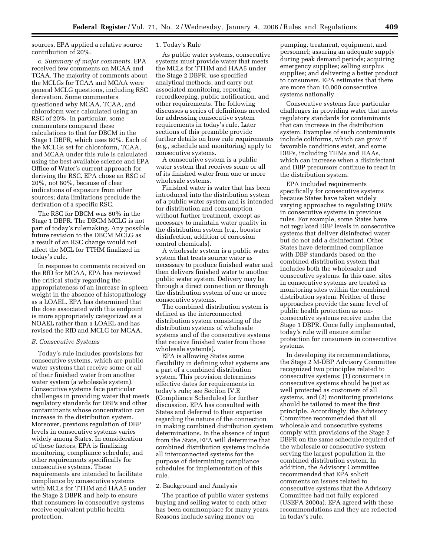sources, EPA applied a relative source contribution of 20%.

c. *Summary of major comments.* EPA received few comments on MCAA and TCAA. The majority of comments about the MCLGs for TCAA and MCAA were general MCLG questions, including RSC derivation. Some commenters questioned why MCAA, TCAA, and chloroform were calculated using an RSC of 20%. In particular, some commenters compared these calculations to that for DBCM in the Stage 1 DBPR, which uses 80%. Each of the MCLGs set for chloroform, TCAA, and MCAA under this rule is calculated using the best available science and EPA Office of Water's current approach for deriving the RSC. EPA chose an RSC of 20%, not 80%, because of clear indications of exposure from other sources; data limitations preclude the derivation of a specific RSC.

The RSC for DBCM was 80% in the Stage 1 DBPR. The DBCM MCLG is not part of today's rulemaking. Any possible future revision to the DBCM MCLG as a result of an RSC change would not affect the MCL for TTHM finalized in today's rule.

In response to comments received on the RfD for MCAA, EPA has reviewed the critical study regarding the appropriateness of an increase in spleen weight in the absence of histopathology as a LOAEL. EPA has determined that the dose associated with this endpoint is more appropriately categorized as a NOAEL rather than a LOAEL and has revised the RfD and MCLG for MCAA.

#### *B. Consecutive Systems*

Today's rule includes provisions for consecutive systems, which are public water systems that receive some or all of their finished water from another water system (a wholesale system). Consecutive systems face particular challenges in providing water that meets regulatory standards for DBPs and other contaminants whose concentration can increase in the distribution system. Moreover, previous regulation of DBP levels in consecutive systems varies widely among States. In consideration of these factors, EPA is finalizing monitoring, compliance schedule, and other requirements specifically for consecutive systems. These requirements are intended to facilitate compliance by consecutive systems with MCLs for TTHM and HAA5 under the Stage 2 DBPR and help to ensure that consumers in consecutive systems receive equivalent public health protection.

# 1. Today's Rule

As public water systems, consecutive systems must provide water that meets the MCLs for TTHM and HAA5 under the Stage 2 DBPR, use specified analytical methods, and carry out associated monitoring, reporting, recordkeeping, public notification, and other requirements. The following discusses a series of definitions needed for addressing consecutive system requirements in today's rule. Later sections of this preamble provide further details on how rule requirements (e.g., schedule and monitoring) apply to consecutive systems.

A consecutive system is a public water system that receives some or all of its finished water from one or more wholesale systems.

Finished water is water that has been introduced into the distribution system of a public water system and is intended for distribution and consumption without further treatment, except as necessary to maintain water quality in the distribution system (e.g., booster disinfection, addition of corrosion control chemicals).

A wholesale system is a public water system that treats source water as necessary to produce finished water and then delivers finished water to another public water system. Delivery may be through a direct connection or through the distribution system of one or more consecutive systems.

The combined distribution system is defined as the interconnected distribution system consisting of the distribution systems of wholesale systems and of the consecutive systems that receive finished water from those wholesale system(s).

EPA is allowing States some flexibility in defining what systems are a part of a combined distribution system. This provision determines effective dates for requirements in today's rule; see Section IV.E (Compliance Schedules) for further discussion. EPA has consulted with States and deferred to their expertise regarding the nature of the connection in making combined distribution system determinations. In the absence of input from the State, EPA will determine that combined distribution systems include all interconnected systems for the purpose of determining compliance schedules for implementation of this rule.

#### 2. Background and Analysis

The practice of public water systems buying and selling water to each other has been commonplace for many years. Reasons include saving money on

pumping, treatment, equipment, and personnel; assuring an adequate supply during peak demand periods; acquiring emergency supplies; selling surplus supplies; and delivering a better product to consumers. EPA estimates that there are more than 10,000 consecutive systems nationally.

Consecutive systems face particular challenges in providing water that meets regulatory standards for contaminants that can increase in the distribution system. Examples of such contaminants include coliforms, which can grow if favorable conditions exist, and some DBPs, including THMs and HAAs, which can increase when a disinfectant and DBP precursors continue to react in the distribution system.

EPA included requirements specifically for consecutive systems because States have taken widely varying approaches to regulating DBPs in consecutive systems in previous rules. For example, some States have not regulated DBP levels in consecutive systems that deliver disinfected water but do not add a disinfectant. Other States have determined compliance with DBP standards based on the combined distribution system that includes both the wholesaler and consecutive systems. In this case, sites in consecutive systems are treated as monitoring sites within the combined distribution system. Neither of these approaches provide the same level of public health protection as nonconsecutive systems receive under the Stage 1 DBPR. Once fully implemented, today's rule will ensure similar protection for consumers in consecutive systems.

In developing its recommendations, the Stage 2 M-DBP Advisory Committee recognized two principles related to consecutive systems: (1) consumers in consecutive systems should be just as well protected as customers of all systems, and (2) monitoring provisions should be tailored to meet the first principle. Accordingly, the Advisory Committee recommended that all wholesale and consecutive systems comply with provisions of the Stage 2 DBPR on the same schedule required of the wholesale or consecutive system serving the largest population in the combined distribution system. In addition, the Advisory Committee recommended that EPA solicit comments on issues related to consecutive systems that the Advisory Committee had not fully explored (USEPA 2000a). EPA agreed with these recommendations and they are reflected in today's rule.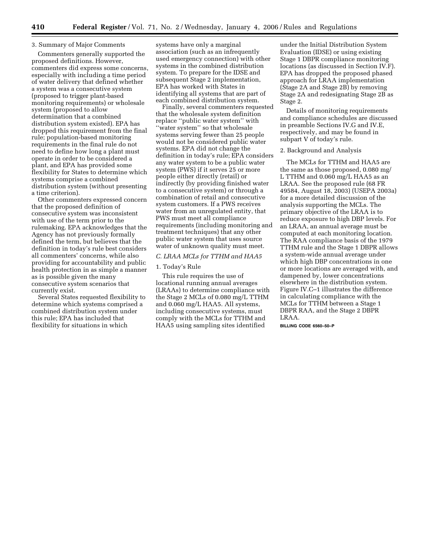## 3. Summary of Major Comments

Commenters generally supported the proposed definitions. However, commenters did express some concerns, especially with including a time period of water delivery that defined whether a system was a consecutive system (proposed to trigger plant-based monitoring requirements) or wholesale system (proposed to allow determination that a combined distribution system existed). EPA has dropped this requirement from the final rule; population-based monitoring requirements in the final rule do not need to define how long a plant must operate in order to be considered a plant, and EPA has provided some flexibility for States to determine which systems comprise a combined distribution system (without presenting a time criterion).

Other commenters expressed concern that the proposed definition of consecutive system was inconsistent with use of the term prior to the rulemaking. EPA acknowledges that the Agency has not previously formally defined the term, but believes that the definition in today's rule best considers all commenters' concerns, while also providing for accountability and public health protection in as simple a manner as is possible given the many consecutive system scenarios that currently exist.

Several States requested flexibility to determine which systems comprised a combined distribution system under this rule; EPA has included that flexibility for situations in which

systems have only a marginal association (such as an infrequently used emergency connection) with other systems in the combined distribution system. To prepare for the IDSE and subsequent Stage 2 implementation, EPA has worked with States in identifying all systems that are part of each combined distribution system.

Finally, several commenters requested that the wholesale system definition replace ''public water system'' with ''water system'' so that wholesale systems serving fewer than 25 people would not be considered public water systems. EPA did not change the definition in today's rule; EPA considers any water system to be a public water system (PWS) if it serves 25 or more people either directly (retail) or indirectly (by providing finished water to a consecutive system) or through a combination of retail and consecutive system customers. If a PWS receives water from an unregulated entity, that PWS must meet all compliance requirements (including monitoring and treatment techniques) that any other public water system that uses source water of unknown quality must meet.

#### *C. LRAA MCLs for TTHM and HAA5*

#### 1. Today's Rule

This rule requires the use of locational running annual averages (LRAAs) to determine compliance with the Stage 2 MCLs of 0.080 mg/L TTHM and 0.060 mg/L HAA5. All systems, including consecutive systems, must comply with the MCLs for TTHM and HAA5 using sampling sites identified

under the Initial Distribution System Evaluation (IDSE) or using existing Stage 1 DBPR compliance monitoring locations (as discussed in Section IV.F). EPA has dropped the proposed phased approach for LRAA implementation (Stage 2A and Stage 2B) by removing Stage 2A and redesignating Stage 2B as Stage 2.

Details of monitoring requirements and compliance schedules are discussed in preamble Sections IV.G and IV.E, respectively, and may be found in subpart V of today's rule.

#### 2. Background and Analysis

The MCLs for TTHM and HAA5 are the same as those proposed, 0.080 mg/ L TTHM and 0.060 mg/L HAA5 as an LRAA. See the proposed rule (68 FR 49584, August 18, 2003) (USEPA 2003a) for a more detailed discussion of the analysis supporting the MCLs. The primary objective of the LRAA is to reduce exposure to high DBP levels. For an LRAA, an annual average must be computed at each monitoring location. The RAA compliance basis of the 1979 TTHM rule and the Stage 1 DBPR allows a system-wide annual average under which high DBP concentrations in one or more locations are averaged with, and dampened by, lower concentrations elsewhere in the distribution system. Figure IV.C–1 illustrates the difference in calculating compliance with the MCLs for TTHM between a Stage 1 DBPR RAA, and the Stage 2 DBPR LRAA.

**BILLING CODE 6560–50–P**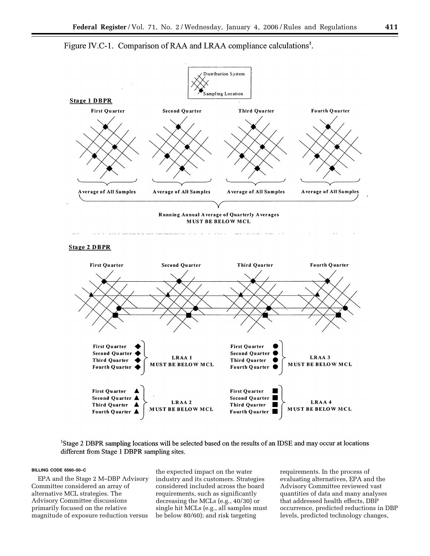



MUST BE BELOW MCL





<sup>1</sup>Stage 2 DBPR sampling locations will be selected based on the results of an IDSE and may occur at locations different from Stage 1 DBPR sampling sites.

#### **BILLING CODE 6560–50–C**

EPA and the Stage 2 M–DBP Advisory Committee considered an array of alternative MCL strategies. The Advisory Committee discussions primarily focused on the relative magnitude of exposure reduction versus

the expected impact on the water industry and its customers. Strategies considered included across the board requirements, such as significantly decreasing the MCLs (e.g., 40/30) or single hit MCLs (e.g., all samples must be below 80/60); and risk targeting

requirements. In the process of evaluating alternatives, EPA and the Advisory Committee reviewed vast quantities of data and many analyses that addressed health effects, DBP occurrence, predicted reductions in DBP levels, predicted technology changes,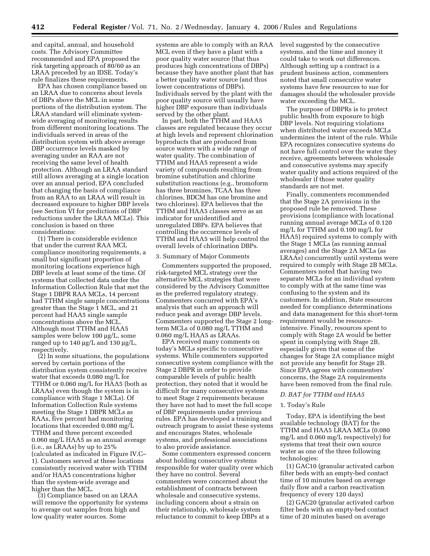and capital, annual, and household costs. The Advisory Committee recommended and EPA proposed the risk targeting approach of 80/60 as an LRAA preceded by an IDSE. Today's rule finalizes these requirements.

EPA has chosen compliance based on an LRAA due to concerns about levels of DBPs above the MCL in some portions of the distribution system. The LRAA standard will eliminate systemwide averaging of monitoring results from different monitoring locations. The individuals served in areas of the distribution system with above average DBP occurrence levels masked by averaging under an RAA are not receiving the same level of health protection. Although an LRAA standard still allows averaging at a single location over an annual period, EPA concluded that changing the basis of compliance from an RAA to an LRAA will result in decreased exposure to higher DBP levels (see Section VI for predictions of DBP reductions under the LRAA MCLs). This conclusion is based on three considerations:

(1) There is considerable evidence that under the current RAA MCL compliance monitoring requirements, a small but significant proportion of monitoring locations experience high DBP levels at least some of the time. Of systems that collected data under the Information Collection Rule that met the Stage 1 DBPR RAA MCLs, 14 percent had TTHM single sample concentrations greater than the Stage 1 MCL, and 21 percent had HAA5 single sample concentrations above the MCL. Although most TTHM and HAA5 samples were below 100 µg/L, some ranged up to 140 µg/L and 130 µg/L, respectively.

(2) In some situations, the populations served by certain portions of the distribution system consistently receive water that exceeds 0.080 mg/L for TTHM or 0.060 mg/L for HAA5 (both as LRAAs) even though the system is in compliance with Stage 1 MCLs). Of Information Collection Rule systems meeting the Stage 1 DBPR MCLs as RAAs, five percent had monitoring locations that exceeded 0.080 mg/L TTHM and three percent exceeded 0.060 mg/L HAA5 as an annual average (i.e., as LRAAs) by up to 25% (calculated as indicated in Figure IV.C– 1). Customers served at these locations consistently received water with TTHM and/or HAA5 concentrations higher than the system-wide average and higher than the MCL.

(3) Compliance based on an LRAA will remove the opportunity for systems to average out samples from high and low quality water sources. Some

systems are able to comply with an RAA MCL even if they have a plant with a poor quality water source (that thus produces high concentrations of DBPs) because they have another plant that has a better quality water source (and thus lower concentrations of DBPs). Individuals served by the plant with the poor quality source will usually have higher DBP exposure than individuals served by the other plant.

In part, both the TTHM and HAA5 classes are regulated because they occur at high levels and represent chlorination byproducts that are produced from source waters with a wide range of water quality. The combination of TTHM and HAA5 represent a wide variety of compounds resulting from bromine substitution and chlorine substitution reactions (e.g., bromoform has three bromines, TCAA has three chlorines, BDCM has one bromine and two chlorines). EPA believes that the TTHM and HAA5 classes serve as an indicator for unidentified and unregulated DBPs. EPA believes that controlling the occurrence levels of TTHM and HAA5 will help control the overall levels of chlorination DBPs.

#### 3. Summary of Major Comments

Commenters supported the proposed, risk-targeted MCL strategy over the alternative MCL strategies that were considered by the Advisory Committee as the preferred regulatory strategy. Commenters concurred with EPA's analysis that such an approach will reduce peak and average DBP levels. Commenters supported the Stage 2 longterm MCLs of 0.080 mg/L TTHM and 0.060 mg/L HAA5 as LRAAs.

EPA received many comments on today's MCLs specific to consecutive systems. While commenters supported consecutive system compliance with the Stage 2 DBPR in order to provide comparable levels of public health protection, they noted that it would be difficult for many consecutive systems to meet Stage 2 requirements because they have not had to meet the full scope of DBP requirements under previous rules. EPA has developed a training and outreach program to assist these systems and encourages States, wholesale systems, and professional associations to also provide assistance.

Some commenters expressed concern about holding consecutive systems responsible for water quality over which they have no control. Several commenters were concerned about the establishment of contracts between wholesale and consecutive systems, including concern about a strain on their relationship, wholesale system reluctance to commit to keep DBPs at a

level suggested by the consecutive systems, and the time and money it could take to work out differences. Although setting up a contract is a prudent business action, commenters noted that small consecutive water systems have few resources to sue for damages should the wholesaler provide water exceeding the MCL.

The purpose of DBPRs is to protect public health from exposure to high DBP levels. Not requiring violations when distributed water exceeds MCLs undermines the intent of the rule. While EPA recognizes consecutive systems do not have full control over the water they receive, agreements between wholesale and consecutive systems may specify water quality and actions required of the wholesaler if those water quality standards are not met.

Finally, commenters recommended that the Stage 2A provisions in the proposed rule be removed. These provisions (compliance with locational running annual average MCLs of 0.120 mg/L for TTHM and 0.100 mg/L for HAA5) required systems to comply with the Stage 1 MCLs (as running annual averages) and the Stage 2A MCLs (as LRAAs) concurrently until systems were required to comply with Stage 2B MCLs. Commenters noted that having two separate MCLs for an individual system to comply with at the same time was confusing to the system and its customers. In addition, State resources needed for compliance determinations and data management for this short-term requirement would be resourceintensive. Finally, resources spent to comply with Stage 2A would be better spent in complying with Stage 2B, especially given that some of the changes for Stage 2A compliance might not provide any benefit for Stage 2B. Since EPA agrees with commenters' concerns, the Stage 2A requirements have been removed from the final rule.

#### *D. BAT for TTHM and HAA5*

# 1. Today's Rule

Today, EPA is identifying the best available technology (BAT) for the TTHM and HAA5 LRAA MCLs (0.080 mg/L and 0.060 mg/L respectively) for systems that treat their own source water as one of the three following technologies:

(1) GAC10 (granular activated carbon filter beds with an empty-bed contact time of 10 minutes based on average daily flow and a carbon reactivation frequency of every 120 days)

(2) GAC20 (granular activated carbon filter beds with an empty-bed contact time of 20 minutes based on average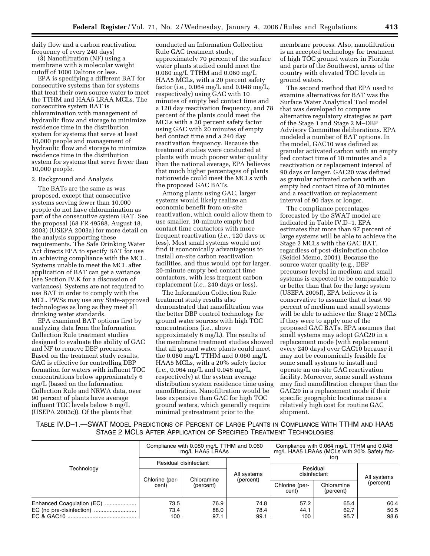daily flow and a carbon reactivation frequency of every 240 days)

(3) Nanofiltration (NF) using a membrane with a molecular weight cutoff of 1000 Daltons or less.

EPA is specifying a different BAT for consecutive systems than for systems that treat their own source water to meet the TTHM and HAA5 LRAA MCLs. The consecutive system BAT is chloramination with management of hydraulic flow and storage to minimize residence time in the distribution system for systems that serve at least 10,000 people and management of hydraulic flow and storage to minimize residence time in the distribution system for systems that serve fewer than 10,000 people.

#### 2. Background and Analysis

The BATs are the same as was proposed, except that consecutive systems serving fewer than 10,000 people do not have chloramination as part of the consecutive system BAT. See the proposal (68 FR 49588, August 18, 2003) (USEPA 2003a) for more detail on the analysis supporting these requirements. The Safe Drinking Water Act directs EPA to specify BAT for use in achieving compliance with the MCL. Systems unable to meet the MCL after application of BAT can get a variance (see Section IV.K for a discussion of variances). Systems are not required to use BAT in order to comply with the MCL. PWSs may use any State-approved technologies as long as they meet all drinking water standards.

EPA examined BAT options first by analyzing data from the Information Collection Rule treatment studies designed to evaluate the ability of GAC and NF to remove DBP precursors. Based on the treatment study results, GAC is effective for controlling DBP formation for waters with influent TOC concentrations below approximately 6 mg/L (based on the Information Collection Rule and NRWA data, over 90 percent of plants have average influent TOC levels below 6 mg/L (USEPA 2003c)). Of the plants that

conducted an Information Collection Rule GAC treatment study, approximately 70 percent of the surface water plants studied could meet the 0.080 mg/L TTHM and 0.060 mg/L HAA5 MCLs, with a 20 percent safety factor (i.e., 0.064 mg/L and 0.048 mg/L, respectively) using GAC with 10 minutes of empty bed contact time and a 120 day reactivation frequency, and 78 percent of the plants could meet the MCLs with a 20 percent safety factor using GAC with 20 minutes of empty bed contact time and a 240 day reactivation frequency. Because the treatment studies were conducted at plants with much poorer water quality than the national average, EPA believes that much higher percentages of plants nationwide could meet the MCLs with the proposed GAC BATs.

Among plants using GAC, larger systems would likely realize an economic benefit from on-site reactivation, which could allow them to use smaller, 10-minute empty bed contact time contactors with more frequent reactivation (*i.e.*, 120 days or less). Most small systems would not find it economically advantageous to install on-site carbon reactivation facilities, and thus would opt for larger, 20-minute empty bed contact time contactors, with less frequent carbon replacement (*i.e.*, 240 days or less).

The Information Collection Rule treatment study results also demonstrated that nanofiltration was the better DBP control technology for ground water sources with high TOC concentrations (i.e., above approximately 6 mg/L). The results of the membrane treatment studies showed that all ground water plants could meet the 0.080 mg/L TTHM and 0.060 mg/L HAA5 MCLs, with a 20% safety factor (i.e., 0.064 mg/L and 0.048 mg/L, respectively) at the system average distribution system residence time using nanofiltration. Nanofiltration would be less expensive than GAC for high TOC ground waters, which generally require minimal pretreatment prior to the

membrane process. Also, nanofiltration is an accepted technology for treatment of high TOC ground waters in Florida and parts of the Southwest, areas of the country with elevated TOC levels in ground waters.

The second method that EPA used to examine alternatives for BAT was the Surface Water Analytical Tool model that was developed to compare alternative regulatory strategies as part of the Stage 1 and Stage 2 M–DBP Advisory Committee deliberations. EPA modeled a number of BAT options. In the model, GAC10 was defined as granular activated carbon with an empty bed contact time of 10 minutes and a reactivation or replacement interval of 90 days or longer. GAC20 was defined as granular activated carbon with an empty bed contact time of 20 minutes and a reactivation or replacement interval of 90 days or longer.

The compliance percentages forecasted by the SWAT model are indicated in Table IV.D–1. EPA estimates that more than 97 percent of large systems will be able to achieve the Stage 2 MCLs with the GAC BAT, regardless of post-disinfection choice (Seidel Memo, 2001). Because the source water quality (e.g., DBP precursor levels) in medium and small systems is expected to be comparable to or better than that for the large system (USEPA 2005f), EPA believes it is conservative to assume that at least 90 percent of medium and small systems will be able to achieve the Stage 2 MCLs if they were to apply one of the proposed GAC BATs. EPA assumes that small systems may adopt GAC20 in a replacement mode (with replacement every 240 days) over GAC10 because it may not be economically feasible for some small systems to install and operate an on-site GAC reactivation facility. Moreover, some small systems may find nanofiltration cheaper than the GAC20 in a replacement mode if their specific geographic locations cause a relatively high cost for routine GAC shipment.

TABLE IV.D–1.—SWAT MODEL PREDICTIONS OF PERCENT OF LARGE PLANTS IN COMPLIANCE WITH TTHM AND HAA5 STAGE 2 MCLS AFTER APPLICATION OF SPECIFIED TREATMENT TECHNOLOGIES

|                           | Compliance with 0.080 mg/L TTHM and 0.060<br>mg/L HAA5 LRAAs |            |             | Compliance with 0.064 mg/L TTHM and 0.048<br>mg/L HAA5 LRAAs (MCLs with 20% Safety fac-<br>tor' |                         |             |  |
|---------------------------|--------------------------------------------------------------|------------|-------------|-------------------------------------------------------------------------------------------------|-------------------------|-------------|--|
| Technology                | Residual disinfectant                                        |            |             | Residual                                                                                        |                         |             |  |
|                           |                                                              | Chloramine | All systems | disinfectant                                                                                    |                         | All systems |  |
|                           | Chlorine (per-<br>cent)                                      | (percent)  | (percent)   | Chlorine (per-<br>cent)                                                                         | Chloramine<br>(percent) | (percent)   |  |
| Enhanced Coagulation (EC) | 73.5                                                         | 76.9       | 74.8        | 57.2                                                                                            | 65.4                    | 60.4        |  |
|                           | 73.4                                                         | 88.0       | 78.4        | 44.1                                                                                            | 62.7                    | 50.5        |  |
|                           | 100                                                          | 97.1       | 99.1        | 100                                                                                             | 95.7                    | 98.6        |  |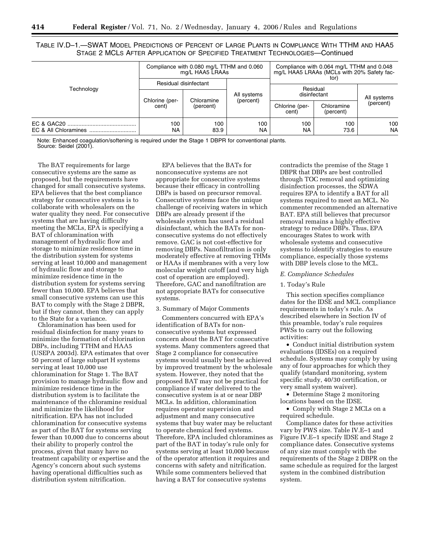TABLE IV.D–1.—SWAT MODEL PREDICTIONS OF PERCENT OF LARGE PLANTS IN COMPLIANCE WITH TTHM AND HAA5 STAGE 2 MCLS AFTER APPLICATION OF SPECIFIED TREATMENT TECHNOLOGIES—Continued

| Technology | Compliance with 0.080 mg/L TTHM and 0.060<br>mg/L HAA5 LRAAs |                         |                          | Compliance with 0.064 mg/L TTHM and 0.048<br>mg/L HAA5 LRAAs (MCLs with 20% Safety fac-<br>tor |             |                          |
|------------|--------------------------------------------------------------|-------------------------|--------------------------|------------------------------------------------------------------------------------------------|-------------|--------------------------|
|            | Residual disinfectant                                        |                         |                          | Residual                                                                                       |             |                          |
|            | Chlorine (per-<br>cent)                                      | Chloramine<br>(percent) | All systems<br>(percent) | disinfectant<br>Chloramine<br>Chlorine (per-<br>(percent)<br>cent)                             |             | All systems<br>(percent) |
|            | 100<br><b>NA</b>                                             | 100<br>83.9             | 100<br>NA                | 100<br>NA                                                                                      | 100<br>73.6 | 100<br><b>NA</b>         |

Note: Enhanced coagulation/softening is required under the Stage 1 DBPR for conventional plants. Source: Seidel (2001).

The BAT requirements for large consecutive systems are the same as proposed, but the requirements have changed for small consecutive systems. EPA believes that the best compliance strategy for consecutive systems is to collaborate with wholesalers on the water quality they need. For consecutive systems that are having difficulty meeting the MCLs, EPA is specifying a BAT of chloramination with management of hydraulic flow and storage to minimize residence time in the distribution system for systems serving at least 10,000 and management of hydraulic flow and storage to minimize residence time in the distribution system for systems serving fewer than 10,000. EPA believes that small consecutive systems can use this BAT to comply with the Stage 2 DBPR, but if they cannot, then they can apply to the State for a variance.

Chloramination has been used for residual disinfection for many years to minimize the formation of chlorination DBPs, including TTHM and HAA5 (USEPA 2003d). EPA estimates that over 50 percent of large subpart H systems serving at least 10,000 use chloramination for Stage 1. The BAT provision to manage hydraulic flow and minimize residence time in the distribution system is to facilitate the maintenance of the chloramine residual and minimize the likelihood for nitrification. EPA has not included chloramination for consecutive systems as part of the BAT for systems serving fewer than 10,000 due to concerns about their ability to properly control the process, given that many have no treatment capability or expertise and the Agency's concern about such systems having operational difficulties such as distribution system nitrification.

EPA believes that the BATs for nonconsecutive systems are not appropriate for consecutive systems because their efficacy in controlling DBPs is based on precursor removal. Consecutive systems face the unique challenge of receiving waters in which DBPs are already present if the wholesale system has used a residual disinfectant, which the BATs for nonconsecutive systems do not effectively remove. GAC is not cost-effective for removing DBPs. Nanofiltration is only moderately effective at removing THMs or HAAs if membranes with a very low molecular weight cutoff (and very high cost of operation are employed). Therefore, GAC and nanofiltration are not appropriate BATs for consecutive systems.

#### 3. Summary of Major Comments

Commenters concurred with EPA's identification of BATs for nonconsecutive systems but expressed concern about the BAT for consecutive systems. Many commenters agreed that Stage 2 compliance for consecutive systems would usually best be achieved by improved treatment by the wholesale system. However, they noted that the proposed BAT may not be practical for compliance if water delivered to the consecutive system is at or near DBP MCLs. In addition, chloramination requires operator supervision and adjustment and many consecutive systems that buy water may be reluctant to operate chemical feed systems. Therefore, EPA included chloramines as part of the BAT in today's rule only for systems serving at least 10,000 because of the operator attention it requires and concerns with safety and nitrification. While some commenters believed that having a BAT for consecutive systems

contradicts the premise of the Stage 1 DBPR that DBPs are best controlled through TOC removal and optimizing disinfection processes, the SDWA requires EPA to identify a BAT for all systems required to meet an MCL. No commenter recommended an alternative BAT. EPA still believes that precursor removal remains a highly effective strategy to reduce DBPs. Thus, EPA encourages States to work with wholesale systems and consecutive systems to identify strategies to ensure compliance, especially those systems with DBP levels close to the MCL.

#### *E. Compliance Schedules*

#### 1. Today's Rule

This section specifies compliance dates for the IDSE and MCL compliance requirements in today's rule. As described elsewhere in Section IV of this preamble, today's rule requires PWSs to carry out the following activities:

• Conduct initial distribution system evaluations (IDSEs) on a required schedule. Systems may comply by using any of four approaches for which they qualify (standard monitoring, system specific study, 40/30 certification, or very small system waiver).

• Determine Stage 2 monitoring locations based on the IDSE.

• Comply with Stage 2 MCLs on a required schedule.

Compliance dates for these activities vary by PWS size. Table IV.E–1 and Figure IV.E–1 specify IDSE and Stage 2 compliance dates. Consecutive systems of any size must comply with the requirements of the Stage 2 DBPR on the same schedule as required for the largest system in the combined distribution system.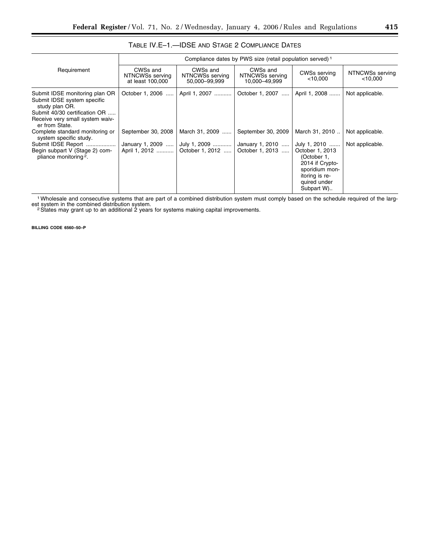|                                                                                                                                                                       | Compliance dates by PWS size (retail population served) 1 |                                              |                                              |                                                                                                                                     |                               |  |  |  |
|-----------------------------------------------------------------------------------------------------------------------------------------------------------------------|-----------------------------------------------------------|----------------------------------------------|----------------------------------------------|-------------------------------------------------------------------------------------------------------------------------------------|-------------------------------|--|--|--|
| Requirement                                                                                                                                                           | CWSs and<br>NTNCWSs serving<br>at least 100,000           | CWSs and<br>NTNCWSs serving<br>50,000-99,999 | CWSs and<br>NTNCWSs serving<br>10.000-49.999 | CWSs serving<br>$<$ 10,000                                                                                                          | NTNCWSs serving<br>$<$ 10,000 |  |  |  |
| Submit IDSE monitoring plan OR<br>Submit IDSE system specific<br>study plan OR.<br>Submit 40/30 certification OR<br>Receive very small system waiv-<br>er from State. | October 1, 2006<br>$\cdots$                               | April 1, 2007                                | October 1, 2007                              | April 1, 2008                                                                                                                       | Not applicable.               |  |  |  |
| Complete standard monitoring or<br>system specific study.                                                                                                             | September 30, 2008                                        | March 31, 2009                               | September 30, 2009                           | March 31, 2010                                                                                                                      | Not applicable.               |  |  |  |
| Submit IDSE Report<br>Begin subpart V (Stage 2) com-<br>pliance monitoring <sup>2</sup> .                                                                             | January 1, 2009<br>April 1, 2012                          | July 1, 2009<br>October 1, 2012              | January 1, 2010<br>October 1, 2013           | July 1, 2010<br>October 1, 2013<br>(October 1,<br>2014 if Crypto-<br>sporidium mon-<br>itoring is re-<br>quired under<br>Subpart W) | Not applicable.               |  |  |  |

# TABLE IV.E–1.—IDSE AND STAGE 2 COMPLIANCE DATES

1Wholesale and consecutive systems that are part of a combined distribution system must comply based on the schedule required of the larg-

est system in the combined distribution system.<br><sup>2</sup> States may grant up to an additional 2 years for systems making capital improvements.

**BILLING CODE 6560–50–P**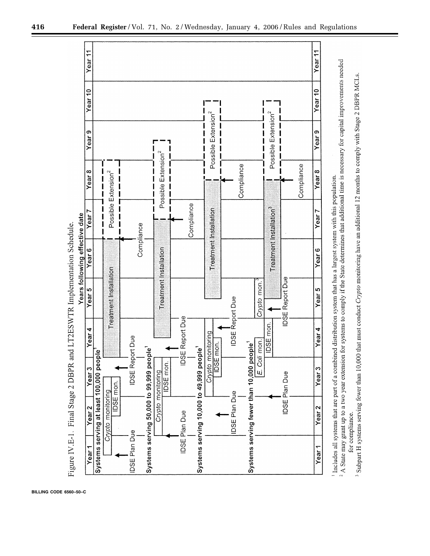

**BILLING CODE 6560–50–C**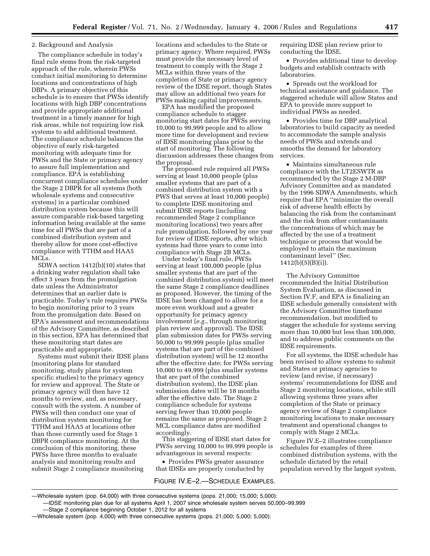# 2. Background and Analysis

The compliance schedule in today's final rule stems from the risk-targeted approach of the rule, wherein PWSs conduct initial monitoring to determine locations and concentrations of high DBPs. A primary objective of this schedule is to ensure that PWSs identify locations with high DBP concentrations and provide appropriate additional treatment in a timely manner for high risk areas, while not requiring low risk systems to add additional treatment. The compliance schedule balances the objective of early risk-targeted monitoring with adequate time for PWSs and the State or primacy agency to assure full implementation and compliance. EPA is establishing concurrent compliance schedules under the Stage 2 DBPR for all systems (both wholesale systems and consecutive systems) in a particular combined distribution system because this will assure comparable risk-based targeting information being available at the same time for all PWSs that are part of a combined distribution system and thereby allow for more cost-effective compliance with TTHM and HAA5 MCLs.

SDWA section 1412(b)(10) states that a drinking water regulation shall take effect 3 years from the promulgation date unless the Administrator determines that an earlier date is practicable. Today's rule requires PWSs to begin monitoring prior to 3 years from the promulgation date. Based on EPA's assessment and recommendations of the Advisory Committee, as described in this section, EPA has determined that these monitoring start dates are practicable and appropriate.

Systems must submit their IDSE plans (monitoring plans for standard monitoring, study plans for system specific studies) to the primacy agency for review and approval. The State or primacy agency will then have 12 months to review, and, as necessary, consult with the system. A number of PWSs will then conduct one year of distribution system monitoring for TTHM and HAA5 at locations other than those currently used for Stage 1 DBPR compliance monitoring. At the conclusion of this monitoring, these PWSs have three months to evaluate analysis and monitoring results and submit Stage 2 compliance monitoring

locations and schedules to the State or primacy agency. Where required, PWSs must provide the necessary level of treatment to comply with the Stage 2 MCLs within three years of the completion of State or primacy agency review of the IDSE report, though States may allow an additional two years for PWSs making capital improvements.

EPA has modified the proposed compliance schedule to stagger monitoring start dates for PWSs serving 10,000 to 99,999 people and to allow more time for development and review of IDSE monitoring plans prior to the start of monitoring. The following discussion addresses these changes from the proposal.

The proposed rule required all PWSs serving at least 10,000 people (plus smaller systems that are part of a combined distribution system with a PWS that serves at least 10,000 people) to complete IDSE monitoring and submit IDSE reports (including recommended Stage 2 compliance monitoring locations) two years after rule promulgation, followed by one year for review of IDSE reports, after which systems had three years to come into compliance with Stage 2B MCLs.

Under today's final rule, PWSs serving at least 100,000 people (plus smaller systems that are part of the combined distribution system) will meet the same Stage 2 compliance deadlines as proposed. However, the timing of the IDSE has been changed to allow for a more even workload and a greater opportunity for primacy agency involvement (*e.g.*, through monitoring plan review and approval). The IDSE plan submission dates for PWSs serving 50,000 to 99,999 people (plus smaller systems that are part of the combined distribution system) will be 12 months after the effective date; for PWSs serving 10,000 to 49,999 (plus smaller systems that are part of the combined distribution system), the IDSE plan submission dates will be 18 months after the effective date. The Stage 2 compliance schedule for systems serving fewer than 10,000 people remains the same as proposed. Stage 2 MCL compliance dates are modified accordingly.

This staggering of IDSE start dates for PWSs serving 10,000 to 99,999 people is advantageous in several respects:

• Provides PWSs greater assurance that IDSEs are properly conducted by

FIGURE IV.E–2.—SCHEDULE EXAMPLES.

requiring IDSE plan review prior to conducting the IDSE.

• Provides additional time to develop budgets and establish contracts with laboratories.

• Spreads out the workload for technical assistance and guidance. The staggered schedule will allow States and EPA to provide more support to individual PWSs as needed.

• Provides time for DBP analytical laboratories to build capacity as needed to accommodate the sample analysis needs of PWSs and extends and smooths the demand for laboratory services.

• Maintains simultaneous rule compliance with the LT2ESWTR as recommended by the Stage 2 M-DBP Advisory Committee and as mandated by the 1996 SDWA Amendments, which require that EPA ''minimize the overall risk of adverse health effects by balancing the risk from the contaminant and the risk from other contaminants the concentrations of which may be affected by the use of a treatment technique or process that would be employed to attain the maximum contaminant level'' (Sec. 1412(b)(5)(B)(i)).

The Advisory Committee recommended the Initial Distribution System Evaluation, as discussed in Section IV.F, and EPA is finalizing an IDSE schedule generally consistent with the Advisory Committee timeframe recommendation, but modified to stagger the schedule for systems serving more than 10,000 but less than 100,000, and to address public comments on the IDSE requirements.

For all systems, the IDSE schedule has been revised to allow systems to submit and States or primacy agencies to review (and revise, if necessary) systems' recommendations for IDSE and Stage 2 monitoring locations, while still allowing systems three years after completion of the State or primacy agency review of Stage 2 compliance monitoring locations to make necessary treatment and operational changes to comply with Stage 2 MCLs.

Figure IV.E–2 illustrates compliance schedules for examples of three combined distribution systems, with the schedule dictated by the retail population served by the largest system.

—Stage 2 compliance beginning October 1, 2012 for all systems

<sup>—</sup>Wholesale system (pop. 64,000) with three consecutive systems (pops. 21,000; 15,000; 5,000): —IDSE monitoring plan due for all systems April 1, 2007 since wholesale system serves 50,000–99,999

<sup>—</sup>Wholesale system (pop. 4,000) with three consecutive systems (pops. 21,000; 5,000; 5,000):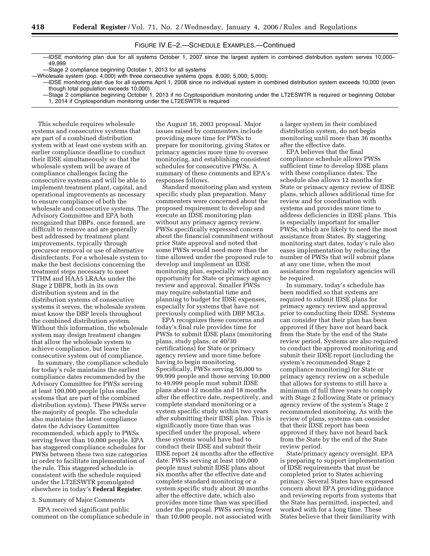# FIGURE IV.E–2.—SCHEDULE EXAMPLES.—Continued

—IDSE monitoring plan due for all systems October 1, 2007 since the largest system in combined distribution system serves 10,000– 49,999

—Stage 2 compliance beginning October 1, 2013 for all systems

- —IDSE monitoring plan due for all systems April 1, 2008 since no individual system in combined distribution system exceeds 10,000 (even though total population exceeds 10,000)
	- —Stage 2 compliance beginning October 1, 2013 if no Cryptosporidium monitoring under the LT2ESWTR is required or beginning October 1, 2014 if Cryptosporidium monitoring under the LT2ESWTR is required

This schedule requires wholesale systems and consecutive systems that are part of a combined distribution system with at least one system with an earlier compliance deadline to conduct their IDSE simultaneously so that the wholesale system will be aware of compliance challenges facing the consecutive systems and will be able to implement treatment plant, capital, and operational improvements as necessary to ensure compliance of both the wholesale and consecutive systems. The Advisory Committee and EPA both recognized that DBPs, once formed, are difficult to remove and are generally best addressed by treatment plant improvements, typically through precursor removal or use of alternative disinfectants. For a wholesale system to make the best decisions concerning the treatment steps necessary to meet TTHM and HAA5 LRAAs under the Stage 2 DBPR, both in its own distribution system and in the distribution systems of consecutive systems it serves, the wholesale system must know the DBP levels throughout the combined distribution system. Without this information, the wholesale system may design treatment changes that allow the wholesale system to achieve compliance, but leave the consecutive system out of compliance.

In summary, the compliance schedule for today's rule maintains the earliest compliance dates recommended by the Advisory Committee for PWSs serving at least 100,000 people (plus smaller systems that are part of the combined distribution system). These PWSs serve the majority of people. The schedule also maintains the latest compliance dates the Advisory Committee recommended, which apply to PWSs serving fewer than 10,000 people. EPA has staggered compliance schedules for PWSs between these two size categories in order to facilitate implementation of the rule. This staggered schedule is consistent with the schedule required under the LT2ESWTR promulgated elsewhere in today's **Federal Register**.

#### 3. Summary of Major Comments

EPA received significant public comment on the compliance schedule in

the August 18, 2003 proposal. Major issues raised by commenters include providing more time for PWSs to prepare for monitoring, giving States or primacy agencies more time to oversee monitoring, and establishing consistent schedules for consecutive PWSs. A summary of these comments and EPA's responses follows.

Standard monitoring plan and system specific study plan preparation. Many commenters were concerned about the proposed requirement to develop and execute an IDSE monitoring plan without any primacy agency review. PWSs specifically expressed concern about the financial commitment without prior State approval and noted that some PWSs would need more than the time allowed under the proposed rule to develop and implement an IDSE monitoring plan, especially without an opportunity for State or primacy agency review and approval. Smaller PWSs may require substantial time and planning to budget for IDSE expenses, especially for systems that have not previously complied with DBP MCLs.

EPA recognizes these concerns and today's final rule provides time for PWSs to submit IDSE plans (monitoring plans, study plans, or 40/30 certifications) for State or primacy agency review and more time before having to begin monitoring. Specifically, PWSs serving 50,000 to 99,999 people and those serving 10,000 to 49,999 people must submit IDSE plans about 12 months and 18 months after the effective date, respectively, and complete standard monitoring or a system specific study within two years after submitting their IDSE plan. This is significantly more time than was specified under the proposal, where these systems would have had to conduct their IDSE and submit their IDSE report 24 months after the effective date. PWSs serving at least 100,000 people must submit IDSE plans about six months after the effective date and complete standard monitoring or a system specific study about 30 months after the effective date, which also provides more time than was specified under the proposal. PWSs serving fewer than 10,000 people, not associated with

a larger system in their combined distribution system, do not begin monitoring until more than 36 months after the effective date.

EPA believes that the final compliance schedule allows PWSs sufficient time to develop IDSE plans with these compliance dates. The schedule also allows 12 months for State or primacy agency review of IDSE plans, which allows additional time for review and for coordination with systems and provides more time to address deficiencies in IDSE plans. This is especially important for smaller PWSs, which are likely to need the most assistance from States. By staggering monitoring start dates, today's rule also eases implementation by reducing the number of PWSs that will submit plans at any one time, when the most assistance from regulatory agencies will be required.

In summary, today's schedule has been modified so that systems are required to submit IDSE plans for primacy agency review and approval prior to conducting their IDSE. Systems can consider that their plan has been approved if they have not heard back from the State by the end of the State review period. Systems are also required to conduct the approved monitoring and submit their IDSE report (including the system's recommended Stage 2 compliance monitoring) for State or primacy agency review on a schedule that allows for systems to still have a minimum of full three years to comply with Stage 2 following State or primacy agency review of the system's Stage 2 recommended monitoring. As with the review of plans, systems can consider that their IDSE report has been approved if they have not heard back from the State by the end of the State review period.

State/primacy agency oversight. EPA is preparing to support implementation of IDSE requirements that must be completed prior to States achieving primacy. Several States have expressed concern about EPA providing guidance and reviewing reports from systems that the State has permitted, inspected, and worked with for a long time. These States believe that their familiarity with

<sup>—</sup>Wholesale system (pop. 4,000) with three consecutive systems (pops. 8,000; 5,000; 5,000):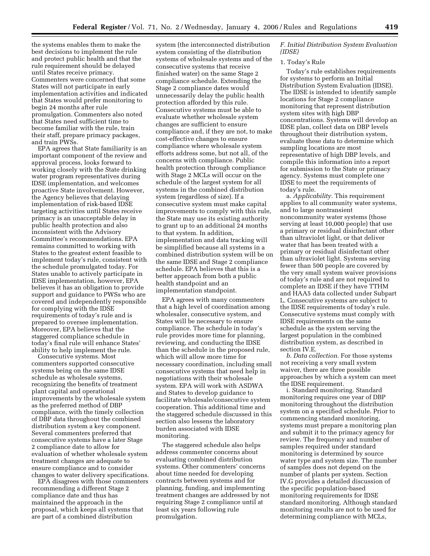the systems enables them to make the best decisions to implement the rule and protect public health and that the rule requirement should be delayed until States receive primacy. Commenters were concerned that some States will not participate in early implementation activities and indicated that States would prefer monitoring to begin 24 months after rule promulgation. Commenters also noted that States need sufficient time to become familiar with the rule, train their staff, prepare primacy packages, and train PWSs.

EPA agrees that State familiarity is an important component of the review and approval process, looks forward to working closely with the State drinking water program representatives during IDSE implementation, and welcomes proactive State involvement. However, the Agency believes that delaying implementation of risk-based IDSE targeting activities until States receive primacy is an unacceptable delay in public health protection and also inconsistent with the Advisory Committee's recommendations. EPA remains committed to working with States to the greatest extent feasible to implement today's rule, consistent with the schedule promulgated today. For States unable to actively participate in IDSE implementation, however, EPA believes it has an obligation to provide support and guidance to PWSs who are covered and independently responsible for complying with the IDSE requirements of today's rule and is prepared to oversee implementation. Moreover, EPA believes that the staggered compliance schedule in today's final rule will enhance States' ability to help implement the rule.

Consecutive systems. Most commenters supported consecutive systems being on the same IDSE schedule as wholesale systems, recognizing the benefits of treatment plant capital and operational improvements by the wholesale system as the preferred method of DBP compliance, with the timely collection of DBP data throughout the combined distribution system a key component. Several commenters preferred that consecutive systems have a later Stage 2 compliance date to allow for evaluation of whether wholesale system treatment changes are adequate to ensure compliance and to consider changes to water delivery specifications.

EPA disagrees with those commenters recommending a different Stage 2 compliance date and thus has maintained the approach in the proposal, which keeps all systems that are part of a combined distribution

system (the interconnected distribution system consisting of the distribution systems of wholesale systems and of the consecutive systems that receive finished water) on the same Stage 2 compliance schedule. Extending the Stage 2 compliance dates would unnecessarily delay the public health protection afforded by this rule. Consecutive systems must be able to evaluate whether wholesale system changes are sufficient to ensure compliance and, if they are not, to make cost-effective changes to ensure compliance where wholesale system efforts address some, but not all, of the concerns with compliance. Public health protection through compliance with Stage 2 MCLs will occur on the schedule of the largest system for all systems in the combined distribution system (regardless of size). If a consecutive system must make capital improvements to comply with this rule, the State may use its existing authority to grant up to an additional 24 months to that system. In addition, implementation and data tracking will be simplified because all systems in a combined distribution system will be on the same IDSE and Stage 2 compliance schedule. EPA believes that this is a better approach from both a public health standpoint and an implementation standpoint.

EPA agrees with many commenters that a high level of coordination among wholesaler, consecutive system, and States will be necessary to ensure compliance. The schedule in today's rule provides more time for planning, reviewing, and conducting the IDSE than the schedule in the proposed rule, which will allow more time for necessary coordination, including small consecutive systems that need help in negotiations with their wholesale system. EPA will work with ASDWA and States to develop guidance to facilitate wholesale/consecutive system cooperation. This additional time and the staggered schedule discussed in this section also lessens the laboratory burden associated with IDSE monitoring.

The staggered schedule also helps address commenter concerns about evaluating combined distribution systems. Other commenters' concerns about time needed for developing contracts between systems and for planning, funding, and implementing treatment changes are addressed by not requiring Stage 2 compliance until at least six years following rule promulgation.

*F. Initial Distribution System Evaluation (IDSE)* 

#### 1. Today's Rule

Today's rule establishes requirements for systems to perform an Initial Distribution System Evaluation (IDSE). The IDSE is intended to identify sample locations for Stage 2 compliance monitoring that represent distribution system sites with high DBP concentrations. Systems will develop an IDSE plan, collect data on DBP levels throughout their distribution system, evaluate these data to determine which sampling locations are most representative of high DBP levels, and compile this information into a report for submission to the State or primacy agency. Systems must complete one IDSE to meet the requirements of today's rule.

a. *Applicability.* This requirement applies to all community water systems, and to large nontransient noncommunity water systems (those serving at least 10,000 people) that use a primary or residual disinfectant other than ultraviolet light, or that deliver water that has been treated with a primary or residual disinfectant other than ultraviolet light. Systems serving fewer than 500 people are covered by the very small system waiver provisions of today's rule and are not required to complete an IDSE if they have TTHM and HAA5 data collected under Subpart L. Consecutive systems are subject to the IDSE requirements of today's rule. Consecutive systems must comply with IDSE requirements on the same schedule as the system serving the largest population in the combined distribution system, as described in section IV.E.

*b. Data collection.* For those systems not receiving a very small system waiver, there are three possible approaches by which a system can meet the IDSE requirement.

i. Standard monitoring. Standard monitoring requires one year of DBP monitoring throughout the distribution system on a specified schedule. Prior to commencing standard monitoring, systems must prepare a monitoring plan and submit it to the primacy agency for review. The frequency and number of samples required under standard monitoring is determined by source water type and system size. The number of samples does not depend on the number of plants per system. Section IV.G provides a detailed discussion of the specific population-based monitoring requirements for IDSE standard monitoring. Although standard monitoring results are not to be used for determining compliance with MCLs,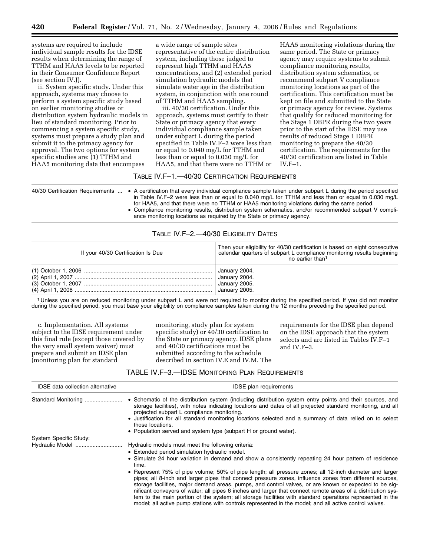systems are required to include individual sample results for the IDSE results when determining the range of TTHM and HAA5 levels to be reported in their Consumer Confidence Report (see section IV.J).

ii. System specific study. Under this approach, systems may choose to perform a system specific study based on earlier monitoring studies or distribution system hydraulic models in lieu of standard monitoring. Prior to commencing a system specific study, systems must prepare a study plan and submit it to the primacy agency for approval. The two options for system specific studies are: (1) TTHM and HAA5 monitoring data that encompass

a wide range of sample sites representative of the entire distribution system, including those judged to represent high TTHM and HAA5 concentrations, and (2) extended period simulation hydraulic models that simulate water age in the distribution system, in conjunction with one round of TTHM and HAA5 sampling.

iii. 40/30 certification. Under this approach, systems must certify to their State or primacy agency that every individual compliance sample taken under subpart L during the period specified in Table IV.F–2 were less than or equal to 0.040 mg/L for TTHM and less than or equal to 0.030 mg/L for HAA5, and that there were no TTHM or

HAA5 monitoring violations during the same period. The State or primacy agency may require systems to submit compliance monitoring results, distribution system schematics, or recommend subpart V compliance monitoring locations as part of the certification. This certification must be kept on file and submitted to the State or primacy agency for review. Systems that qualify for reduced monitoring for the Stage 1 DBPR during the two years prior to the start of the IDSE may use results of reduced Stage 1 DBPR monitoring to prepare the 40/30 certification. The requirements for the 40/30 certification are listed in Table IV. $F-1$ .

# TABLE IV.F–1.—40/30 CERTIFICATION REQUIREMENTS

| 40/30 Certification Requirements | • A certification that every individual compliance sample taken under subpart L during the period specified<br>in Table IV.F–2 were less than or equal to 0.040 mg/L for TTHM and less than or equal to 0.030 mg/L<br>for HAA5, and that there were no TTHM or HAA5 monitoring violations during the same period.<br>• Compliance monitoring results, distribution system schematics, and/or recommended subpart V compli-<br>ance monitoring locations as required by the State or primacy agency. |
|----------------------------------|-----------------------------------------------------------------------------------------------------------------------------------------------------------------------------------------------------------------------------------------------------------------------------------------------------------------------------------------------------------------------------------------------------------------------------------------------------------------------------------------------------|
|----------------------------------|-----------------------------------------------------------------------------------------------------------------------------------------------------------------------------------------------------------------------------------------------------------------------------------------------------------------------------------------------------------------------------------------------------------------------------------------------------------------------------------------------------|

# TABLE IV.F–2.—40/30 ELIGIBILITY DATES

| If your 40/30 Certification Is Due | Then your eligibility for 40/30 certification is based on eight consecutive<br>calendar quarters of subpart L compliance monitoring results beginning<br>no earlier than <sup>1</sup> |
|------------------------------------|---------------------------------------------------------------------------------------------------------------------------------------------------------------------------------------|
|                                    |                                                                                                                                                                                       |

1 Unless you are on reduced monitoring under subpart L and were not required to monitor during the specified period. If you did not monitor during the specified period, you must base your eligibility on compliance samples taken during the 12 months preceding the specified period.

c. Implementation. All systems subject to the IDSE requirement under this final rule (except those covered by the very small system waiver) must prepare and submit an IDSE plan (monitoring plan for standard

monitoring, study plan for system specific study) or 40/30 certification to the State or primacy agency. IDSE plans and 40/30 certifications must be submitted according to the schedule described in section IV.E and IV.M. The requirements for the IDSE plan depend on the IDSE approach that the system selects and are listed in Tables IV.F–1 and IV.F–3.

# TABLE IV.F–3.—IDSE MONITORING PLAN REQUIREMENTS

| <b>IDSE</b> data collection alternative | <b>IDSE</b> plan requirements                                                                                                                                                                                                                                                                                                                                                                                                                                                                                                                                                                                                                                      |
|-----------------------------------------|--------------------------------------------------------------------------------------------------------------------------------------------------------------------------------------------------------------------------------------------------------------------------------------------------------------------------------------------------------------------------------------------------------------------------------------------------------------------------------------------------------------------------------------------------------------------------------------------------------------------------------------------------------------------|
| Standard Monitoring                     | • Schematic of the distribution system (including distribution system entry points and their sources, and<br>storage facilities), with notes indicating locations and dates of all projected standard monitoring, and all<br>projected subpart L compliance monitoring.<br>• Justification for all standard monitoring locations selected and a summary of data relied on to select<br>those locations.<br>• Population served and system type (subpart H or ground water).                                                                                                                                                                                        |
| System Specific Study:                  |                                                                                                                                                                                                                                                                                                                                                                                                                                                                                                                                                                                                                                                                    |
|                                         | Hydraulic models must meet the following criteria:                                                                                                                                                                                                                                                                                                                                                                                                                                                                                                                                                                                                                 |
|                                         | • Extended period simulation hydraulic model.                                                                                                                                                                                                                                                                                                                                                                                                                                                                                                                                                                                                                      |
|                                         | • Simulate 24 hour variation in demand and show a consistently repeating 24 hour pattern of residence<br>time.                                                                                                                                                                                                                                                                                                                                                                                                                                                                                                                                                     |
|                                         | • Represent 75% of pipe volume; 50% of pipe length; all pressure zones; all 12-inch diameter and larger<br>pipes; all 8-inch and larger pipes that connect pressure zones, influence zones from different sources,<br>storage facilities, major demand areas, pumps, and control valves, or are known or expected to be sig-<br>nificant conveyors of water; all pipes 6 inches and larger that connect remote areas of a distribution sys-<br>tem to the main portion of the system; all storage facilities with standard operations represented in the<br>model; all active pump stations with controls represented in the model; and all active control valves. |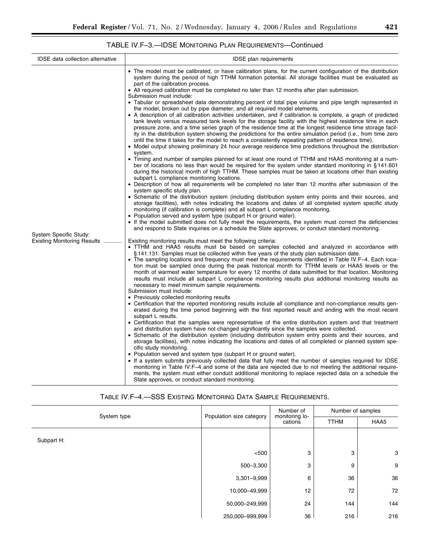# TABLE IV.F–3.—IDSE MONITORING PLAN REQUIREMENTS—Continued

| <b>IDSE</b> data collection alternative               | <b>IDSE</b> plan requirements                                                                                                                                                                                                                                                                                                                                                                                                                                                                                                                                                                                                                                                                                                                                                                                                                                                                                                                                                                                                                                                                                                                                                                                                                                                                                                                                                                                                                                                                                                                                                                                                                                                                                                                                                                                                                                                                                                                                                                                                                                                                                                                                                                                                                                                                                                                                                                                                                                                                                                                                                                                                                                                                                                                                                                                                                                                                                                                                                                                                                                                                                                                                                                                                                                                                                                                                                                                                                                                                                                                                                                                                                                                                                                                                                                                                                                                                                                                                                                                                                                                                                                                                                                                                                                                                                                                                                            |
|-------------------------------------------------------|------------------------------------------------------------------------------------------------------------------------------------------------------------------------------------------------------------------------------------------------------------------------------------------------------------------------------------------------------------------------------------------------------------------------------------------------------------------------------------------------------------------------------------------------------------------------------------------------------------------------------------------------------------------------------------------------------------------------------------------------------------------------------------------------------------------------------------------------------------------------------------------------------------------------------------------------------------------------------------------------------------------------------------------------------------------------------------------------------------------------------------------------------------------------------------------------------------------------------------------------------------------------------------------------------------------------------------------------------------------------------------------------------------------------------------------------------------------------------------------------------------------------------------------------------------------------------------------------------------------------------------------------------------------------------------------------------------------------------------------------------------------------------------------------------------------------------------------------------------------------------------------------------------------------------------------------------------------------------------------------------------------------------------------------------------------------------------------------------------------------------------------------------------------------------------------------------------------------------------------------------------------------------------------------------------------------------------------------------------------------------------------------------------------------------------------------------------------------------------------------------------------------------------------------------------------------------------------------------------------------------------------------------------------------------------------------------------------------------------------------------------------------------------------------------------------------------------------------------------------------------------------------------------------------------------------------------------------------------------------------------------------------------------------------------------------------------------------------------------------------------------------------------------------------------------------------------------------------------------------------------------------------------------------------------------------------------------------------------------------------------------------------------------------------------------------------------------------------------------------------------------------------------------------------------------------------------------------------------------------------------------------------------------------------------------------------------------------------------------------------------------------------------------------------------------------------------------------------------------------------------------------------------------------------------------------------------------------------------------------------------------------------------------------------------------------------------------------------------------------------------------------------------------------------------------------------------------------------------------------------------------------------------------------------------------------------------------------------------------------------------------------|
| System Specific Study:<br>Existing Monitoring Results | • The model must be calibrated, or have calibration plans, for the current configuration of the distribution<br>system during the period of high TTHM formation potential. All storage facilities must be evaluated as<br>part of the calibration process.<br>• All required calibration must be completed no later than 12 months after plan submission.<br>Submission must include:<br>• Tabular or spreadsheet data demonstrating percent of total pipe volume and pipe length represented in<br>the model, broken out by pipe diameter, and all required model elements.<br>• A description of all calibration activities undertaken, and if calibration is complete, a graph of predicted<br>tank levels versus measured tank levels for the storage facility with the highest residence time in each<br>pressure zone, and a time series graph of the residence time at the longest residence time storage facil-<br>ity in the distribution system showing the predictions for the entire simulation period (i.e., from time zero<br>until the time it takes for the model to reach a consistently repeating pattern of residence time).<br>• Model output showing preliminary 24 hour average residence time predictions throughout the distribution<br>system.<br>• Timing and number of samples planned for at least one round of TTHM and HAA5 monitoring at a num-<br>ber of locations no less than would be required for the system under standard monitoring in §141.601<br>during the historical month of high TTHM. These samples must be taken at locations other than existing<br>subpart L compliance monitoring locations.<br>• Description of how all requirements will be completed no later than 12 months after submission of the<br>system specific study plan.<br>• Schematic of the distribution system (including distribution system entry points and their sources, and<br>storage facilities), with notes indicating the locations and dates of all completed system specific study<br>monitoring (if calibration is complete) and all subpart L compliance monitoring.<br>• Population served and system type (subpart H or ground water).<br>• If the model submitted does not fully meet the requirements, the system must correct the deficiencies<br>and respond to State inquiries on a schedule the State approves, or conduct standard monitoring.<br>Existing monitoring results must meet the following criteria:<br>• TTHM and HAA5 results must be based on samples collected and analyzed in accordance with<br>§141.131. Samples must be collected within five years of the study plan submission date.<br>• The sampling locations and frequency must meet the requirements identified in Table IV.F-4. Each loca-<br>tion must be sampled once during the peak historical month for TTHM levels or HAA5 levels or the<br>month of warmest water temperature for every 12 months of data submitted for that location. Monitoring<br>results must include all subpart L compliance monitoring results plus additional monitoring results as<br>necessary to meet minimum sample requirements.<br>Submission must include:<br>• Previously collected monitoring results<br>• Certification that the reported monitoring results include all compliance and non-compliance results gen-<br>erated during the time period beginning with the first reported result and ending with the most recent<br>subpart L results.<br>• Certification that the samples were representative of the entire distribution system and that treatment<br>and distribution system have not changed significantly since the samples were collected.<br>• Schematic of the distribution system (including distribution system entry points and their sources, and<br>storage facilities), with notes indicating the locations and dates of all completed or planned system spe-<br>cific study monitoring.<br>• Population served and system type (subpart H or ground water).<br>• If a system submits previously collected data that fully meet the number of samples required for IDSE<br>monitoring in Table IV.F–4 and some of the data are rejected due to not meeting the additional require-<br>ments, the system must either conduct additional monitoring to replace rejected data on a schedule the<br>State approves, or conduct standard monitoring. |

# TABLE IV.F–4.—SSS EXISTING MONITORING DATA SAMPLE REQUIREMENTS.

|             |                          | Number of                 | Number of samples |      |
|-------------|--------------------------|---------------------------|-------------------|------|
| System type | Population size category | monitoring lo-<br>cations | <b>TTHM</b>       | HAA5 |
| Subpart H:  |                          |                           |                   |      |
|             | < 500                    | 3                         | 3                 | 3    |
|             | 500-3,300                | 3                         | 9                 | 9    |
|             | $3,301 - 9,999$          | 6                         | 36                | 36   |
|             | 10,000-49,999            | 12                        | 72                | 72   |
|             | 50,000-249,999           | 24                        | 144               | 144  |
|             | 250,000-999,999          | 36                        | 216               | 216  |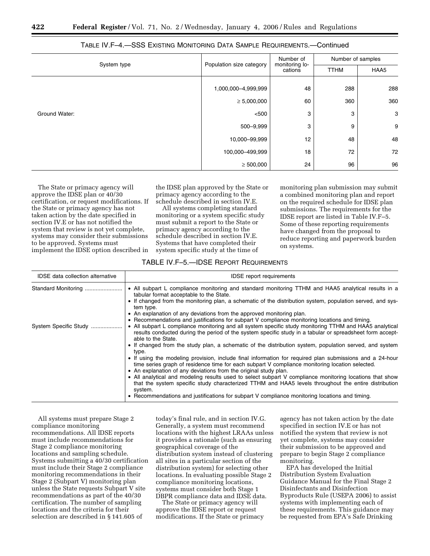|               | Population size category | Number of<br>monitoring lo- | Number of samples |      |
|---------------|--------------------------|-----------------------------|-------------------|------|
| System type   |                          | cations                     | <b>TTHM</b>       | HAA5 |
|               | 1,000,000-4,999,999      | 48                          | 288               | 288  |
|               | $\geq 5,000,000$         | 60                          | 360               | 360  |
| Ground Water: | < 500                    | 3                           | 3                 | 3    |
|               | 500-9,999                | 3                           | 9                 | 9    |
|               | 10,000-99,999            | 12                          | 48                | 48   |
|               | 100,000-499,999          | 18                          | 72                | 72   |
|               | $\geq 500,000$           | 24                          | 96                | 96   |

| TABLE IV.F–4.—SSS Existing Monitoring Data Sample Requirements.—Continued |  |
|---------------------------------------------------------------------------|--|
|---------------------------------------------------------------------------|--|

The State or primacy agency will approve the IDSE plan or 40/30 certification, or request modifications. If the State or primacy agency has not taken action by the date specified in section IV.E or has not notified the system that review is not yet complete, systems may consider their submissions to be approved. Systems must implement the IDSE option described in

the IDSE plan approved by the State or primacy agency according to the schedule described in section IV.E.

All systems completing standard monitoring or a system specific study must submit a report to the State or primacy agency according to the schedule described in section IV.E. Systems that have completed their system specific study at the time of

monitoring plan submission may submit a combined monitoring plan and report on the required schedule for IDSE plan submissions. The requirements for the IDSE report are listed in Table IV.F–5. Some of these reporting requirements have changed from the proposal to reduce reporting and paperwork burden on systems.

# TABLE IV.F–5.—IDSE REPORT REQUIREMENTS

| <b>IDSE</b> report requirements                                                                                                                                                                                                                                                                                                                                                                                                                                                                                                                                                                                  |
|------------------------------------------------------------------------------------------------------------------------------------------------------------------------------------------------------------------------------------------------------------------------------------------------------------------------------------------------------------------------------------------------------------------------------------------------------------------------------------------------------------------------------------------------------------------------------------------------------------------|
| • All subpart L compliance monitoring and standard monitoring TTHM and HAA5 analytical results in a<br>tabular format acceptable to the State.<br>• If changed from the monitoring plan, a schematic of the distribution system, population served, and sys-<br>tem type.<br>• An explanation of any deviations from the approved monitoring plan.                                                                                                                                                                                                                                                               |
| • Recommendations and justifications for subpart V compliance monitoring locations and timing.<br>• All subpart L compliance monitoring and all system specific study monitoring TTHM and HAA5 analytical<br>results conducted during the period of the system specific study in a tabular or spreadsheet form accept-<br>able to the State.<br>• If changed from the study plan, a schematic of the distribution system, population served, and system<br>type.                                                                                                                                                 |
| • If using the modeling provision, include final information for required plan submissions and a 24-hour<br>time series graph of residence time for each subpart V compliance monitoring location selected.<br>• An explanation of any deviations from the original study plan.<br>• All analytical and modeling results used to select subpart V compliance monitoring locations that show<br>that the system specific study characterized TTHM and HAA5 levels throughout the entire distribution<br>system.<br>• Recommendations and justifications for subpart V compliance monitoring locations and timing. |
| Standard Monitoring<br>System Specific Study                                                                                                                                                                                                                                                                                                                                                                                                                                                                                                                                                                     |

All systems must prepare Stage 2 compliance monitoring recommendations. All IDSE reports must include recommendations for Stage 2 compliance monitoring locations and sampling schedule. Systems submitting a 40/30 certification must include their Stage 2 compliance monitoring recommendations in their Stage 2 (Subpart V) monitoring plan unless the State requests Subpart V site recommendations as part of the 40/30 certification. The number of sampling locations and the criteria for their selection are described in § 141.605 of

today's final rule, and in section IV.G. Generally, a system must recommend locations with the highest LRAAs unless it provides a rationale (such as ensuring geographical coverage of the distribution system instead of clustering all sites in a particular section of the distribution system) for selecting other locations. In evaluating possible Stage 2 compliance monitoring locations, systems must consider both Stage 1 DBPR compliance data and IDSE data.

The State or primacy agency will approve the IDSE report or request modifications. If the State or primacy

agency has not taken action by the date specified in section IV.E or has not notified the system that review is not yet complete, systems may consider their submission to be approved and prepare to begin Stage 2 compliance monitoring.

EPA has developed the Initial Distribution System Evaluation Guidance Manual for the Final Stage 2 Disinfectants and Disinfection Byproducts Rule (USEPA 2006) to assist systems with implementing each of these requirements. This guidance may be requested from EPA's Safe Drinking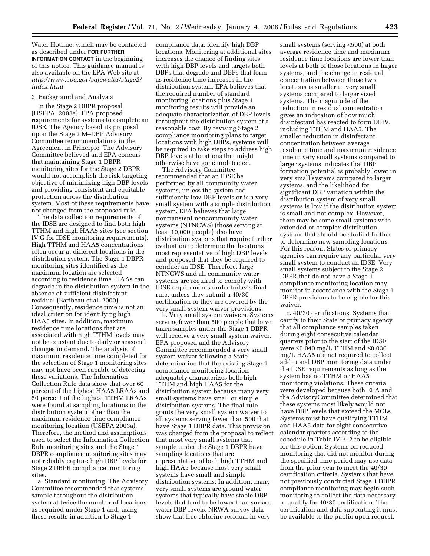Water Hotline, which may be contacted as described under **FOR FURTHER INFORMATION CONTACT** in the beginning of this notice. This guidance manual is also available on the EPA Web site at *http://www.epa.gov/safewater/stage2/ index.html*.

# 2. Background and Analysis

In the Stage 2 DBPR proposal (USEPA, 2003a), EPA proposed requirements for systems to complete an IDSE. The Agency based its proposal upon the Stage 2 M–DBP Advisory Committee recommendations in the Agreement in Principle. The Advisory Committee believed and EPA concurs that maintaining Stage 1 DBPR monitoring sites for the Stage 2 DBPR would not accomplish the risk-targeting objective of minimizing high DBP levels and providing consistent and equitable protection across the distribution system. Most of these requirements have not changed from the proposed rule.

The data collection requirements of the IDSE are designed to find both high TTHM and high HAA5 sites (see section IV.G for IDSE monitoring requirements). High TTHM and HAA5 concentrations often occur at different locations in the distribution system. The Stage 1 DBPR monitoring sites identified as the maximum location are selected according to residence time. HAAs can degrade in the distribution system in the absence of sufficient disinfectant residual (Baribeau et al. 2000). Consequently, residence time is not an ideal criterion for identifying high HAA5 sites. In addition, maximum residence time locations that are associated with high TTHM levels may not be constant due to daily or seasonal changes in demand. The analysis of maximum residence time completed for the selection of Stage 1 monitoring sites may not have been capable of detecting these variations. The Information Collection Rule data show that over 60 percent of the highest HAA5 LRAAs and 50 percent of the highest TTHM LRAAs were found at sampling locations in the distribution system other than the maximum residence time compliance monitoring location (USEPA 2003a). Therefore, the method and assumptions used to select the Information Collection Rule monitoring sites and the Stage 1 DBPR compliance monitoring sites may not reliably capture high DBP levels for Stage 2 DBPR compliance monitoring sites.

a. Standard monitoring. The Advisory Committee recommended that systems sample throughout the distribution system at twice the number of locations as required under Stage 1 and, using these results in addition to Stage 1

compliance data, identify high DBP locations. Monitoring at additional sites increases the chance of finding sites with high DBP levels and targets both DBPs that degrade and DBPs that form as residence time increases in the distribution system. EPA believes that the required number of standard monitoring locations plus Stage 1 monitoring results will provide an adequate characterization of DBP levels throughout the distribution system at a reasonable cost. By revising Stage 2 compliance monitoring plans to target locations with high DBPs, systems will be required to take steps to address high DBP levels at locations that might otherwise have gone undetected.

The Advisory Committee recommended that an IDSE be performed by all community water systems, unless the system had sufficiently low DBP levels or is a very small system with a simple distribution system. EPA believes that large nontransient noncommunity water systems (NTNCWS) (those serving at least 10,000 people) also have distribution systems that require further evaluation to determine the locations most representative of high DBP levels and proposed that they be required to conduct an IDSE. Therefore, large NTNCWS and all community water systems are required to comply with IDSE requirements under today's final rule, unless they submit a 40/30 certification or they are covered by the very small system waiver provisions.

b. Very small system waivers. Systems serving fewer than 500 people that have taken samples under the Stage 1 DBPR will receive a very small system waiver. EPA proposed and the Advisory Committee recommended a very small system waiver following a State determination that the existing Stage 1 compliance monitoring location adequately characterizes both high TTHM and high HAA5 for the distribution system because many very small systems have small or simple distribution systems. The final rule grants the very small system waiver to all systems serving fewer than 500 that have Stage 1 DBPR data. This provision was changed from the proposal to reflect that most very small systems that sample under the Stage 1 DBPR have sampling locations that are representative of both high TTHM and high HAA5 because most very small systems have small and simple distribution systems. In addition, many very small systems are ground water systems that typically have stable DBP levels that tend to be lower than surface water DBP levels. NRWA survey data show that free chlorine residual in very

small systems (serving <500) at both average residence time and maximum residence time locations are lower than levels at both of those locations in larger systems, and the change in residual concentration between those two locations is smaller in very small systems compared to larger sized systems. The magnitude of the reduction in residual concentration gives an indication of how much disinfectant has reacted to form DBPs, including TTHM and HAA5. The smaller reduction in disinfectant concentration between average residence time and maximum residence time in very small systems compared to larger systems indicates that DBP formation potential is probably lower in very small systems compared to larger systems, and the likelihood for significant DBP variation within the distribution system of very small systems is low if the distribution system is small and not complex. However, there may be some small systems with extended or complex distribution systems that should be studied further to determine new sampling locations. For this reason, States or primacy agencies can require any particular very small system to conduct an IDSE. Very small systems subject to the Stage 2 DBPR that do not have a Stage 1 compliance monitoring location may monitor in accordance with the Stage 1 DBPR provisions to be eligible for this waiver.

c. 40/30 certifications. Systems that certify to their State or primacy agency that all compliance samples taken during eight consecutive calendar quarters prior to the start of the IDSE were ≤0.040 mg/L TTHM and ≤0.030 mg/L HAA5 are not required to collect additional DBP monitoring data under the IDSE requirements as long as the system has no TTHM or HAA5 monitoring violations. These criteria were developed because both EPA and the AdvisoryCommittee determined that these systems most likely would not have DBP levels that exceed the MCLs. Systems must have qualifying TTHM and HAA5 data for eight consecutive calendar quarters according to the schedule in Table IV.F–2 to be eligible for this option. Systems on reduced monitoring that did not monitor during the specified time period may use data from the prior year to meet the 40/30 certification criteria. Systems that have not previously conducted Stage 1 DBPR compliance monitoring may begin such monitoring to collect the data necessary to qualify for 40/30 certification. The certification and data supporting it must be available to the public upon request.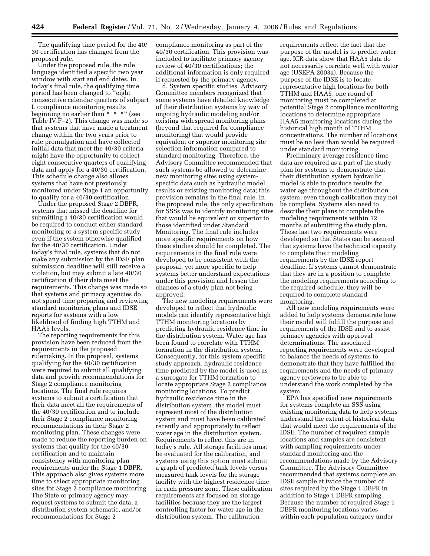The qualifying time period for the 40/ 30 certification has changed from the proposed rule.

Under the proposed rule, the rule language identified a specific two year window with start and end dates. In today's final rule, the qualifying time period has been changed to ''eight consecutive calendar quarters of subpart L compliance monitoring results beginning no earlier than \* \* \*" (see Table IV.F–2). This change was made so that systems that have made a treatment change within the two years prior to rule promulgation and have collected initial data that meet the 40/30 criteria might have the opportunity to collect eight consecutive quarters of qualifying data and apply for a 40/30 certification. This schedule change also allows systems that have not previously monitored under Stage 1 an opportunity to qualify for a 40/30 certification.

Under the proposed Stage 2 DBPR, systems that missed the deadline for submitting a 40/30 certification would be required to conduct either standard monitoring or a system specific study even if the system otherwise qualified for the 40/30 certification. Under today's final rule, systems that do not make any submission by the IDSE plan submission deadline will still receive a violation, but may submit a late 40/30 certification if their data meet the requirements. This change was made so that systems and primacy agencies do not spend time preparing and reviewing standard monitoring plans and IDSE reports for systems with a low likelihood of finding high TTHM and HAA5 levels.

The reporting requirements for this provision have been reduced from the requirements in the proposed rulemaking. In the proposal, systems qualifying for the 40/30 certification were required to submit all qualifying data and provide recommendations for Stage 2 compliance monitoring locations. The final rule requires systems to submit a certification that their data meet all the requirements of the 40/30 certification and to include their Stage 2 compliance monitoring recommendations in their Stage 2 monitoring plan. These changes were made to reduce the reporting burden on systems that qualify for the 40/30 certification and to maintain consistency with monitoring plan requirements under the Stage 1 DBPR. This approach also gives systems more time to select appropriate monitoring sites for Stage 2 compliance monitoring. The State or primacy agency may request systems to submit the data, a distribution system schematic, and/or recommendations for Stage 2

compliance monitoring as part of the 40/30 certification. This provision was included to facilitate primacy agency review of 40/30 certifications; the additional information is only required if requested by the primacy agency.

d. System specific studies. Advisory Committee members recognized that some systems have detailed knowledge of their distribution systems by way of ongoing hydraulic modeling and/or existing widespread monitoring plans (beyond that required for compliance monitoring) that would provide equivalent or superior monitoring site selection information compared to standard monitoring. Therefore, the Advisory Committee recommended that such systems be allowed to determine new monitoring sites using systemspecific data such as hydraulic model results or existing monitoring data; this provision remains in the final rule. In the proposed rule, the only specification for SSSs was to identify monitoring sites that would be equivalent or superior to those identified under Standard Monitoring. The final rule includes more specific requirements on how these studies should be completed. The requirements in the final rule were developed to be consistent with the proposal, yet more specific to help systems better understand expectations under this provision and lessen the chances of a study plan not being approved.

The new modeling requirements were developed to reflect that hydraulic models can identify representative high TTHM monitoring locations by predicting hydraulic residence time in the distribution system. Water age has been found to correlate with TTHM formation in the distribution system. Consequently, for this system specific study approach, hydraulic residence time predicted by the model is used as a surrogate for TTHM formation to locate appropriate Stage 2 compliance monitoring locations. To predict hydraulic residence time in the distribution system, the model must represent most of the distribution system and must have been calibrated recently and appropriately to reflect water age in the distribution system. Requirements to reflect this are in today's rule. All storage facilities must be evaluated for the calibration, and systems using this option must submit a graph of predicted tank levels versus measured tank levels for the storage facility with the highest residence time in each pressure zone. These calibration requirements are focused on storage facilities because they are the largest controlling factor for water age in the distribution system. The calibration

requirements reflect the fact that the purpose of the model is to predict water age. ICR data show that HAA5 data do not necessarily correlate well with water age (USEPA 2003a). Because the purpose of the IDSE is to locate representative high locations for both TTHM and HAA5, one round of monitoring must be completed at potential Stage 2 compliance monitoring locations to determine appropriate HAA5 monitoring locations during the historical high month of TTHM concentrations. The number of locations must be no less than would be required under standard monitoring.

Preliminary average residence time data are required as a part of the study plan for systems to demonstrate that their distribution system hydraulic model is able to produce results for water age throughout the distribution system, even though calibration may not be complete. Systems also need to describe their plans to complete the modeling requirements within 12 months of submitting the study plan. These last two requirements were developed so that States can be assured that systems have the technical capacity to complete their modeling requirements by the IDSE report deadline. If systems cannot demonstrate that they are in a position to complete the modeling requirements according to the required schedule, they will be required to complete standard monitoring.

All new modeling requirements were added to help systems demonstrate how their model will fulfill the purpose and requirements of the IDSE and to assist primacy agencies with approval determinations. The associated reporting requirements were developed to balance the needs of systems to demonstrate that they have fulfilled the requirements and the needs of primacy agency reviewers to be able to understand the work completed by the system.

EPA has specified new requirements for systems complete an SSS using existing monitoring data to help systems understand the extent of historical data that would meet the requirements of the IDSE. The number of required sample locations and samples are consistent with sampling requirements under standard monitoring and the recommendations made by the Advisory Committee. The Advisory Committee recommended that systems complete an IDSE sample at twice the number of sites required by the Stage 1 DBPR in addition to Stage 1 DBPR sampling. Because the number of required Stage 1 DBPR monitoring locations varies within each population category under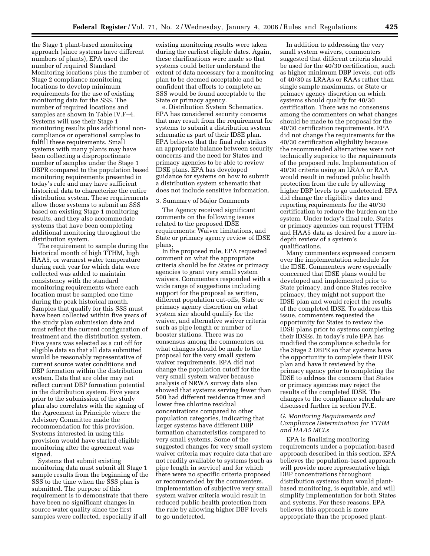the Stage 1 plant-based monitoring approach (since systems have different numbers of plants), EPA used the number of required Standard Monitoring locations plus the number of Stage 2 compliance monitoring locations to develop minimum requirements for the use of existing monitoring data for the SSS. The number of required locations and samples are shown in Table IV.F–4. Systems will use their Stage 1 monitoring results plus additional noncompliance or operational samples to fulfill these requirements. Small systems with many plants may have been collecting a disproportionate number of samples under the Stage 1 DBPR compared to the population based monitoring requirements presented in today's rule and may have sufficient historical data to characterize the entire distribution system. These requirements allow those systems to submit an SSS based on existing Stage 1 monitoring results, and they also accommodate systems that have been completing additional monitoring throughout the distribution system.

The requirement to sample during the historical month of high TTHM, high HAA5, or warmest water temperature during each year for which data were collected was added to maintain consistency with the standard monitoring requirements where each location must be sampled one time during the peak historical month. Samples that qualify for this SSS must have been collected within five years of the study plan submission date and must reflect the current configuration of treatment and the distribution system. Five years was selected as a cut off for eligible data so that all data submitted would be reasonably representative of current source water conditions and DBP formation within the distribution system. Data that are older may not reflect current DBP formation potential in the distribution system. Five years prior to the submission of the study plan also correlates with the signing of the Agreement in Principle where the Advisory Committee made the recommendation for this provision. Systems interested in using this provision would have started eligible monitoring after the agreement was signed.

Systems that submit existing monitoring data must submit all Stage 1 sample results from the beginning of the SSS to the time when the SSS plan is submitted. The purpose of this requirement is to demonstrate that there have been no significant changes in source water quality since the first samples were collected, especially if all

existing monitoring results were taken during the earliest eligible dates. Again, these clarifications were made so that systems could better understand the extent of data necessary for a monitoring plan to be deemed acceptable and be confident that efforts to complete an SSS would be found acceptable to the State or primacy agency.

e. Distribution System Schematics. EPA has considered security concerns that may result from the requirement for systems to submit a distribution system schematic as part of their IDSE plan. EPA believes that the final rule strikes an appropriate balance between security concerns and the need for States and primacy agencies to be able to review IDSE plans. EPA has developed guidance for systems on how to submit a distribution system schematic that does not include sensitive information.

# 3. Summary of Major Comments

The Agency received significant comments on the following issues related to the proposed IDSE requirements: Waiver limitations, and State or primacy agency review of IDSE plans.

In the proposed rule, EPA requested comment on what the appropriate criteria should be for States or primacy agencies to grant very small system waivers. Commenters responded with a wide range of suggestions including support for the proposal as written, different population cut-offs, State or primacy agency discretion on what system size should qualify for the waiver, and alternative waiver criteria such as pipe length or number of booster stations. There was no consensus among the commenters on what changes should be made to the proposal for the very small system waiver requirements. EPA did not change the population cutoff for the very small system waiver because analysis of NRWA survey data also showed that systems serving fewer than 500 had different residence times and lower free chlorine residual concentrations compared to other population categories, indicating that larger systems have different DBP formation characteristics compared to very small systems. Some of the suggested changes for very small system waiver criteria may require data that are not readily available to systems (such as pipe length in service) and for which there were no specific criteria proposed or recommended by the commenters. Implementation of subjective very small system waiver criteria would result in reduced public health protection from the rule by allowing higher DBP levels to go undetected.

In addition to addressing the very small system waivers, commenters suggested that different criteria should be used for the 40/30 certification, such as higher minimum DBP levels, cut-offs of 40/30 as LRAAs or RAAs rather than single sample maximums, or State or primacy agency discretion on which systems should qualify for 40/30 certification. There was no consensus among the commenters on what changes should be made to the proposal for the 40/30 certification requirements. EPA did not change the requirements for the 40/30 certification eligibility because the recommended alternatives were not technically superior to the requirements of the proposed rule. Implementation of 40/30 criteria using an LRAA or RAA would result in reduced public health protection from the rule by allowing higher DBP levels to go undetected. EPA did change the eligibility dates and reporting requirements for the 40/30 certification to reduce the burden on the system. Under today's final rule, States or primacy agencies can request TTHM and HAA5 data as desired for a more indepth review of a system's qualifications.

Many commenters expressed concern over the implementation schedule for the IDSE. Commenters were especially concerned that IDSE plans would be developed and implemented prior to State primacy, and once States receive primacy, they might not support the IDSE plan and would reject the results of the completed IDSE. To address this issue, commenters requested the opportunity for States to review the IDSE plans prior to systems completing their IDSEs. In today's rule EPA has modified the compliance schedule for the Stage 2 DBPR so that systems have the opportunity to complete their IDSE plan and have it reviewed by the primacy agency prior to completing the IDSE to address the concern that States or primacy agencies may reject the results of the completed IDSE. The changes to the compliance schedule are discussed further in section IV.E.

# *G. Monitoring Requirements and Compliance Determination for TTHM and HAA5 MCLs*

EPA is finalizing monitoring requirements under a population-based approach described in this section. EPA believes the population-based approach will provide more representative high DBP concentrations throughout distribution systems than would plantbased monitoring, is equitable, and will simplify implementation for both States and systems. For these reasons, EPA believes this approach is more appropriate than the proposed plant-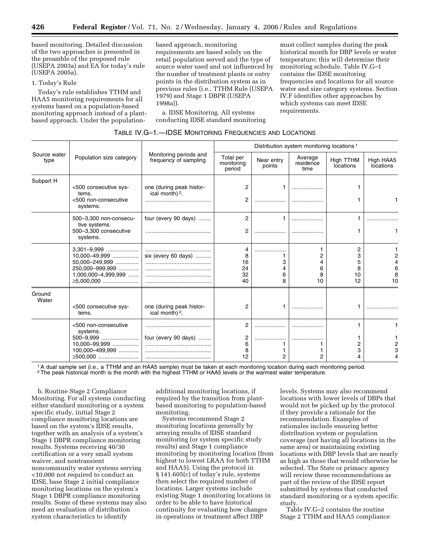based monitoring. Detailed discussion of the two approaches is presented in the preamble of the proposed rule (USEPA 2003a) and EA for today's rule (USEPA 2005a).

# 1. Today's Rule

Today's rule establishes TTHM and HAA5 monitoring requirements for all systems based on a population-based monitoring approach instead of a plantbased approach. Under the populationbased approach, monitoring requirements are based solely on the retail population served and the type of source water used and not influenced by the number of treatment plants or entry points in the distribution system as in previous rules (i.e., TTHM Rule (USEPA 1979) and Stage 1 DBPR (USEPA 1998a)).

a. IDSE Monitoring. All systems conducting IDSE standard monitoring

must collect samples during the peak historical month for DBP levels or water temperature; this will determine their monitoring schedule. Table IV.G–1 contains the IDSE monitoring frequencies and locations for all source water and size category systems. Section IV.F identifies other approaches by which systems can meet IDSE requirements.

| TABLE IV.G—1.—IDSE MONITORING FREQUENCIES AND LOCATIONS |  |  |  |
|---------------------------------------------------------|--|--|--|
|                                                         |  |  |  |

|                      |                                                                                                                |                                                        |                                   |                      | Distribution system monitoring locations <sup>1</sup> |                              |                        |
|----------------------|----------------------------------------------------------------------------------------------------------------|--------------------------------------------------------|-----------------------------------|----------------------|-------------------------------------------------------|------------------------------|------------------------|
| Source water<br>type | Population size category                                                                                       | Monitoring periods and<br>frequency of sampling        | Total per<br>monitoring<br>period | Near entry<br>points | Average<br>residence<br>time                          | High TTHM<br>locations       | High HAA5<br>locations |
| Subpart H            | <500 consecutive sys-<br>tems.<br><500 non-consecutive<br>systems.                                             | one (during peak histor-<br>ical month) <sup>2</sup> . | 2                                 | .                    |                                                       |                              |                        |
|                      | 500-3,300 non-consecu-<br>tive systems.<br>500-3,300 consecutive<br>systems.                                   | four (every 90 days)                                   | 2<br>2                            | .                    | .                                                     |                              |                        |
|                      | 3,301-9,999<br>10,000-49,999<br>50,000-249,999<br>250,000-999,999<br>$1,000,000-4,999,999$<br>$\geq 5,000,000$ | six (every 60 days)                                    | 4<br>8<br>16<br>24<br>32<br>40    | <br>3<br>6<br>8      | 2<br>6<br>8<br>10                                     | 2<br>3<br>5<br>8<br>10<br>12 | 6<br>10                |
| Ground<br>Water      | <500 consecutive sys-<br>tems.                                                                                 | one (during peak histor-<br>ical month) <sup>2</sup> . | 2                                 | 1                    |                                                       | 1                            |                        |
|                      | <500 non-consecutive<br>systems.<br>500-9.999<br>10,000-99,999<br>100,000-499,999<br>≥500.000                  | four (every 90 days)                                   | 2<br>6<br>8<br>12                 | <br>2                | <br>2                                                 | 1<br>2<br>3<br>4             |                        |

1A dual sample set (i.e., a TTHM and an HAA5 sample) must be taken at each monitoring location during each monitoring period. 2The peak historical month is the month with the highest TTHM or HAA5 levels or the warmest water temperature.

b. Routine Stage 2 Compliance Monitoring. For all systems conducting either standard monitoring or a system specific study, initial Stage 2 compliance monitoring locations are based on the system's IDSE results, together with an analysis of a system's Stage 1 DBPR compliance monitoring results. Systems receiving 40/30 certification or a very small system waiver, and nontransient noncommunity water systems serving <10,000 not required to conduct an IDSE, base Stage 2 initial compliance monitoring locations on the system's Stage 1 DBPR compliance monitoring results. Some of these systems may also need an evaluation of distribution system characteristics to identify

additional monitoring locations, if required by the transition from plantbased monitoring to population-based monitoring.

Systems recommend Stage 2 monitoring locations generally by arraying results of IDSE standard monitoring (or system specific study results) and Stage 1 compliance monitoring by monitoring location (from highest to lowest LRAA for both TTHM and HAA5). Using the protocol in § 141.605(c) of today's rule, systems then select the required number of locations. Larger systems include existing Stage 1 monitoring locations in order to be able to have historical continuity for evaluating how changes in operations or treatment affect DBP

levels. Systems may also recommend locations with lower levels of DBPs that would not be picked up by the protocol if they provide a rationale for the recommendation. Examples of rationales include ensuring better distribution system or population coverage (not having all locations in the same area) or maintaining existing locations with DBP levels that are nearly as high as those that would otherwise be selected. The State or primacy agency will review these recommendations as part of the review of the IDSE report submitted by systems that conducted standard monitoring or a system specific study.

Table IV.G–2 contains the routine Stage 2 TTHM and HAA5 compliance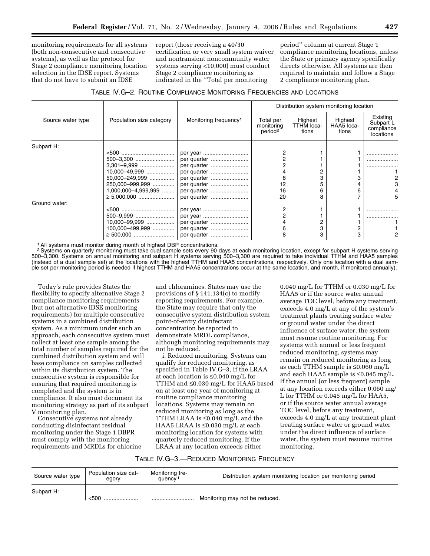monitoring requirements for all systems (both non-consecutive and consecutive systems), as well as the protocol for Stage 2 compliance monitoring location selection in the IDSE report. Systems that do not have to submit an IDSE

report (those receiving a 40/30 certification or very small system waiver and nontransient noncommunity water systems serving <10,000) must conduct Stage 2 compliance monitoring as indicated in the ''Total per monitoring

period'' column at current Stage 1 compliance monitoring locations, unless the State or primacy agency specifically directs otherwise. All systems are then required to maintain and follow a Stage 2 compliance monitoring plan.

| TABLE IV.G-2. ROUTINE COMPLIANCE MONITORING FREQUENCIES AND LOCATIONS |  |
|-----------------------------------------------------------------------|--|
|-----------------------------------------------------------------------|--|

|                   |                          |                                   |                                                |                                | Distribution system monitoring location |                                                  |
|-------------------|--------------------------|-----------------------------------|------------------------------------------------|--------------------------------|-----------------------------------------|--------------------------------------------------|
| Source water type | Population size category | Monitoring frequency <sup>1</sup> | Total per<br>monitoring<br>period <sup>2</sup> | Highest<br>TTHM loca-<br>tions | Highest<br>HAA5 loca-<br>tions          | Existing<br>Subpart L<br>compliance<br>locations |
| Subpart H:        |                          |                                   |                                                |                                |                                         |                                                  |
|                   |                          |                                   |                                                |                                |                                         |                                                  |
|                   | 500-3,300                | per quarter                       |                                                |                                |                                         | .                                                |
|                   | 3,301-9,999              | per quarter                       |                                                |                                |                                         |                                                  |
|                   | $10,000 - 49,999$        | per quarter                       |                                                |                                |                                         |                                                  |
|                   | 50.000-249,999           | per quarter                       | 8                                              |                                |                                         |                                                  |
|                   | 250.000-999,999          | per quarter                       | 12                                             |                                |                                         |                                                  |
|                   | $1,000,000-4,999,999$    | per quarter                       | 16                                             | 6                              | 6                                       |                                                  |
|                   | $\geq 5.000,000$         | per quarter                       | 20                                             |                                |                                         | 5                                                |
| Ground water:     |                          |                                   |                                                |                                |                                         |                                                  |
|                   |                          | per year                          | 2                                              |                                |                                         |                                                  |
|                   |                          |                                   |                                                |                                |                                         |                                                  |
|                   | 10.000-99,999            | per quarter                       |                                                |                                |                                         |                                                  |
|                   | 100.000-499,999          | per quarter                       | 6                                              |                                |                                         |                                                  |
|                   |                          | per quarter                       | 8                                              |                                | 3                                       |                                                  |

<sup>1</sup> All systems must monitor during month of highest DBP concentrations.

<sup>2</sup> Systems on quarterly monitoring must take dual sample sets every 90 days at each monitoring location, except for subpart H systems serving 500–3,300. Systems on annual monitoring and subpart H systems serving 500–3,300 are required to take individual TTHM and HAA5 samples (instead of a dual sample set) at the locations with the highest TTHM and HAA5 concentrations, respectively. Only one location with a dual sample set per monitoring period is needed if highest TTHM and HAA5 concentrations occur at the same location, and month, if monitored annually).

Today's rule provides States the flexibility to specify alternative Stage 2 compliance monitoring requirements (but not alternative IDSE monitoring requirements) for multiple consecutive systems in a combined distribution system. As a minimum under such an approach, each consecutive system must collect at least one sample among the total number of samples required for the combined distribution system and will base compliance on samples collected within its distribution system. The consecutive system is responsible for ensuring that required monitoring is completed and the system is in compliance. It also must document its monitoring strategy as part of its subpart V monitoring plan.

Consecutive systems not already conducting disinfectant residual monitoring under the Stage 1 DBPR must comply with the monitoring requirements and MRDLs for chlorine

and chloramines. States may use the provisions of § 141.134(c) to modify reporting requirements. For example, the State may require that only the consecutive system distribution system point-of-entry disinfectant concentration be reported to demonstrate MRDL compliance, although monitoring requirements may not be reduced.

i. Reduced monitoring. Systems can qualify for reduced monitoring, as specified in Table IV.G–3, if the LRAA at each location is ≤0.040 mg/L for TTHM and ≤0.030 mg/L for HAA5 based on at least one year of monitoring at routine compliance monitoring locations. Systems may remain on reduced monitoring as long as the TTHM LRAA is ≤0.040 mg/L and the HAA5 LRAA is ≤0.030 mg/L at each monitoring location for systems with quarterly reduced monitoring. If the LRAA at any location exceeds either

0.040 mg/L for TTHM or 0.030 mg/L for HAA5 or if the source water annual average TOC level, before any treatment, exceeds 4.0 mg/L at any of the system's treatment plants treating surface water or ground water under the direct influence of surface water, the system must resume routine monitoring. For systems with annual or less frequent reduced monitoring, systems may remain on reduced monitoring as long as each TTHM sample is ≤0.060 mg/L and each HAA5 sample is ≤0.045 mg/L. If the annual (or less frequent) sample at any location exceeds either 0.060 mg/ L for TTHM or 0.045 mg/L for HAA5, or if the source water annual average TOC level, before any treatment, exceeds 4.0 mg/L at any treatment plant treating surface water or ground water under the direct influence of surface water, the system must resume routine monitoring.

# TABLE IV.G–3.—REDUCED MONITORING FREQUENCY

| Source water type | Population size cat-<br>egory | Monitoring fre-<br>quency <sup>1</sup> | Distribution system monitoring location per monitoring period |
|-------------------|-------------------------------|----------------------------------------|---------------------------------------------------------------|
| Subpart H:        | < 50C                         |                                        | Monitoring may not be reduced.                                |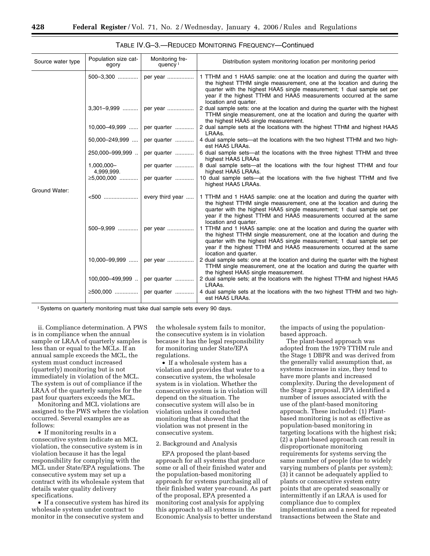| Source water type | Population size cat-<br>egory | Monitoring fre-<br>quency $1$  | Distribution system monitoring location per monitoring period                                                                                                                                                                                                                                                                   |
|-------------------|-------------------------------|--------------------------------|---------------------------------------------------------------------------------------------------------------------------------------------------------------------------------------------------------------------------------------------------------------------------------------------------------------------------------|
|                   |                               | 500-3,300    per year          | 1 TTHM and 1 HAA5 sample: one at the location and during the quarter with<br>the highest TTHM single measurement, one at the location and during the<br>quarter with the highest HAA5 single measurement; 1 dual sample set per<br>year if the highest TTHM and HAA5 measurements occurred at the same<br>location and quarter. |
|                   |                               | $3,301-9,999$   per year       | 2 dual sample sets: one at the location and during the quarter with the highest<br>TTHM single measurement, one at the location and during the quarter with<br>the highest HAA5 single measurement.                                                                                                                             |
|                   |                               | 10,000-49,999    per quarter   | 2 dual sample sets at the locations with the highest TTHM and highest HAA5<br>LRAAs.                                                                                                                                                                                                                                            |
|                   | 50,000-249,999                | per quarter                    | 4 dual sample sets—at the locations with the two highest TTHM and two high-<br>est HAA5 LRAAs.                                                                                                                                                                                                                                  |
|                   | 250,000-999,999.              | per quarter                    | 6 dual sample sets-at the locations with the three highest TTHM and three<br>highest HAA5 LRAAs                                                                                                                                                                                                                                 |
|                   | 1,000,000-<br>4,999,999.      | per quarter                    | 8 dual sample sets—at the locations with the four highest TTHM and four<br>highest HAA5 LRAAs.                                                                                                                                                                                                                                  |
|                   | ≥5,000,000                    | per quarter                    | 10 dual sample sets-at the locations with the five highest TTHM and five<br>highest HAA5 LRAAs.                                                                                                                                                                                                                                 |
| Ground Water:     |                               | $<500$ every third year        | 1 TTHM and 1 HAA5 sample: one at the location and during the quarter with<br>the highest TTHM single measurement, one at the location and during the<br>quarter with the highest HAA5 single measurement; 1 dual sample set per<br>year if the highest TTHM and HAA5 measurements occurred at the same<br>location and quarter. |
|                   |                               | 500-9,999    per year          | 1 TTHM and 1 HAA5 sample: one at the location and during the quarter with<br>the highest TTHM single measurement, one at the location and during the<br>quarter with the highest HAA5 single measurement; 1 dual sample set per<br>year if the highest TTHM and HAA5 measurements occurred at the same<br>location and quarter. |
|                   |                               | 10,000-99,999    per year      | 2 dual sample sets: one at the location and during the quarter with the highest<br>TTHM single measurement, one at the location and during the quarter with<br>the highest HAA5 single measurement.                                                                                                                             |
|                   |                               | 100,000-499,999    per quarter | 2 dual sample sets; at the locations with the highest TTHM and highest HAA5<br>LRAAs.                                                                                                                                                                                                                                           |
|                   |                               | ≥500,000    per quarter        | 4 dual sample sets at the locations with the two highest TTHM and two high-<br>est HAA5 LRAAs.                                                                                                                                                                                                                                  |

TABLE IV.G–3.—REDUCED MONITORING FREQUENCY—Continued

<sup>1</sup> Systems on quarterly monitoring must take dual sample sets every 90 days.

ii. Compliance determination. A PWS is in compliance when the annual sample or LRAA of quarterly samples is less than or equal to the MCLs. If an annual sample exceeds the MCL, the system must conduct increased (quarterly) monitoring but is not immediately in violation of the MCL. The system is out of compliance if the LRAA of the quarterly samples for the past four quarters exceeds the MCL.

Monitoring and MCL violations are assigned to the PWS where the violation occurred. Several examples are as follows:

• If monitoring results in a consecutive system indicate an MCL violation, the consecutive system is in violation because it has the legal responsibility for complying with the MCL under State/EPA regulations. The consecutive system may set up a contract with its wholesale system that details water quality delivery specifications.

• If a consecutive system has hired its wholesale system under contract to monitor in the consecutive system and

the wholesale system fails to monitor, the consecutive system is in violation because it has the legal responsibility for monitoring under State/EPA regulations.

• If a wholesale system has a violation and provides that water to a consecutive system, the wholesale system is in violation. Whether the consecutive system is in violation will depend on the situation. The consecutive system will also be in violation unless it conducted monitoring that showed that the violation was not present in the consecutive system.

#### 2. Background and Analysis

EPA proposed the plant-based approach for all systems that produce some or all of their finished water and the population-based monitoring approach for systems purchasing all of their finished water year-round. As part of the proposal, EPA presented a monitoring cost analysis for applying this approach to all systems in the Economic Analysis to better understand the impacts of using the populationbased approach.

The plant-based approach was adopted from the 1979 TTHM rule and the Stage 1 DBPR and was derived from the generally valid assumption that, as systems increase in size, they tend to have more plants and increased complexity. During the development of the Stage 2 proposal, EPA identified a number of issues associated with the use of the plant-based monitoring approach. These included: (1) Plantbased monitoring is not as effective as population-based monitoring in targeting locations with the highest risk; (2) a plant-based approach can result in disproportionate monitoring requirements for systems serving the same number of people (due to widely varying numbers of plants per system); (3) it cannot be adequately applied to plants or consecutive system entry points that are operated seasonally or intermittently if an LRAA is used for compliance due to complex implementation and a need for repeated transactions between the State and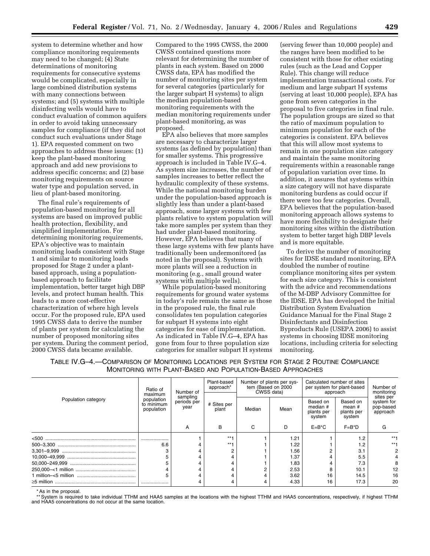system to determine whether and how compliance monitoring requirements may need to be changed; (4) State determinations of monitoring requirements for consecutive systems would be complicated, especially in large combined distribution systems with many connections between systems; and (5) systems with multiple disinfecting wells would have to conduct evaluation of common aquifers in order to avoid taking unnecessary samples for compliance (if they did not conduct such evaluations under Stage 1). EPA requested comment on two approaches to address these issues: (1) keep the plant-based monitoring approach and add new provisions to address specific concerns; and (2) base monitoring requirements on source water type and population served, in lieu of plant-based monitoring.

The final rule's requirements of population-based monitoring for all systems are based on improved public health protection, flexibility, and simplified implementation. For determining monitoring requirements, EPA's objective was to maintain monitoring loads consistent with Stage 1 and similar to monitoring loads proposed for Stage 2 under a plantbased approach, using a populationbased approach to facilitate implementation, better target high DBP levels, and protect human health. This leads to a more cost-effective characterization of where high levels occur. For the proposed rule, EPA used 1995 CWSS data to derive the number of plants per system for calculating the number of proposed monitoring sites per system. During the comment period, 2000 CWSS data became available.

Compared to the 1995 CWSS, the 2000 CWSS contained questions more relevant for determining the number of plants in each system. Based on 2000 CWSS data, EPA has modified the number of monitoring sites per system for several categories (particularly for the larger subpart H systems) to align the median population-based monitoring requirements with the median monitoring requirements under plant-based monitoring, as was proposed.

EPA also believes that more samples are necessary to characterize larger systems (as defined by population) than for smaller systems. This progressive approach is included in Table IV.G–4. As system size increases, the number of samples increases to better reflect the hydraulic complexity of these systems. While the national monitoring burden under the population-based approach is slightly less than under a plant-based approach, some larger systems with few plants relative to system population will take more samples per system than they had under plant-based monitoring. However, EPA believes that many of these large systems with few plants have traditionally been undermonitored (as noted in the proposal). Systems with more plants will see a reduction in monitoring (e.g., small ground water systems with multiple wells).

While population-based monitoring requirements for ground water systems in today's rule remain the same as those in the proposed rule, the final rule consolidates ten population categories for subpart H systems into eight categories for ease of implementation. As indicated in Table IV.G–4, EPA has gone from four to three population size categories for smaller subpart H systems

(serving fewer than 10,000 people) and the ranges have been modified to be consistent with those for other existing rules (such as the Lead and Copper Rule). This change will reduce implementation transactional costs. For medium and large subpart H systems (serving at least 10,000 people), EPA has gone from seven categories in the proposal to five categories in final rule. The population groups are sized so that the ratio of maximum population to minimum population for each of the categories is consistent. EPA believes that this will allow most systems to remain in one population size category and maintain the same monitoring requirements within a reasonable range of population variation over time. In addition, it assures that systems within a size category will not have disparate monitoring burdens as could occur if there were too few categories. Overall, EPA believes that the population-based monitoring approach allows systems to have more flexibility to designate their monitoring sites within the distribution system to better target high DBP levels and is more equitable.

To derive the number of monitoring sites for IDSE standard monitoring, EPA doubled the number of routine compliance monitoring sites per system for each size category. This is consistent with the advice and recommendations of the M-DBP Advisory Committee for the IDSE. EPA has developed the Initial Distribution System Evaluation Guidance Manual for the Final Stage 2 Disinfectants and Disinfection Byproducts Rule (USEPA 2006) to assist systems in choosing IDSE monitoring locations, including criteria for selecting monitoring.

| TABLE IV.G—4.—COMPARISON OF MONITORING LOCATIONS PER SYSTEM FOR STAGE 2 ROUTINE COMPLIANCE |  |  |
|--------------------------------------------------------------------------------------------|--|--|
| MONITORING WITH PLANT-BASED AND POPULATION-BASED APPROACHES                                |  |  |

|                     | Ratio of<br>Number of<br>maximum<br>sampling<br>population<br>periods per<br>to minimum<br>year<br>population |   | Plant-based<br>approach* | Number of plants per sys-<br>tem (Based on 2000<br>CWSS data) |      | Calculated number of sites<br>per system for plant-based<br>approach |                                            | Number of<br>monitoring                          |
|---------------------|---------------------------------------------------------------------------------------------------------------|---|--------------------------|---------------------------------------------------------------|------|----------------------------------------------------------------------|--------------------------------------------|--------------------------------------------------|
| Population category |                                                                                                               |   | # Sites per<br>plant     | Median                                                        | Mean | Based on<br>median #<br>plants per<br>system                         | Based on<br>mean #<br>plants per<br>system | sites per<br>system for<br>pop-based<br>approach |
|                     |                                                                                                               | A | B                        | C                                                             | D    | $E=B*C$                                                              | $F = B^*D$                                 |                                                  |
| <500                |                                                                                                               |   | $***$                    |                                                               | 1.21 |                                                                      |                                            | $***1$                                           |
|                     | 6.6                                                                                                           |   | $***1$                   |                                                               | 1.22 |                                                                      |                                            | $***1$                                           |
|                     |                                                                                                               |   |                          |                                                               | 1.56 |                                                                      | 3.1                                        |                                                  |
|                     |                                                                                                               |   |                          |                                                               | 1.37 |                                                                      | 5.5                                        |                                                  |
|                     |                                                                                                               |   |                          |                                                               | 1.83 |                                                                      | 7.3                                        |                                                  |
|                     |                                                                                                               |   |                          |                                                               | 2.53 |                                                                      | 10.1                                       | 12                                               |
|                     | 5                                                                                                             |   |                          |                                                               | 3.62 | 16                                                                   | 14.5                                       | 16                                               |
|                     |                                                                                                               |   |                          |                                                               | 4.33 | 16                                                                   | 17.3                                       | 20                                               |

As in the proposal.

\*\* System is required to take individual TTHM and HAA5 samples at the locations with the highest TTHM and HAA5 concentrations, respectively, if highest TTHM and HAA5 concentrations do not occur at the same location.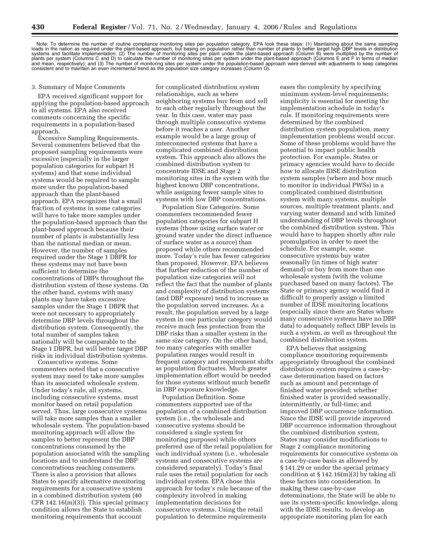Note: To determine the number of routine compliance monitoring sites per population category, EPA took these steps: (1) Maintaining about the same sampling<br>loads in the nation as required under the plant-based approach, bu plants per system (Columns C and D) to calculate the number of monitoring sites per system under the plant-based approach (Columns E and F in terms of median and mean, respectively); and (3) The number of monitoring sites per system under the population-based approach were derived with adjustments to keep categories<br>consistent and to maintain an even incremental trend as the po

#### 3. Summary of Major Comments

EPA received significant support for applying the population-based approach to all systems. EPA also received comments concerning the specific requirements in a population-based approach.

Excessive Sampling Requirements. Several commenters believed that the proposed sampling requirements were excessive (especially in the larger population categories for subpart H systems) and that some individual systems would be required to sample more under the population-based approach than the plant-based approach. EPA recognizes that a small fraction of systems in some categories will have to take more samples under the population-based approach than the plant-based approach because their number of plants is substantially less than the national median or mean. However, the number of samples required under the Stage 1 DBPR for these systems may not have been sufficient to determine the concentrations of DBPs throughout the distribution system of these systems. On the other hand, systems with many plants may have taken excessive samples under the Stage 1 DBPR that were not necessary to appropriately determine DBP levels throughout the distribution system. Consequently, the total number of samples taken nationally will be comparable to the Stage 1 DBPR, but will better target DBP risks in individual distribution systems.

Consecutive systems. Some commenters noted that a consecutive system may need to take more samples than its associated wholesale system. Under today's rule, all systems, including consecutive systems, must monitor based on retail population served. Thus, large consecutive systems will take more samples than a smaller wholesale system. The population-based monitoring approach will allow the samples to better represent the DBP concentrations consumed by the population associated with the sampling locations and to understand the DBP concentrations reaching consumers. There is also a provision that allows States to specify alternative monitoring requirements for a consecutive system in a combined distribution system (40 CFR 142.16(m)(3)). This special primacy condition allows the State to establish monitoring requirements that account

for complicated distribution system relationships, such as where neighboring systems buy from and sell to each other regularly throughout the year. In this case, water may pass through multiple consecutive systems before it reaches a user. Another example would be a large group of interconnected systems that have a complicated combined distribution system. This approach also allows the combined distribution system to concentrate IDSE and Stage 2 monitoring sites in the system with the highest known DBP concentrations, while assigning fewer sample sites to systems with low DBP concentrations.

Population Size Categories. Some commenters recommended fewer population categories for subpart H systems (those using surface water or ground water under the direct influence of surface water as a source) than proposed while others recommended more. Today's rule has fewer categories than proposed. However, EPA believes that further reduction of the number of population size categories will not reflect the fact that the number of plants and complexity of distribution systems (and DBP exposure) tend to increase as the population served increases. As a result, the population served by a large system in one particular category would receive much less protection from the DBP risks than a smaller system in the same size category. On the other hand, too many categories with smaller population ranges would result in frequent category and requirement shifts as population fluctuates. Much greater implementation effort would be needed for those systems without much benefit in DBP exposure knowledge.

Population Definition. Some commenters supported use of the population of a combined distribution system (i.e., the wholesale and consecutive systems should be considered a single system for monitoring purposes) while others preferred use of the retail population for each individual system (i.e., wholesale systems and consecutive systems are considered separately). Today's final rule uses the retail population for each individual system. EPA chose this approach for today's rule because of the complexity involved in making implementation decisions for consecutive systems. Using the retail population to determine requirements

eases the complexity by specifying minimum system-level requirements; simplicity is essential for meeting the implementation schedule in today's rule. If monitoring requirements were determined by the combined distribution system population, many implementation problems would occur. Some of these problems would have the potential to impact public health protection. For example, States or primacy agencies would have to decide how to allocate IDSE distribution system samples (where and how much to monitor in individual PWSs) in a complicated combined distribution system with many systems, multiple sources, multiple treatment plants, and varying water demand and with limited understanding of DBP levels throughout the combined distribution system. This would have to happen shortly after rule promulgation in order to meet the schedule. For example, some consecutive systems buy water seasonally (in times of high water demand) or buy from more than one wholesale system (with the volume purchased based on many factors). The State or primacy agency would find it difficult to properly assign a limited number of IDSE monitoring locations (especially since there are States where many consecutive systems have no DBP data) to adequately reflect DBP levels in such a system, as well as throughout the combined distribution system.

EPA believes that assigning compliance monitoring requirements appropriately throughout the combined distribution system requires a case-bycase determination based on factors such as amount and percentage of finished water provided; whether finished water is provided seasonally, intermittently, or full-time; and improved DBP occurrence information. Since the IDSE will provide improved DBP occurrence information throughout the combined distribution system, States may consider modifications to Stage 2 compliance monitoring requirements for consecutive systems on a case-by-case basis as allowed by § 141.29 or under the special primacy condition at  $$142.16(m)(3)$  by taking all these factors into consideration. In making these case-by-case determinations, the State will be able to use its system-specific knowledge, along with the IDSE results, to develop an appropriate monitoring plan for each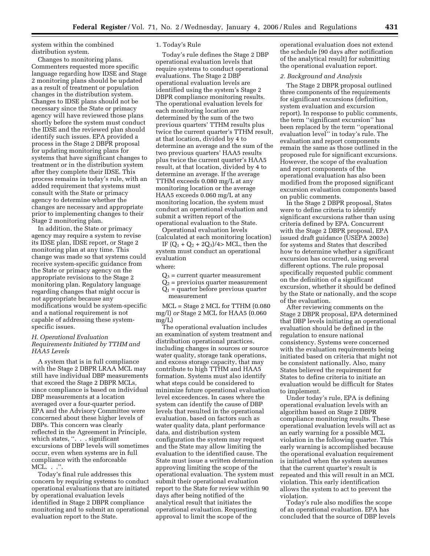system within the combined distribution system.

Changes to monitoring plans. Commenters requested more specific language regarding how IDSE and Stage 2 monitoring plans should be updated as a result of treatment or population changes in the distribution system. Changes to IDSE plans should not be necessary since the State or primacy agency will have reviewed those plans shortly before the system must conduct the IDSE and the reviewed plan should identify such issues. EPA provided a process in the Stage 2 DBPR proposal for updating monitoring plans for systems that have significant changes to treatment or in the distribution system after they complete their IDSE. This process remains in today's rule, with an added requirement that systems must consult with the State or primacy agency to determine whether the changes are necessary and appropriate prior to implementing changes to their Stage 2 monitoring plan.

In addition, the State or primacy agency may require a system to revise its IDSE plan, IDSE report, or Stage 2 monitoring plan at any time. This change was made so that systems could receive system-specific guidance from the State or primacy agency on the appropriate revisions to the Stage 2 monitoring plan. Regulatory language regarding changes that might occur is not appropriate because any modifications would be system-specific and a national requirement is not capable of addressing these systemspecific issues.

# *H. Operational Evaluation Requirements Initiated by TTHM and HAA5 Levels*

A system that is in full compliance with the Stage 2 DBPR LRAA MCL may still have individual DBP measurements that exceed the Stage 2 DBPR MCLs, since compliance is based on individual DBP measurements at a location averaged over a four-quarter period. EPA and the Advisory Committee were concerned about these higher levels of DBPs. This concern was clearly reflected in the Agreement in Principle, which states, ". . . significant excursions of DBP levels will sometimes occur, even when systems are in full compliance with the enforceable MCL. . .''.

Today's final rule addresses this concern by requiring systems to conduct operational evaluations that are initiated by operational evaluation levels identified in Stage 2 DBPR compliance monitoring and to submit an operational evaluation report to the State.

## 1. Today's Rule

Today's rule defines the Stage 2 DBP operational evaluation levels that require systems to conduct operational evaluations. The Stage 2 DBP operational evaluation levels are identified using the system's Stage 2 DBPR compliance monitoring results. The operational evaluation levels for each monitoring location are determined by the sum of the two previous quarters' TTHM results plus twice the current quarter's TTHM result, at that location, divided by 4 to determine an average and the sum of the two previous quarters' HAA5 results plus twice the current quarter's HAA5 result, at that location, divided by 4 to determine an average. If the average TTHM exceeds 0.080 mg/L at any monitoring location or the average HAA5 exceeds 0.060 mg/L at any monitoring location, the system must conduct an operational evaluation and submit a written report of the operational evaluation to the State.

Operational evaluation levels (calculated at each monitoring location)

IF  $(Q_1 + Q_2 + 2Q_3)/4$  MCL, then the system must conduct an operational

evaluation

#### where:

 $Q_3$  = current quarter measurement

 $Q_2$  = previoius quarter measurement

 $Q_1$  = quarter before previous quarter

measurement

MCL = Stage 2 MCL for TTHM (0.080 mg/l) *or* Stage 2 MCL for HAA5 (0.060 mg/L)

The operational evaluation includes an examination of system treatment and distribution operational practices, including changes in sources or source water quality, storage tank operations, and excess storage capacity, that may contribute to high TTHM and HAA5 formation. Systems must also identify what steps could be considered to minimize future operational evaluation level exceedences. In cases where the system can identify the cause of DBP levels that resulted in the operational evaluation, based on factors such as water quality data, plant performance data, and distribution system configuration the system may request and the State may allow limiting the evaluation to the identified cause. The State must issue a written determination approving limiting the scope of the operational evaluation. The system must submit their operational evaluation report to the State for review within 90 days after being notified of the analytical result that initiates the operational evaluation. Requesting approval to limit the scope of the

operational evaluation does not extend the schedule (90 days after notification of the analytical result) for submitting the operational evaluation report.

# *2. Background and Analysis*

The Stage 2 DBPR proposal outlined three components of the requirements for significant excursions (definition, system evaluation and excursion report). In response to public comments, the term ''significant excursion'' has been replaced by the term ''operational evaluation level'' in today's rule. The evaluation and report components remain the same as those outlined in the proposed rule for significant excursions. However, the scope of the evaluation and report components of the operational evaluation has also been modified from the proposed significant excursion evaluation components based on public comments.

In the Stage 2 DBPR proposal, States were to define criteria to identify significant excursions rather than using criteria defined by EPA. Concurrent with the Stage 2 DBPR proposal, EPA issued draft guidance (USEPA 2003e) for systems and States that described how to determine whether a significant excursion has occurred, using several different options. The rule proposal specifically requested public comment on the definition of a significant excursion, whether it should be defined by the State or nationally, and the scope of the evaluation.

After reviewing comments on the Stage 2 DBPR proposal, EPA determined that DBP levels initiating an operational evaluation should be defined in the regulation to ensure national consistency. Systems were concerned with the evaluation requirements being initiated based on criteria that might not be consistent nationally. Also, many States believed the requirement for States to define criteria to initiate an evaluation would be difficult for States to implement.

Under today's rule, EPA is defining operational evaluation levels with an algorithm based on Stage 2 DBPR compliance monitoring results. These operational evaluation levels will act as an early warning for a possible MCL violation in the following quarter. This early warning is accomplished because the operational evaluation requirement is initiated when the system assumes that the current quarter's result is repeated and this will result in an MCL violation. This early identification allows the system to act to prevent the violation.

Today's rule also modifies the scope of an operational evaluation. EPA has concluded that the source of DBP levels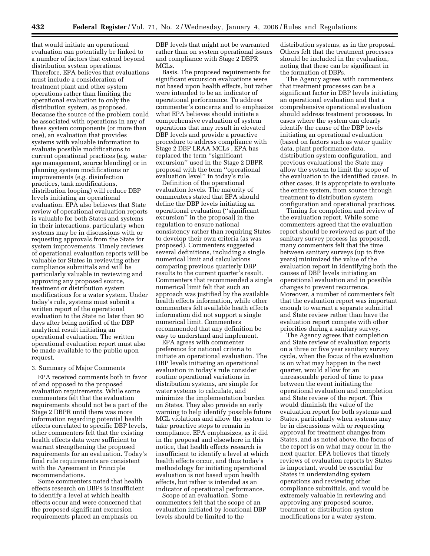that would initiate an operational evaluation can potentially be linked to a number of factors that extend beyond distribution system operations. Therefore, EPA believes that evaluations must include a consideration of treatment plant and other system operations rather than limiting the operational evaluation to only the distribution system, as proposed. Because the source of the problem could be associated with operations in any of these system components (or more than one), an evaluation that provides systems with valuable information to evaluate possible modifications to current operational practices (e.g. water age management, source blending) or in planning system modifications or improvements (e.g. disinfection practices, tank modifications, distribution looping) will reduce DBP levels initiating an operational evaluation. EPA also believes that State review of operational evaluation reports is valuable for both States and systems in their interactions, particularly when systems may be in discussions with or requesting approvals from the State for system improvements. Timely reviews of operational evaluation reports will be valuable for States in reviewing other compliance submittals and will be particularly valuable in reviewing and approving any proposed source, treatment or distribution system modifications for a water system. Under today's rule, systems must submit a written report of the operational evaluation to the State no later than 90 days after being notified of the DBP analytical result initiating an operational evaluation. The written operational evaluation report must also be made available to the public upon request.

#### 3. Summary of Major Comments

EPA received comments both in favor of and opposed to the proposed evaluation requirements. While some commenters felt that the evaluation requirements should not be a part of the Stage 2 DBPR until there was more information regarding potential health effects correlated to specific DBP levels, other commenters felt that the existing health effects data were sufficient to warrant strengthening the proposed requirements for an evaluation. Today's final rule requirements are consistent with the Agreement in Principle recommendations.

Some commenters noted that health effects research on DBPs is insufficient to identify a level at which health effects occur and were concerned that the proposed significant excursion requirements placed an emphasis on

DBP levels that might not be warranted rather than on system operational issues and compliance with Stage 2 DBPR MCLs.

Basis. The proposed requirements for significant excursion evaluations were not based upon health effects, but rather were intended to be an indicator of operational performance. To address commenter's concerns and to emphasize what EPA believes should initiate a comprehensive evaluation of system operations that may result in elevated DBP levels and provide a proactive procedure to address compliance with Stage 2 DBP LRAA MCLs , EPA has replaced the term ''significant excursion'' used in the Stage 2 DBPR proposal with the term ''operational evaluation level'' in today's rule.

Definition of the operational evaluation levels. The majority of commenters stated that EPA should define the DBP levels initiating an operational evaluation (''significant excursion'' in the proposal) in the regulation to ensure national consistency rather than requiring States to develop their own criteria (as was proposed). Commenters suggested several definitions, including a single numerical limit and calculations comparing previous quarterly DBP results to the current quarter's result. Commenters that recommended a single numerical limit felt that such an approach was justified by the available health effects information, while other commenters felt available heath effects information did not support a single numerical limit. Commenters recommended that any definition be easy to understand and implement.

EPA agrees with commenter preference for national criteria to initiate an operational evaluation. The DBP levels initiating an operational evaluation in today's rule consider routine operational variations in distribution systems, are simple for water systems to calculate, and minimize the implementation burden on States. They also provide an early warning to help identify possible future MCL violations and allow the system to take proactive steps to remain in compliance. EPA emphasizes, as it did in the proposal and elsewhere in this notice, that health effects research is insufficient to identify a level at which health effects occur, and thus today's methodology for initiating operational evaluation is not based upon health effects, but rather is intended as an indicator of operational performance.

Scope of an evaluation. Some commenters felt that the scope of an evaluation initiated by locational DBP levels should be limited to the

distribution systems, as in the proposal. Others felt that the treatment processes should be included in the evaluation, noting that these can be significant in the formation of DBPs.

The Agency agrees with commenters that treatment processes can be a significant factor in DBP levels initiating an operational evaluation and that a comprehensive operational evaluation should address treatment processes. In cases where the system can clearly identify the cause of the DBP levels initiating an operational evaluation (based on factors such as water quality data, plant performance data, distribution system configuration, and previous evaluations) the State may allow the system to limit the scope of the evaluation to the identified cause. In other cases, it is appropriate to evaluate the entire system, from source through treatment to distribution system configuration and operational practices.

Timing for completion and review of the evaluation report. While some commenters agreed that the evaluation report should be reviewed as part of the sanitary survey process (as proposed), many commenters felt that the time between sanitary surveys (up to five years) minimized the value of the evaluation report in identifying both the causes of DBP levels initiating an operational evaluation and in possible changes to prevent recurrence. Moreover, a number of commenters felt that the evaluation report was important enough to warrant a separate submittal and State review rather than have the evaluation report compete with other priorities during a sanitary survey.

The Agency agrees that completion and State review of evaluation reports on a three or five year sanitary survey cycle, when the focus of the evaluation is on what may happen in the next quarter, would allow for an unreasonable period of time to pass between the event initiating the operational evaluation and completion and State review of the report. This would diminish the value of the evaluation report for both systems and States, particularly when systems may be in discussions with or requesting approval for treatment changes from States, and as noted above, the focus of the report is on what may occur in the next quarter. EPA believes that timely reviews of evaluation reports by States is important, would be essential for States in understanding system operations and reviewing other compliance submittals, and would be extremely valuable in reviewing and approving any proposed source, treatment or distribution system modifications for a water system.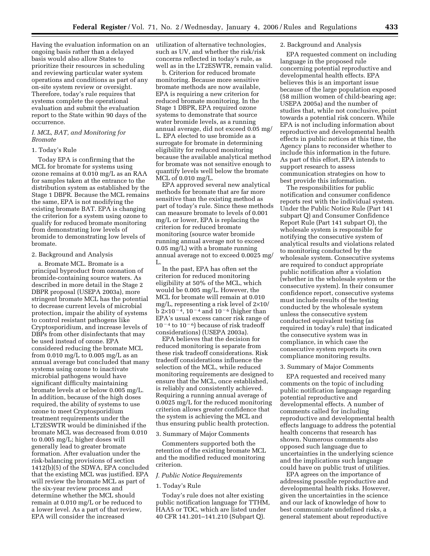Having the evaluation information on an utilization of alternative technologies, ongoing basis rather than a delayed basis would also allow States to prioritize their resources in scheduling and reviewing particular water system operations and conditions as part of any on-site system review or oversight. Therefore, today's rule requires that systems complete the operational evaluation and submit the evaluation report to the State within 90 days of the occurrence.

# *I. MCL, BAT, and Monitoring for Bromate*

# 1. Today's Rule

Today EPA is confirming that the MCL for bromate for systems using ozone remains at 0.010 mg/L as an RAA for samples taken at the entrance to the distribution system as established by the Stage 1 DBPR. Because the MCL remains the same, EPA is not modifying the existing bromate BAT. EPA is changing the criterion for a system using ozone to qualify for reduced bromate monitoring from demonstrating low levels of bromide to demonstrating low levels of bromate.

# 2. Background and Analysis

a. Bromate MCL. Bromate is a principal byproduct from ozonation of bromide-containing source waters. As described in more detail in the Stage 2 DBPR proposal (USEPA 2003a), more stringent bromate MCL has the potential to decrease current levels of microbial protection, impair the ability of systems to control resistant pathogens like Cryptosporidium, and increase levels of DBPs from other disinfectants that may be used instead of ozone. EPA considered reducing the bromate MCL from  $0.010 \text{ mg/L}$  to  $0.005 \text{ mg/L}$  as an annual average but concluded that many systems using ozone to inactivate microbial pathogens would have significant difficulty maintaining bromate levels at or below 0.005 mg/L. In addition, because of the high doses required, the ability of systems to use ozone to meet Cryptosporidium treatment requirements under the LT2ESWTR would be diminished if the bromate MCL was decreased from 0.010 to 0.005 mg/L; higher doses will generally lead to greater bromate formation. After evaluation under the risk-balancing provisions of section 1412(b)(5) of the SDWA, EPA concluded that the existing MCL was justified. EPA will review the bromate MCL as part of the six-year review process and determine whether the MCL should remain at 0.010 mg/L or be reduced to a lower level. As a part of that review, EPA will consider the increased

such as UV, and whether the risk/risk concerns reflected in today's rule, as well as in the LT2ESWTR, remain valid.

b. Criterion for reduced bromate monitoring. Because more sensitive bromate methods are now available, EPA is requiring a new criterion for reduced bromate monitoring. In the Stage 1 DBPR, EPA required ozone systems to demonstrate that source water bromide levels, as a running annual average, did not exceed 0.05 mg/ L. EPA elected to use bromide as a surrogate for bromate in determining eligibility for reduced monitoring because the available analytical method for bromate was not sensitive enough to quantify levels well below the bromate MCL of 0.010 mg/L.

EPA approved several new analytical methods for bromate that are far more sensitive than the existing method as part of today's rule. Since these methods can measure bromate to levels of 0.001 mg/L or lower, EPA is replacing the criterion for reduced bromate monitoring (source water bromide running annual average not to exceed 0.05 mg/L) with a bromate running annual average not to exceed 0.0025 mg/ L.

In the past, EPA has often set the criterion for reduced monitoring eligibility at 50% of the MCL, which would be 0.005 mg/L. However, the MCL for bromate will remain at 0.010 mg/L, representing a risk level of 2×10/ b  $2\times10^{-4}$ ,  $10^{-4}$  and  $10^{-6}$  (higher than EPA's usual excess cancer risk range of  $10^{-4}$  to  $10^{-6}$ ) because of risk tradeoff considerations) (USEPA 2003a).

EPA believes that the decision for reduced monitoring is separate from these risk tradeoff considerations. Risk tradeoff considerations influence the selection of the MCL, while reduced monitoring requirements are designed to ensure that the MCL, once established, is reliably and consistently achieved. Requiring a running annual average of 0.0025 mg/L for the reduced monitoring criterion allows greater confidence that the system is achieving the MCL and thus ensuring public health protection.

#### 3. Summary of Major Comments

Commenters supported both the retention of the existing bromate MCL and the modified reduced monitoring criterion.

#### *J. Public Notice Requirements*

#### 1. Today's Rule

Today's rule does not alter existing public notification language for TTHM, HAA5 or TOC, which are listed under 40 CFR 141.201–141.210 (Subpart Q).

# 2. Background and Analysis

EPA requested comment on including language in the proposed rule concerning potential reproductive and developmental health effects. EPA believes this is an important issue because of the large population exposed (58 million women of child-bearing age; USEPA 2005a) and the number of studies that, while not conclusive, point towards a potential risk concern. While EPA is not including information about reproductive and developmental health effects in public notices at this time, the Agency plans to reconsider whether to include this information in the future. As part of this effort, EPA intends to support research to assess communication strategies on how to best provide this information.

The responsibilities for public notification and consumer confidence reports rest with the individual system. Under the Public Notice Rule (Part 141 subpart Q) and Consumer Confidence Report Rule (Part 141 subpart O), the wholesale system is responsible for notifying the consecutive system of analytical results and violations related to monitoring conducted by the wholesale system. Consecutive systems are required to conduct appropriate public notification after a violation (whether in the wholesale system or the consecutive system). In their consumer confidence report, consecutive systems must include results of the testing conducted by the wholesale system unless the consecutive system conducted equivalent testing (as required in today's rule) that indicated the consecutive system was in compliance, in which case the consecutive system reports its own compliance monitoring results.

#### 3. Summary of Major Comments

EPA requested and received many comments on the topic of including public notification language regarding potential reproductive and developmental effects. A number of comments called for including reproductive and developmental health effects language to address the potential health concerns that research has shown. Numerous comments also opposed such language due to uncertainties in the underlying science and the implications such language could have on public trust of utilities.

EPA agrees on the importance of addressing possible reproductive and developmental health risks. However, given the uncertainties in the science and our lack of knowledge of how to best communicate undefined risks, a general statement about reproductive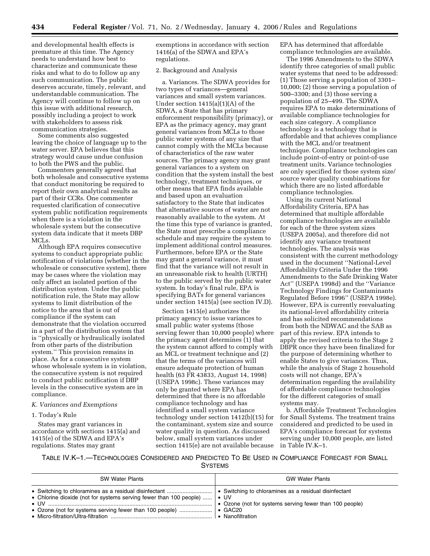and developmental health effects is premature at this time. The Agency needs to understand how best to characterize and communicate these risks and what to do to follow up any such communication. The public deserves accurate, timely, relevant, and understandable communication. The Agency will continue to follow up on this issue with additional research, possibly including a project to work with stakeholders to assess risk communication strategies.

Some comments also suggested leaving the choice of language up to the water server. EPA believes that this strategy would cause undue confusion to both the PWS and the public.

Commenters generally agreed that both wholesale and consecutive systems that conduct monitoring be required to report their own analytical results as part of their CCRs. One commenter requested clarification of consecutive system public notification requirements when there is a violation in the wholesale system but the consecutive system data indicate that it meets DBP MCLs.

Although EPA requires consecutive systems to conduct appropriate public notification of violations (whether in the wholesale or consecutive system), there may be cases where the violation may only affect an isolated portion of the distribution system. Under the public notification rule, the State may allow systems to limit distribution of the notice to the area that is out of compliance if the system can demonstrate that the violation occurred in a part of the distribution system that is ''physically or hydraulically isolated from other parts of the distribution system.'' This provision remains in place. As for a consecutive system whose wholesale system is in violation, the consecutive system is not required to conduct public notification if DBP levels in the consecutive system are in compliance.

# *K. Variances and Exemptions*

# 1. Today's Rule

States may grant variances in accordance with sections 1415(a) and 1415(e) of the SDWA and EPA's regulations. States may grant

exemptions in accordance with section 1416(a) of the SDWA and EPA's regulations.

# 2. Background and Analysis

a. Variances. The SDWA provides for two types of variances—general variances and small system variances. Under section 1415(a)(1)(A) of the SDWA, a State that has primary enforcement responsibility (primacy), or EPA as the primacy agency, may grant general variances from MCLs to those public water systems of any size that cannot comply with the MCLs because of characteristics of the raw water sources. The primacy agency may grant general variances to a system on condition that the system install the best technology, treatment techniques, or other means that EPA finds available and based upon an evaluation satisfactory to the State that indicates that alternative sources of water are not reasonably available to the system. At the time this type of variance is granted, the State must prescribe a compliance schedule and may require the system to implement additional control measures. Furthermore, before EPA or the State may grant a general variance, it must find that the variance will not result in an unreasonable risk to health (URTH) to the public served by the public water system. In today's final rule, EPA is specifying BATs for general variances under section 1415(a) (see section IV.D).

Section 1415(e) authorizes the primacy agency to issue variances to small public water systems (those serving fewer than 10,000 people) where the primacy agent determines (1) that the system cannot afford to comply with an MCL or treatment technique and (2) that the terms of the variances will ensure adequate protection of human health (63 FR 43833, August 14, 1998) (USEPA 1998c). These variances may only be granted where EPA has determined that there is no affordable compliance technology and has identified a small system variance technology under section 1412(b)(15) for the contaminant, system size and source water quality in question. As discussed below, small system variances under section 1415(e) are not available because

EPA has determined that affordable compliance technologies are available.

The 1996 Amendments to the SDWA identify three categories of small public water systems that need to be addressed: (1) Those serving a population of 3301– 10,000; (2) those serving a population of 500–3300; and (3) those serving a population of 25–499. The SDWA requires EPA to make determinations of available compliance technologies for each size category. A compliance technology is a technology that is affordable and that achieves compliance with the MCL and/or treatment technique. Compliance technologies can include point-of-entry or point-of-use treatment units. Variance technologies are only specified for those system size/ source water quality combinations for which there are no listed affordable compliance technologies.

Using its current National Affordability Criteria, EPA has determined that multiple affordable compliance technologies are available for each of the three system sizes (USEPA 2005a), and therefore did not identify any variance treatment technologies. The analysis was consistent with the current methodology used in the document ''National-Level Affordability Criteria Under the 1996 Amendments to the Safe Drinking Water Act'' (USEPA 1998d) and the ''Variance Technology Findings for Contaminants Regulated Before 1996'' (USEPA 1998e). However, EPA is currently reevaluating its national-level affordability criteria and has solicited recommendations from both the NDWAC and the SAB as part of this review. EPA intends to apply the revised criteria to the Stage 2 DBPR once they have been finalized for the purpose of determining whether to enable States to give variances. Thus, while the analysis of Stage 2 household costs will not change, EPA's determination regarding the availability of affordable compliance technologies for the different categories of small systems may.

b. Affordable Treatment Technologies for Small Systems. The treatment trains considered and predicted to be used in EPA's compliance forecast for systems serving under 10,000 people, are listed in Table IV.K–1.

TABLE IV.K–1.—TECHNOLOGIES CONSIDERED AND PREDICTED TO BE USED IN COMPLIANCE FORECAST FOR SMALL **SYSTEMS** 

| <b>SW Water Plants</b>                                                                                                                                                      | <b>GW Water Plants</b>                                                      |
|-----------------------------------------------------------------------------------------------------------------------------------------------------------------------------|-----------------------------------------------------------------------------|
| • Chlorine dioxide (not for systems serving fewer than 100 people) $\cdot$ UV<br>$\bullet$ UV $\quad$<br>• Ozone (not for systems serving fewer than 100 people)    • GAC20 | • Ozone (not for systems serving fewer than 100 people)<br>• Nanofiltration |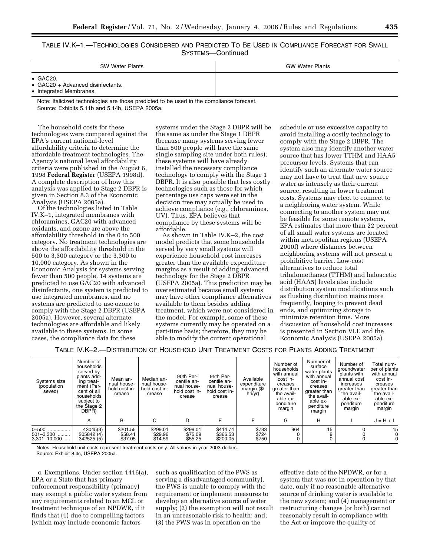TABLE IV.K–1.—TECHNOLOGIES CONSIDERED AND PREDICTED TO BE USED IN COMPLIANCE FORECAST FOR SMALL SYSTEMS—Continued

| <b>SW Water Plants</b>                                                             | <b>GW Water Plants</b> |
|------------------------------------------------------------------------------------|------------------------|
| $\bullet$ GAC20.<br>• $GAC20 + Advanced disinfectants.$<br>• Integrated Membranes. |                        |

Note: Italicized technologies are those predicted to be used in the compliance forecast. Source: Exhibits 5.11b and 5.14b, USEPA 2005a.

The household costs for these technologies were compared against the EPA's current national-level affordability criteria to determine the affordable treatment technologies. The Agency's national level affordability criteria were published in the August 6, 1998 **Federal Register** (USEPA 1998d). A complete description of how this analysis was applied to Stage 2 DBPR is given in Section 8.3 of the Economic<br>Analysis (USEPA 2005a).

Of the technologies listed in Table IV.K–1, integrated membranes with chloramines, GAC20 with advanced oxidants, and ozone are above the affordability threshold in the 0 to 500 category. No treatment technologies are above the affordability threshold in the 500 to 3,300 category or the 3,300 to 10,000 category. As shown in the Economic Analysis for systems serving fewer than 500 people, 14 systems are predicted to use GAC20 with advanced disinfectants, one system is predicted to use integrated membranes, and no systems are predicted to use ozone to comply with the Stage 2 DBPR (USEPA 2005a). However, several alternate technologies are affordable and likely available to these systems. In some cases, the compliance data for these

systems under the Stage 2 DBPR will be the same as under the Stage 1 DBPR (because many systems serving fewer than 500 people will have the same single sampling site under both rules); these systems will have already installed the necessary compliance technology to comply with the Stage 1 DBPR. It is also possible that less costly technologies such as those for which percentage use caps were set in the decision tree may actually be used to achieve compliance (e.g., chloramines, UV). Thus, EPA believes that compliance by these systems will be affordable.

As shown in Table IV.K–2, the cost model predicts that some households served by very small systems will experience household cost increases greater than the available expenditure margins as a result of adding advanced technology for the Stage 2 DBPR (USEPA 2005a). This prediction may be overestimated because small systems may have other compliance alternatives available to them besides adding treatment, which were not considered in the model. For example, some of these systems currently may be operated on a part-time basis; therefore, they may be able to modify the current operational

schedule or use excessive capacity to avoid installing a costly technology to comply with the Stage 2 DBPR. The system also may identify another water source that has lower TTHM and HAA5 precursor levels. Systems that can identify such an alternate water source may not have to treat that new source water as intensely as their current source, resulting in lower treatment costs. Systems may elect to connect to a neighboring water system. While connecting to another system may not be feasible for some remote systems, EPA estimates that more than 22 percent of all small water systems are located within metropolitan regions (USEPA 2000f) where distances between neighboring systems will not present a prohibitive barrier. Low-cost alternatives to reduce total trihalomethanes (TTHM) and haloacetic acid (HAA5) levels also include distribution system modifications such as flushing distribution mains more frequently, looping to prevent dead ends, and optimizing storage to minimize retention time. More discussion of household cost increases is presented in Section VI.E and the Economic Analysis (USEPA 2005a).

TABLE IV.K–2.—DISTRIBUTION OF HOUSEHOLD UNIT TREATMENT COSTS FOR PLANTS ADDING TREATMENT

| Systems size<br>(population<br>seved)      | Number of<br>households<br>served by<br>plants add-<br>ing treat-<br>ment (Per-<br>cent of all<br>households<br>subject to<br>the Stage 2<br>DBPŘ) | Mean an-<br>nual house-<br>hold cost in-<br>crease | Median an-<br>nual house-<br>hold cost in-<br>crease | 90th Per-<br>centile an-<br>nual house-<br>hold cost in-<br>crease | 95th Per-<br>centile an-<br>nual house-<br>hold cost in-<br>crease | Available<br>expenditure<br>margin (\$/<br>hh/yr) | Number of<br>households<br>with annual<br>cost in-<br>creases<br>greater than<br>the avail-<br>able ex-<br>penditure<br>margin | Number of<br>surface<br>water plants<br>with annual<br>cost in-<br>creases<br>greater than<br>the avail-<br>able ex-<br>penditure<br>margin | Number of<br>groundwater<br>plants with<br>annual cost<br>increases<br>greater than<br>the avail-<br>able ex-<br>penditure<br>margin | Total num-<br>ber of plants<br>with annual<br>cost in-<br>creases<br>greater than<br>the avail-<br>able ex-<br>penditure<br>margin |
|--------------------------------------------|----------------------------------------------------------------------------------------------------------------------------------------------------|----------------------------------------------------|------------------------------------------------------|--------------------------------------------------------------------|--------------------------------------------------------------------|---------------------------------------------------|--------------------------------------------------------------------------------------------------------------------------------|---------------------------------------------------------------------------------------------------------------------------------------------|--------------------------------------------------------------------------------------------------------------------------------------|------------------------------------------------------------------------------------------------------------------------------------|
|                                            | A                                                                                                                                                  | В                                                  | C                                                    | D                                                                  | E                                                                  | F                                                 | G                                                                                                                              | н                                                                                                                                           |                                                                                                                                      | $J = H + I$                                                                                                                        |
| 0-500<br>$501 - 3,300$<br>$3.301 - 10.000$ | 43045(3)<br>205842 (4)<br>342525(5)                                                                                                                | \$201.55<br>\$58.41<br>\$37.05                     | \$299.01<br>\$29.96<br>\$14.59                       | \$299.01<br>\$75.09<br>\$55.25                                     | \$414.74<br>\$366.53<br>\$200.05                                   | \$733<br>\$724<br>\$750                           | 964<br>0                                                                                                                       | 15                                                                                                                                          |                                                                                                                                      | 15                                                                                                                                 |

Notes: Household unit costs represent treatment costs only. All values in year 2003 dollars. Source: Exhibit 8.4c, USEPA 2005a.

c. Exemptions. Under section 1416(a), EPA or a State that has primary enforcement responsibility (primacy) may exempt a public water system from any requirements related to an MCL or treatment technique of an NPDWR, if it finds that (1) due to compelling factors (which may include economic factors

such as qualification of the PWS as serving a disadvantaged community), the PWS is unable to comply with the requirement or implement measures to develop an alternative source of water supply; (2) the exemption will not result in an unreasonable risk to health; and; (3) the PWS was in operation on the

effective date of the NPDWR, or for a system that was not in operation by that date, only if no reasonable alternative source of drinking water is available to the new system; and (4) management or restructuring changes (or both) cannot reasonably result in compliance with the Act or improve the quality of